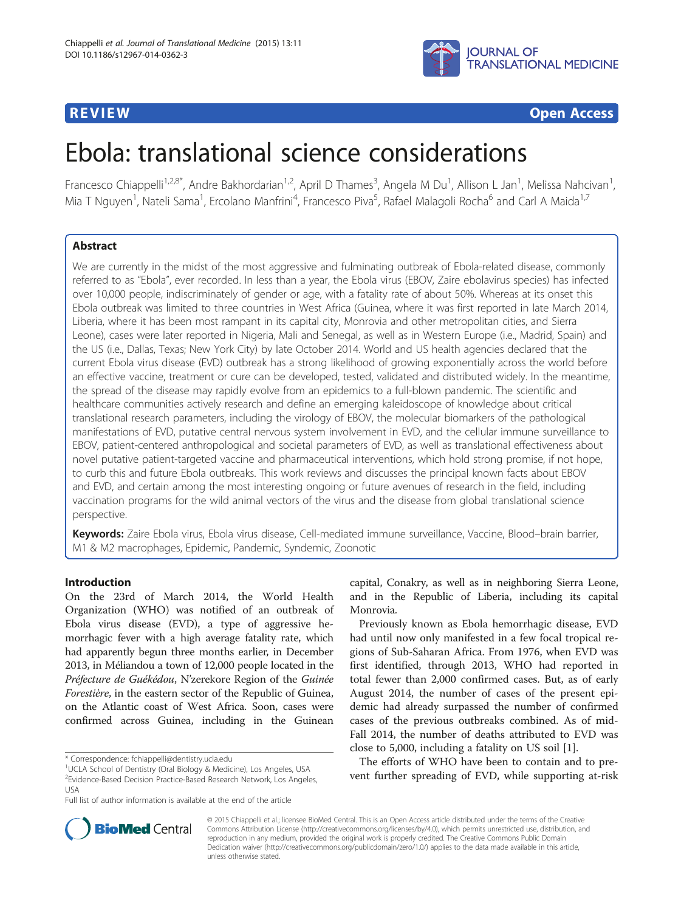## **IOURNAL OF TRANSLATIONAL MEDICINE**

**REVIEW CONSTRUCTION CONSTRUCTION CONSTRUCTS** 

# Ebola: translational science considerations

Francesco Chiappelli<sup>1,2,8\*</sup>, Andre Bakhordarian<sup>1,2</sup>, April D Thames<sup>3</sup>, Angela M Du<sup>1</sup>, Allison L Jan<sup>1</sup>, Melissa Nahcivan<sup>1</sup> , Mia T Nguyen<sup>1</sup>, Nateli Sama<sup>1</sup>, Ercolano Manfrini<sup>4</sup>, Francesco Piva<sup>5</sup>, Rafael Malagoli Rocha<sup>6</sup> and Carl A Maida<sup>1,7</sup>

### Abstract

We are currently in the midst of the most aggressive and fulminating outbreak of Ebola-related disease, commonly referred to as "Ebola", ever recorded. In less than a year, the Ebola virus (EBOV, Zaire ebolavirus species) has infected over 10,000 people, indiscriminately of gender or age, with a fatality rate of about 50%. Whereas at its onset this Ebola outbreak was limited to three countries in West Africa (Guinea, where it was first reported in late March 2014, Liberia, where it has been most rampant in its capital city, Monrovia and other metropolitan cities, and Sierra Leone), cases were later reported in Nigeria, Mali and Senegal, as well as in Western Europe (i.e., Madrid, Spain) and the US (i.e., Dallas, Texas; New York City) by late October 2014. World and US health agencies declared that the current Ebola virus disease (EVD) outbreak has a strong likelihood of growing exponentially across the world before an effective vaccine, treatment or cure can be developed, tested, validated and distributed widely. In the meantime, the spread of the disease may rapidly evolve from an epidemics to a full-blown pandemic. The scientific and healthcare communities actively research and define an emerging kaleidoscope of knowledge about critical translational research parameters, including the virology of EBOV, the molecular biomarkers of the pathological manifestations of EVD, putative central nervous system involvement in EVD, and the cellular immune surveillance to EBOV, patient-centered anthropological and societal parameters of EVD, as well as translational effectiveness about novel putative patient-targeted vaccine and pharmaceutical interventions, which hold strong promise, if not hope, to curb this and future Ebola outbreaks. This work reviews and discusses the principal known facts about EBOV and EVD, and certain among the most interesting ongoing or future avenues of research in the field, including vaccination programs for the wild animal vectors of the virus and the disease from global translational science perspective.

Keywords: Zaire Ebola virus, Ebola virus disease, Cell-mediated immune surveillance, Vaccine, Blood–brain barrier, M1 & M2 macrophages, Epidemic, Pandemic, Syndemic, Zoonotic

#### Introduction

On the 23rd of March 2014, the World Health Organization (WHO) was notified of an outbreak of Ebola virus disease (EVD), a type of aggressive hemorrhagic fever with a high average fatality rate, which had apparently begun three months earlier, in December 2013, in Méliandou a town of 12,000 people located in the Préfecture de Guékédou, N'zerekore Region of the Guinée Forestière, in the eastern sector of the Republic of Guinea, on the Atlantic coast of West Africa. Soon, cases were confirmed across Guinea, including in the Guinean capital, Conakry, as well as in neighboring Sierra Leone, and in the Republic of Liberia, including its capital Monrovia.

Previously known as Ebola hemorrhagic disease, EVD had until now only manifested in a few focal tropical regions of Sub-Saharan Africa. From 1976, when EVD was first identified, through 2013, WHO had reported in total fewer than 2,000 confirmed cases. But, as of early August 2014, the number of cases of the present epidemic had already surpassed the number of confirmed cases of the previous outbreaks combined. As of mid-Fall 2014, the number of deaths attributed to EVD was close to 5,000, including a fatality on US soil [[1\]](#page-24-0).

The efforts of WHO have been to contain and to prevent further spreading of EVD, while supporting at-risk



© 2015 Chiappelli et al.; licensee BioMed Central. This is an Open Access article distributed under the terms of the Creative Commons Attribution License [\(http://creativecommons.org/licenses/by/4.0\)](http://creativecommons.org/licenses/by/4.0), which permits unrestricted use, distribution, and reproduction in any medium, provided the original work is properly credited. The Creative Commons Public Domain Dedication waiver [\(http://creativecommons.org/publicdomain/zero/1.0/](http://creativecommons.org/publicdomain/zero/1.0/)) applies to the data made available in this article, unless otherwise stated.

<sup>\*</sup> Correspondence: [fchiappelli@dentistry.ucla.edu](mailto:fchiappelli@dentistry.ucla.edu) <sup>1</sup>

UCLA School of Dentistry (Oral Biology & Medicine), Los Angeles, USA <sup>2</sup> Evidence-Based Decision Practice-Based Research Network, Los Angeles, USA

Full list of author information is available at the end of the article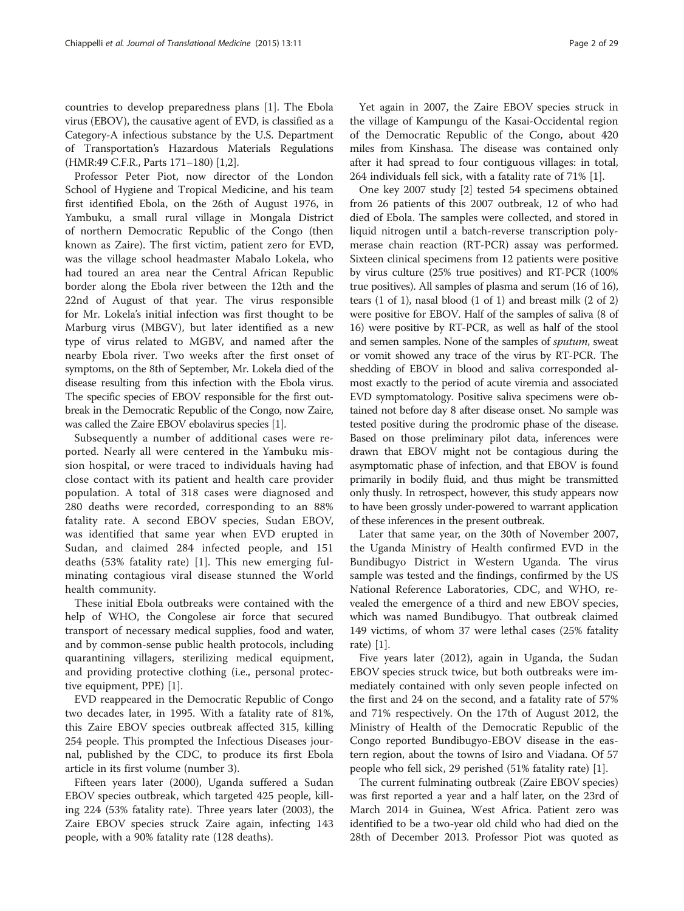countries to develop preparedness plans [\[1](#page-24-0)]. The Ebola virus (EBOV), the causative agent of EVD, is classified as a Category-A infectious substance by the U.S. Department of Transportation's Hazardous Materials Regulations (HMR:49 C.F.R., Parts 171–180) [\[1,2](#page-24-0)].

Professor Peter Piot, now director of the London School of Hygiene and Tropical Medicine, and his team first identified Ebola, on the 26th of August 1976, in Yambuku, a small rural village in Mongala District of northern Democratic Republic of the Congo (then known as Zaire). The first victim, patient zero for EVD, was the village school headmaster Mabalo Lokela, who had toured an area near the Central African Republic border along the Ebola river between the 12th and the 22nd of August of that year. The virus responsible for Mr. Lokela's initial infection was first thought to be Marburg virus (MBGV), but later identified as a new type of virus related to MGBV, and named after the nearby Ebola river. Two weeks after the first onset of symptoms, on the 8th of September, Mr. Lokela died of the disease resulting from this infection with the Ebola virus. The specific species of EBOV responsible for the first outbreak in the Democratic Republic of the Congo, now Zaire, was called the Zaire EBOV ebolavirus species [[1](#page-24-0)].

Subsequently a number of additional cases were reported. Nearly all were centered in the Yambuku mission hospital, or were traced to individuals having had close contact with its patient and health care provider population. A total of 318 cases were diagnosed and 280 deaths were recorded, corresponding to an 88% fatality rate. A second EBOV species, Sudan EBOV, was identified that same year when EVD erupted in Sudan, and claimed 284 infected people, and 151 deaths (53% fatality rate) [[1\]](#page-24-0). This new emerging fulminating contagious viral disease stunned the World health community.

These initial Ebola outbreaks were contained with the help of WHO, the Congolese air force that secured transport of necessary medical supplies, food and water, and by common-sense public health protocols, including quarantining villagers, sterilizing medical equipment, and providing protective clothing (i.e., personal protective equipment, PPE) [\[1](#page-24-0)].

EVD reappeared in the Democratic Republic of Congo two decades later, in 1995. With a fatality rate of 81%, this Zaire EBOV species outbreak affected 315, killing 254 people. This prompted the Infectious Diseases journal, published by the CDC, to produce its first Ebola article in its first volume (number 3).

Fifteen years later (2000), Uganda suffered a Sudan EBOV species outbreak, which targeted 425 people, killing 224 (53% fatality rate). Three years later (2003), the Zaire EBOV species struck Zaire again, infecting 143 people, with a 90% fatality rate (128 deaths).

Yet again in 2007, the Zaire EBOV species struck in the village of Kampungu of the Kasai-Occidental region of the Democratic Republic of the Congo, about 420 miles from Kinshasa. The disease was contained only after it had spread to four contiguous villages: in total, 264 individuals fell sick, with a fatality rate of 71% [[1\]](#page-24-0).

One key 2007 study [[2\]](#page-24-0) tested 54 specimens obtained from 26 patients of this 2007 outbreak, 12 of who had died of Ebola. The samples were collected, and stored in liquid nitrogen until a batch-reverse transcription polymerase chain reaction (RT-PCR) assay was performed. Sixteen clinical specimens from 12 patients were positive by virus culture (25% true positives) and RT-PCR (100% true positives). All samples of plasma and serum (16 of 16), tears (1 of 1), nasal blood (1 of 1) and breast milk (2 of 2) were positive for EBOV. Half of the samples of saliva (8 of 16) were positive by RT-PCR, as well as half of the stool and semen samples. None of the samples of sputum, sweat or vomit showed any trace of the virus by RT-PCR. The shedding of EBOV in blood and saliva corresponded almost exactly to the period of acute viremia and associated EVD symptomatology. Positive saliva specimens were obtained not before day 8 after disease onset. No sample was tested positive during the prodromic phase of the disease. Based on those preliminary pilot data, inferences were drawn that EBOV might not be contagious during the asymptomatic phase of infection, and that EBOV is found primarily in bodily fluid, and thus might be transmitted only thusly. In retrospect, however, this study appears now to have been grossly under-powered to warrant application of these inferences in the present outbreak.

Later that same year, on the 30th of November 2007, the Uganda Ministry of Health confirmed EVD in the Bundibugyo District in Western Uganda. The virus sample was tested and the findings, confirmed by the US National Reference Laboratories, CDC, and WHO, revealed the emergence of a third and new EBOV species, which was named Bundibugyo. That outbreak claimed 149 victims, of whom 37 were lethal cases (25% fatality rate) [[1\]](#page-24-0).

Five years later (2012), again in Uganda, the Sudan EBOV species struck twice, but both outbreaks were immediately contained with only seven people infected on the first and 24 on the second, and a fatality rate of 57% and 71% respectively. On the 17th of August 2012, the Ministry of Health of the Democratic Republic of the Congo reported Bundibugyo-EBOV disease in the eastern region, about the towns of Isiro and Viadana. Of 57 people who fell sick, 29 perished (51% fatality rate) [[1](#page-24-0)].

The current fulminating outbreak (Zaire EBOV species) was first reported a year and a half later, on the 23rd of March 2014 in Guinea, West Africa. Patient zero was identified to be a two-year old child who had died on the 28th of December 2013. Professor Piot was quoted as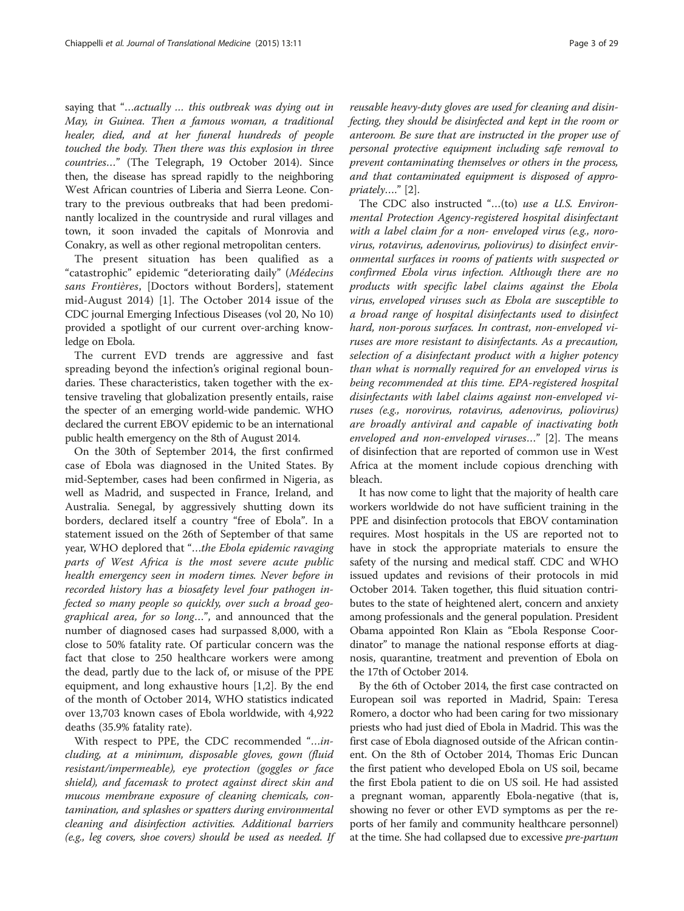saying that "...actually ... this outbreak was dying out in May, in Guinea. Then a famous woman, a traditional healer, died, and at her funeral hundreds of people touched the body. Then there was this explosion in three countries…" (The Telegraph, 19 October 2014). Since then, the disease has spread rapidly to the neighboring West African countries of Liberia and Sierra Leone. Contrary to the previous outbreaks that had been predominantly localized in the countryside and rural villages and town, it soon invaded the capitals of Monrovia and Conakry, as well as other regional metropolitan centers.

The present situation has been qualified as a "catastrophic" epidemic "deteriorating daily" (Médecins sans Frontières, [Doctors without Borders], statement mid-August 2014) [[1\]](#page-24-0). The October 2014 issue of the CDC journal Emerging Infectious Diseases (vol 20, No 10) provided a spotlight of our current over-arching knowledge on Ebola.

The current EVD trends are aggressive and fast spreading beyond the infection's original regional boundaries. These characteristics, taken together with the extensive traveling that globalization presently entails, raise the specter of an emerging world-wide pandemic. WHO declared the current EBOV epidemic to be an international public health emergency on the 8th of August 2014.

On the 30th of September 2014, the first confirmed case of Ebola was diagnosed in the United States. By mid-September, cases had been confirmed in Nigeria, as well as Madrid, and suspected in France, Ireland, and Australia. Senegal, by aggressively shutting down its borders, declared itself a country "free of Ebola". In a statement issued on the 26th of September of that same year, WHO deplored that "…the Ebola epidemic ravaging parts of West Africa is the most severe acute public health emergency seen in modern times. Never before in recorded history has a biosafety level four pathogen infected so many people so quickly, over such a broad geographical area, for so long…", and announced that the number of diagnosed cases had surpassed 8,000, with a close to 50% fatality rate. Of particular concern was the fact that close to 250 healthcare workers were among the dead, partly due to the lack of, or misuse of the PPE equipment, and long exhaustive hours [[1,2\]](#page-24-0). By the end of the month of October 2014, WHO statistics indicated over 13,703 known cases of Ebola worldwide, with 4,922 deaths (35.9% fatality rate).

With respect to PPE, the CDC recommended "…including, at a minimum, disposable gloves, gown (fluid resistant/impermeable), eye protection (goggles or face shield), and facemask to protect against direct skin and mucous membrane exposure of cleaning chemicals, contamination, and splashes or spatters during environmental cleaning and disinfection activities. Additional barriers (e.g., leg covers, shoe covers) should be used as needed. If reusable heavy-duty gloves are used for cleaning and disinfecting, they should be disinfected and kept in the room or anteroom. Be sure that are instructed in the proper use of personal protective equipment including safe removal to prevent contaminating themselves or others in the process, and that contaminated equipment is disposed of appropriately…." [\[2](#page-24-0)].

The CDC also instructed "...(to) use a U.S. Environmental Protection Agency-registered hospital disinfectant with a label claim for a non- enveloped virus (e.g., norovirus, rotavirus, adenovirus, poliovirus) to disinfect environmental surfaces in rooms of patients with suspected or confirmed Ebola virus infection. Although there are no products with specific label claims against the Ebola virus, enveloped viruses such as Ebola are susceptible to a broad range of hospital disinfectants used to disinfect hard, non-porous surfaces. In contrast, non-enveloped viruses are more resistant to disinfectants. As a precaution, selection of a disinfectant product with a higher potency than what is normally required for an enveloped virus is being recommended at this time. EPA-registered hospital disinfectants with label claims against non-enveloped viruses (e.g., norovirus, rotavirus, adenovirus, poliovirus) are broadly antiviral and capable of inactivating both enveloped and non-enveloped viruses…" [[2\]](#page-24-0). The means of disinfection that are reported of common use in West Africa at the moment include copious drenching with bleach.

It has now come to light that the majority of health care workers worldwide do not have sufficient training in the PPE and disinfection protocols that EBOV contamination requires. Most hospitals in the US are reported not to have in stock the appropriate materials to ensure the safety of the nursing and medical staff. CDC and WHO issued updates and revisions of their protocols in mid October 2014. Taken together, this fluid situation contributes to the state of heightened alert, concern and anxiety among professionals and the general population. President Obama appointed Ron Klain as "Ebola Response Coordinator" to manage the national response efforts at diagnosis, quarantine, treatment and prevention of Ebola on the 17th of October 2014.

By the 6th of October 2014, the first case contracted on European soil was reported in Madrid, Spain: Teresa Romero, a doctor who had been caring for two missionary priests who had just died of Ebola in Madrid. This was the first case of Ebola diagnosed outside of the African continent. On the 8th of October 2014, Thomas Eric Duncan the first patient who developed Ebola on US soil, became the first Ebola patient to die on US soil. He had assisted a pregnant woman, apparently Ebola-negative (that is, showing no fever or other EVD symptoms as per the reports of her family and community healthcare personnel) at the time. She had collapsed due to excessive pre-partum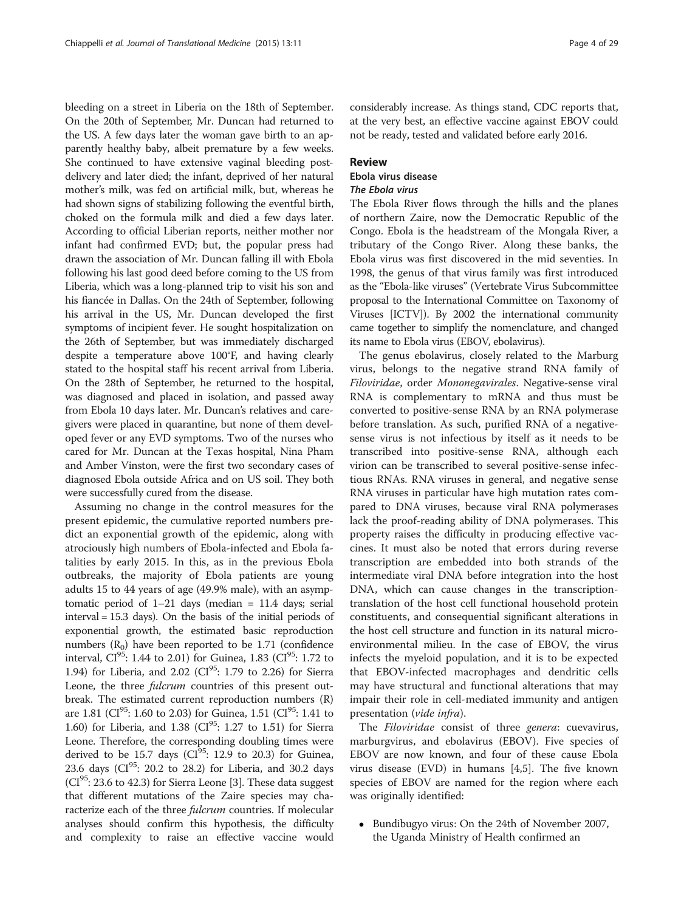bleeding on a street in Liberia on the 18th of September. On the 20th of September, Mr. Duncan had returned to the US. A few days later the woman gave birth to an apparently healthy baby, albeit premature by a few weeks. She continued to have extensive vaginal bleeding postdelivery and later died; the infant, deprived of her natural mother's milk, was fed on artificial milk, but, whereas he had shown signs of stabilizing following the eventful birth, choked on the formula milk and died a few days later. According to official Liberian reports, neither mother nor infant had confirmed EVD; but, the popular press had drawn the association of Mr. Duncan falling ill with Ebola following his last good deed before coming to the US from Liberia, which was a long-planned trip to visit his son and his fiancée in Dallas. On the 24th of September, following his arrival in the US, Mr. Duncan developed the first symptoms of incipient fever. He sought hospitalization on the 26th of September, but was immediately discharged despite a temperature above 100°F, and having clearly stated to the hospital staff his recent arrival from Liberia. On the 28th of September, he returned to the hospital, was diagnosed and placed in isolation, and passed away from Ebola 10 days later. Mr. Duncan's relatives and caregivers were placed in quarantine, but none of them developed fever or any EVD symptoms. Two of the nurses who cared for Mr. Duncan at the Texas hospital, Nina Pham and Amber Vinston, were the first two secondary cases of diagnosed Ebola outside Africa and on US soil. They both were successfully cured from the disease.

Assuming no change in the control measures for the present epidemic, the cumulative reported numbers predict an exponential growth of the epidemic, along with atrociously high numbers of Ebola-infected and Ebola fatalities by early 2015. In this, as in the previous Ebola outbreaks, the majority of Ebola patients are young adults 15 to 44 years of age (49.9% male), with an asymptomatic period of  $1-21$  days (median = 11.4 days; serial interval = 15.3 days). On the basis of the initial periods of exponential growth, the estimated basic reproduction numbers  $(R_0)$  have been reported to be 1.71 (confidence interval,  $CI^{95}$ : 1.44 to 2.01) for Guinea, 1.83 ( $CI^{95}$ : 1.72 to 1.94) for Liberia, and 2.02 ( $CI^{95}$ : 1.79 to 2.26) for Sierra Leone, the three *fulcrum* countries of this present outbreak. The estimated current reproduction numbers (R) are 1.81 ( $CI^{95}$ : 1.60 to 2.03) for Guinea, 1.51 ( $CI^{95}$ : 1.41 to 1.60) for Liberia, and 1.38 ( $CI^{95}$ : 1.27 to 1.51) for Sierra Leone. Therefore, the corresponding doubling times were derived to be 15.7 days ( $CI^{95}$ : 12.9 to 20.3) for Guinea, 23.6 days ( $CI^{95}$ : 20.2 to 28.2) for Liberia, and 30.2 days  $(CI<sup>95</sup>: 23.6$  to 42.3) for Sierra Leone [[3\]](#page-24-0). These data suggest that different mutations of the Zaire species may characterize each of the three *fulcrum* countries. If molecular analyses should confirm this hypothesis, the difficulty and complexity to raise an effective vaccine would considerably increase. As things stand, CDC reports that, at the very best, an effective vaccine against EBOV could not be ready, tested and validated before early 2016.

#### Review

#### Ebola virus disease The Ebola virus

The Ebola River flows through the hills and the planes of northern Zaire, now the Democratic Republic of the Congo. Ebola is the headstream of the Mongala River, a tributary of the Congo River. Along these banks, the Ebola virus was first discovered in the mid seventies. In 1998, the genus of that virus family was first introduced as the "Ebola-like viruses" (Vertebrate Virus Subcommittee proposal to the International Committee on Taxonomy of Viruses [ICTV]). By 2002 the international community came together to simplify the nomenclature, and changed

its name to Ebola virus (EBOV, ebolavirus). The genus ebolavirus, closely related to the Marburg virus, belongs to the negative strand RNA family of Filoviridae, order Mononegavirales. Negative-sense viral RNA is complementary to mRNA and thus must be converted to positive-sense RNA by an RNA polymerase before translation. As such, purified RNA of a negativesense virus is not infectious by itself as it needs to be transcribed into positive-sense RNA, although each virion can be transcribed to several positive-sense infectious RNAs. RNA viruses in general, and negative sense RNA viruses in particular have high mutation rates compared to DNA viruses, because viral RNA polymerases lack the proof-reading ability of DNA polymerases. This property raises the difficulty in producing effective vaccines. It must also be noted that errors during reverse transcription are embedded into both strands of the intermediate viral DNA before integration into the host DNA, which can cause changes in the transcriptiontranslation of the host cell functional household protein constituents, and consequential significant alterations in the host cell structure and function in its natural microenvironmental milieu. In the case of EBOV, the virus infects the myeloid population, and it is to be expected that EBOV-infected macrophages and dendritic cells may have structural and functional alterations that may impair their role in cell-mediated immunity and antigen presentation (vide infra).

The Filoviridae consist of three genera: cuevavirus, marburgvirus, and ebolavirus (EBOV). Five species of EBOV are now known, and four of these cause Ebola virus disease (EVD) in humans [[4,5\]](#page-24-0). The five known species of EBOV are named for the region where each was originally identified:

• Bundibugyo virus: On the 24th of November 2007, the Uganda Ministry of Health confirmed an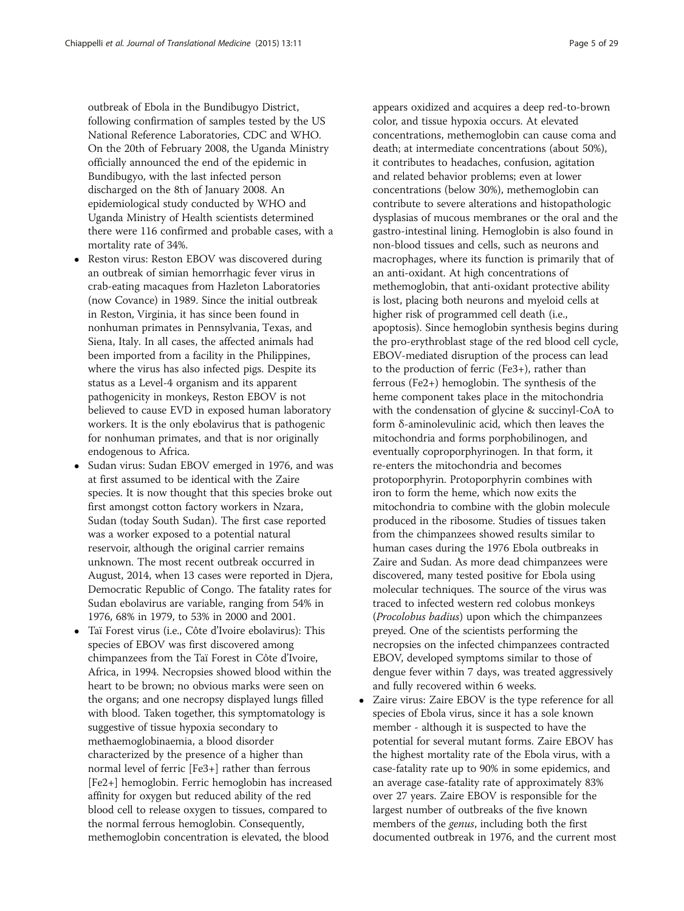outbreak of Ebola in the Bundibugyo District, following confirmation of samples tested by the US National Reference Laboratories, CDC and WHO. On the 20th of February 2008, the Uganda Ministry officially announced the end of the epidemic in Bundibugyo, with the last infected person discharged on the 8th of January 2008. An epidemiological study conducted by WHO and Uganda Ministry of Health scientists determined there were 116 confirmed and probable cases, with a mortality rate of 34%.

- Reston virus: Reston EBOV was discovered during an outbreak of simian hemorrhagic fever virus in crab-eating macaques from Hazleton Laboratories (now Covance) in 1989. Since the initial outbreak in Reston, Virginia, it has since been found in nonhuman primates in Pennsylvania, Texas, and Siena, Italy. In all cases, the affected animals had been imported from a facility in the Philippines, where the virus has also infected pigs. Despite its status as a Level‑4 organism and its apparent pathogenicity in monkeys, Reston EBOV is not believed to cause EVD in exposed human laboratory workers. It is the only ebolavirus that is pathogenic for nonhuman primates, and that is nor originally endogenous to Africa.
- Sudan virus: Sudan EBOV emerged in 1976, and was at first assumed to be identical with the Zaire species. It is now thought that this species broke out first amongst cotton factory workers in Nzara, Sudan (today South Sudan). The first case reported was a worker exposed to a potential natural reservoir, although the original carrier remains unknown. The most recent outbreak occurred in August, 2014, when 13 cases were reported in Djera, Democratic Republic of Congo. The fatality rates for Sudan ebolavirus are variable, ranging from 54% in 1976, 68% in 1979, to 53% in 2000 and 2001.
- Taï Forest virus (i.e., Côte d'Ivoire ebolavirus): This species of EBOV was first discovered among chimpanzees from the Taï Forest in Côte d'Ivoire, Africa, in 1994. Necropsies showed blood within the heart to be brown; no obvious marks were seen on the organs; and one necropsy displayed lungs filled with blood. Taken together, this symptomatology is suggestive of tissue hypoxia secondary to methaemoglobinaemia, a blood disorder characterized by the presence of a higher than normal level of ferric [Fe3+] rather than ferrous [Fe2+] hemoglobin. Ferric hemoglobin has increased affinity for oxygen but reduced ability of the red blood cell to release oxygen to tissues, compared to the normal ferrous hemoglobin. Consequently, methemoglobin concentration is elevated, the blood

appears oxidized and acquires a deep red-to-brown color, and tissue hypoxia occurs. At elevated concentrations, methemoglobin can cause coma and death; at intermediate concentrations (about 50%), it contributes to headaches, confusion, agitation and related behavior problems; even at lower concentrations (below 30%), methemoglobin can contribute to severe alterations and histopathologic dysplasias of mucous membranes or the oral and the gastro-intestinal lining. Hemoglobin is also found in non-blood tissues and cells, such as neurons and macrophages, where its function is primarily that of an anti-oxidant. At high concentrations of methemoglobin, that anti-oxidant protective ability is lost, placing both neurons and myeloid cells at higher risk of programmed cell death (i.e., apoptosis). Since hemoglobin synthesis begins during the pro-erythroblast stage of the red blood cell cycle, EBOV-mediated disruption of the process can lead to the production of ferric (Fe3+), rather than ferrous (Fe2+) hemoglobin. The synthesis of the heme component takes place in the mitochondria with the condensation of glycine & succinyl-CoA to form δ-aminolevulinic acid, which then leaves the mitochondria and forms porphobilinogen, and eventually coproporphyrinogen. In that form, it re-enters the mitochondria and becomes protoporphyrin. Protoporphyrin combines with iron to form the heme, which now exits the mitochondria to combine with the globin molecule produced in the ribosome. Studies of tissues taken from the chimpanzees showed results similar to human cases during the 1976 Ebola outbreaks in Zaire and Sudan. As more dead chimpanzees were discovered, many tested positive for Ebola using molecular techniques. The source of the virus was traced to infected western red colobus monkeys (Procolobus badius) upon which the chimpanzees preyed. One of the scientists performing the necropsies on the infected chimpanzees contracted EBOV, developed symptoms similar to those of dengue fever within 7 days, was treated aggressively and fully recovered within 6 weeks.

 Zaire virus: Zaire EBOV is the type reference for all species of Ebola virus, since it has a sole known member - although it is suspected to have the potential for several mutant forms. Zaire EBOV has the highest mortality rate of the Ebola virus, with a case-fatality rate up to 90% in some epidemics, and an average case-fatality rate of approximately 83% over 27 years. Zaire EBOV is responsible for the largest number of outbreaks of the five known members of the *genus*, including both the first documented outbreak in 1976, and the current most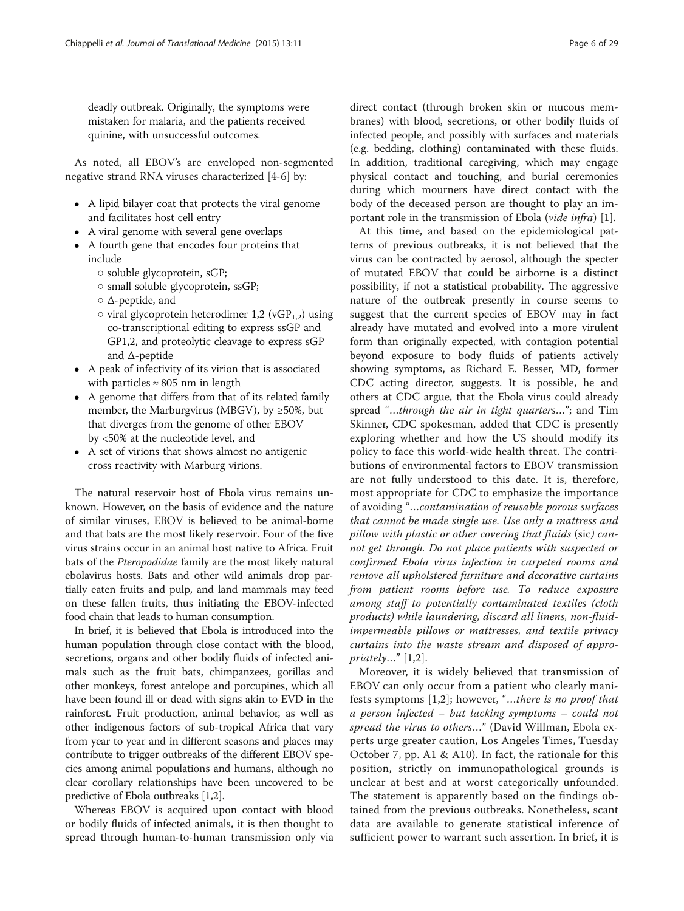deadly outbreak. Originally, the symptoms were mistaken for malaria, and the patients received quinine, with unsuccessful outcomes.

As noted, all EBOV's are enveloped non-segmented negative strand RNA viruses characterized [\[4](#page-24-0)-[6\]](#page-25-0) by:

- A lipid bilayer coat that protects the viral genome and facilitates host cell entry
- A viral genome with several gene overlaps
- A fourth gene that encodes four proteins that include
	- soluble glycoprotein, sGP;
	- small soluble glycoprotein, ssGP;
	- Δ-peptide, and
	- $\circ$  viral glycoprotein heterodimer 1,2 (vGP<sub>1,2</sub>) using co-transcriptional editing to express ssGP and GP1,2, and proteolytic cleavage to express sGP and Δ-peptide
- A peak of infectivity of its virion that is associated with particles  $\approx 805$  nm in length
- A genome that differs from that of its related family member, the Marburgvirus (MBGV), by  $\geq$ 50%, but that diverges from the genome of other EBOV by <50% at the nucleotide level, and
- A set of virions that shows almost no antigenic cross reactivity with Marburg virions.

The natural reservoir host of Ebola virus remains unknown. However, on the basis of evidence and the nature of similar viruses, EBOV is believed to be animal-borne and that bats are the most likely reservoir. Four of the five virus strains occur in an animal host native to Africa. Fruit bats of the Pteropodidae family are the most likely natural ebolavirus hosts. Bats and other wild animals drop partially eaten fruits and pulp, and land mammals may feed on these fallen fruits, thus initiating the EBOV-infected food chain that leads to human consumption.

In brief, it is believed that Ebola is introduced into the human population through close contact with the blood, secretions, organs and other bodily fluids of infected animals such as the fruit bats, chimpanzees, gorillas and other monkeys, forest antelope and porcupines, which all have been found ill or dead with signs akin to EVD in the rainforest. Fruit production, animal behavior, as well as other indigenous factors of sub-tropical Africa that vary from year to year and in different seasons and places may contribute to trigger outbreaks of the different EBOV species among animal populations and humans, although no clear corollary relationships have been uncovered to be predictive of Ebola outbreaks [[1](#page-24-0),[2](#page-24-0)].

Whereas EBOV is acquired upon contact with blood or bodily fluids of infected animals, it is then thought to spread through human-to-human transmission only via

direct contact (through broken skin or mucous membranes) with blood, secretions, or other bodily fluids of infected people, and possibly with surfaces and materials (e.g. bedding, clothing) contaminated with these fluids. In addition, traditional caregiving, which may engage physical contact and touching, and burial ceremonies during which mourners have direct contact with the body of the deceased person are thought to play an im-portant role in the transmission of Ebola (vide infra) [\[1](#page-24-0)].

At this time, and based on the epidemiological patterns of previous outbreaks, it is not believed that the virus can be contracted by aerosol, although the specter of mutated EBOV that could be airborne is a distinct possibility, if not a statistical probability. The aggressive nature of the outbreak presently in course seems to suggest that the current species of EBOV may in fact already have mutated and evolved into a more virulent form than originally expected, with contagion potential beyond exposure to body fluids of patients actively showing symptoms, as Richard E. Besser, MD, former CDC acting director, suggests. It is possible, he and others at CDC argue, that the Ebola virus could already spread "…through the air in tight quarters…"; and Tim Skinner, CDC spokesman, added that CDC is presently exploring whether and how the US should modify its policy to face this world-wide health threat. The contributions of environmental factors to EBOV transmission are not fully understood to this date. It is, therefore, most appropriate for CDC to emphasize the importance of avoiding "…contamination of reusable porous surfaces that cannot be made single use. Use only a mattress and pillow with plastic or other covering that fluids (sic) cannot get through. Do not place patients with suspected or confirmed Ebola virus infection in carpeted rooms and remove all upholstered furniture and decorative curtains from patient rooms before use. To reduce exposure among staff to potentially contaminated textiles (cloth products) while laundering, discard all linens, non-fluidimpermeable pillows or mattresses, and textile privacy curtains into the waste stream and disposed of appro $priately...$ " [[1,2\]](#page-24-0).

Moreover, it is widely believed that transmission of EBOV can only occur from a patient who clearly manifests symptoms [\[1](#page-24-0),[2\]](#page-24-0); however, "…there is no proof that a person infected – but lacking symptoms – could not spread the virus to others…" (David Willman, Ebola experts urge greater caution, Los Angeles Times, Tuesday October 7, pp. A1 & A10). In fact, the rationale for this position, strictly on immunopathological grounds is unclear at best and at worst categorically unfounded. The statement is apparently based on the findings obtained from the previous outbreaks. Nonetheless, scant data are available to generate statistical inference of sufficient power to warrant such assertion. In brief, it is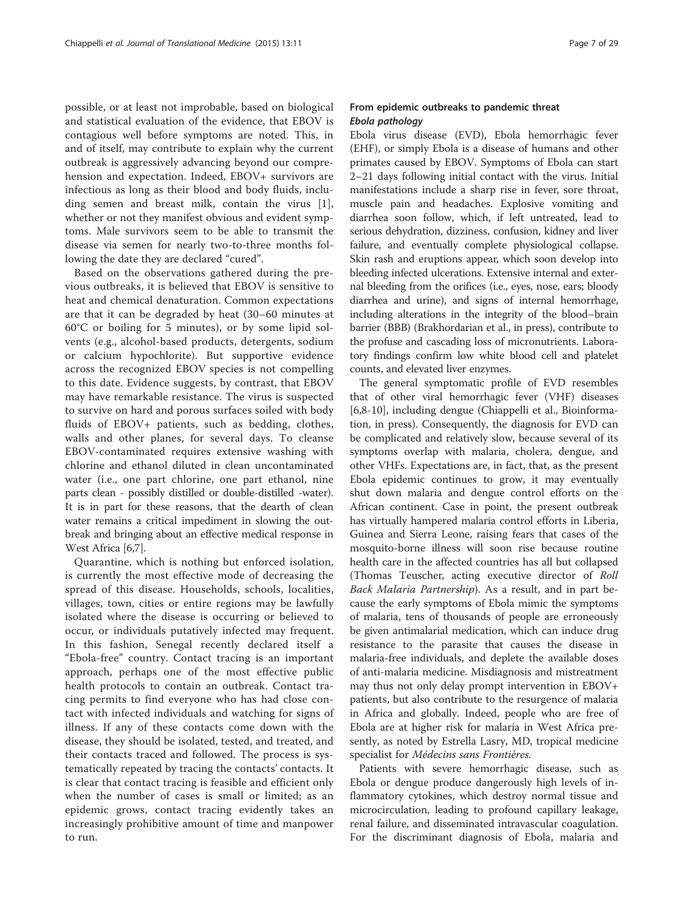possible, or at least not improbable, based on biological and statistical evaluation of the evidence, that EBOV is contagious well before symptoms are noted. This, in and of itself, may contribute to explain why the current outbreak is aggressively advancing beyond our comprehension and expectation. Indeed, EBOV+ survivors are infectious as long as their blood and body fluids, including semen and breast milk, contain the virus [\[1](#page-24-0)], whether or not they manifest obvious and evident symptoms. Male survivors seem to be able to transmit the disease via semen for nearly two-to-three months following the date they are declared "cured".

Based on the observations gathered during the previous outbreaks, it is believed that EBOV is sensitive to heat and chemical denaturation. Common expectations are that it can be degraded by heat (30–60 minutes at 60°C or boiling for 5 minutes), or by some lipid solvents (e.g., alcohol-based products, detergents, sodium or calcium hypochlorite). But supportive evidence across the recognized EBOV species is not compelling to this date. Evidence suggests, by contrast, that EBOV may have remarkable resistance. The virus is suspected to survive on hard and porous surfaces soiled with body fluids of EBOV+ patients, such as bedding, clothes, walls and other planes, for several days. To cleanse EBOV-contaminated requires extensive washing with chlorine and ethanol diluted in clean uncontaminated water (i.e., one part chlorine, one part ethanol, nine parts clean - possibly distilled or double-distilled -water). It is in part for these reasons, that the dearth of clean water remains a critical impediment in slowing the outbreak and bringing about an effective medical response in West Africa [\[6,7](#page-25-0)].

Quarantine, which is nothing but enforced isolation, is currently the most effective mode of decreasing the spread of this disease. Households, schools, localities, villages, town, cities or entire regions may be lawfully isolated where the disease is occurring or believed to occur, or individuals putatively infected may frequent. In this fashion, Senegal recently declared itself a "Ebola-free" country. Contact tracing is an important approach, perhaps one of the most effective public health protocols to contain an outbreak. Contact tracing permits to find everyone who has had close contact with infected individuals and watching for signs of illness. If any of these contacts come down with the disease, they should be isolated, tested, and treated, and their contacts traced and followed. The process is systematically repeated by tracing the contacts' contacts. It is clear that contact tracing is feasible and efficient only when the number of cases is small or limited; as an epidemic grows, contact tracing evidently takes an increasingly prohibitive amount of time and manpower to run.

#### From epidemic outbreaks to pandemic threat Ebola pathology

Ebola virus disease (EVD), Ebola hemorrhagic fever (EHF), or simply Ebola is a disease of humans and other primates caused by EBOV. Symptoms of Ebola can start 2–21 days following initial contact with the virus. Initial manifestations include a sharp rise in fever, sore throat, muscle pain and headaches. Explosive vomiting and diarrhea soon follow, which, if left untreated, lead to serious dehydration, dizziness, confusion, kidney and liver failure, and eventually complete physiological collapse. Skin rash and eruptions appear, which soon develop into bleeding infected ulcerations. Extensive internal and external bleeding from the orifices (i.e., eyes, nose, ears; bloody diarrhea and urine), and signs of internal hemorrhage, including alterations in the integrity of the blood–brain barrier (BBB) (Brakhordarian et al., in press), contribute to the profuse and cascading loss of micronutrients. Laboratory findings confirm low white blood cell and platelet counts, and elevated liver enzymes.

The general symptomatic profile of EVD resembles that of other viral hemorrhagic fever (VHF) diseases [[6,8-10](#page-25-0)], including dengue (Chiappelli et al., Bioinformation, in press). Consequently, the diagnosis for EVD can be complicated and relatively slow, because several of its symptoms overlap with malaria, cholera, dengue, and other VHFs. Expectations are, in fact, that, as the present Ebola epidemic continues to grow, it may eventually shut down malaria and dengue control efforts on the African continent. Case in point, the present outbreak has virtually hampered malaria control efforts in Liberia, Guinea and Sierra Leone, raising fears that cases of the mosquito-borne illness will soon rise because routine health care in the affected countries has all but collapsed (Thomas Teuscher, acting executive director of Roll Back Malaria Partnership). As a result, and in part because the early symptoms of Ebola mimic the symptoms of malaria, tens of thousands of people are erroneously be given antimalarial medication, which can induce drug resistance to the parasite that causes the disease in malaria-free individuals, and deplete the available doses of anti-malaria medicine. Misdiagnosis and mistreatment may thus not only delay prompt intervention in EBOV+ patients, but also contribute to the resurgence of malaria in Africa and globally. Indeed, people who are free of Ebola are at higher risk for malaria in West Africa presently, as noted by Estrella Lasry, MD, tropical medicine specialist for Médecins sans Frontières.

Patients with severe hemorrhagic disease, such as Ebola or dengue produce dangerously high levels of inflammatory cytokines, which destroy normal tissue and microcirculation, leading to profound capillary leakage, renal failure, and disseminated intravascular coagulation. For the discriminant diagnosis of Ebola, malaria and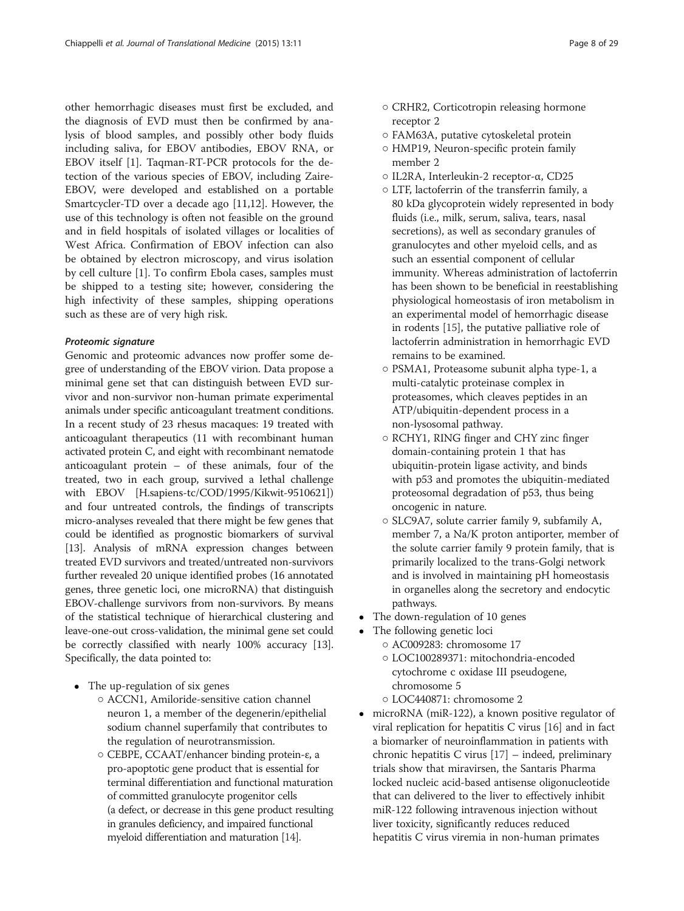other hemorrhagic diseases must first be excluded, and the diagnosis of EVD must then be confirmed by analysis of blood samples, and possibly other body fluids including saliva, for EBOV antibodies, EBOV RNA, or EBOV itself [\[1](#page-24-0)]. Taqman-RT-PCR protocols for the detection of the various species of EBOV, including Zaire-EBOV, were developed and established on a portable Smartcycler-TD over a decade ago [[11,12\]](#page-25-0). However, the use of this technology is often not feasible on the ground and in field hospitals of isolated villages or localities of West Africa. Confirmation of EBOV infection can also be obtained by electron microscopy, and virus isolation by cell culture [[1\]](#page-24-0). To confirm Ebola cases, samples must be shipped to a testing site; however, considering the high infectivity of these samples, shipping operations such as these are of very high risk.

#### Proteomic signature

Genomic and proteomic advances now proffer some degree of understanding of the EBOV virion. Data propose a minimal gene set that can distinguish between EVD survivor and non-survivor non-human primate experimental animals under specific anticoagulant treatment conditions. In a recent study of 23 rhesus macaques: 19 treated with anticoagulant therapeutics (11 with recombinant human activated protein C, and eight with recombinant nematode anticoagulant protein – of these animals, four of the treated, two in each group, survived a lethal challenge with EBOV [H.sapiens-tc/COD/1995/Kikwit-9510621]) and four untreated controls, the findings of transcripts micro-analyses revealed that there might be few genes that could be identified as prognostic biomarkers of survival [[13](#page-25-0)]. Analysis of mRNA expression changes between treated EVD survivors and treated/untreated non-survivors further revealed 20 unique identified probes (16 annotated genes, three genetic loci, one microRNA) that distinguish EBOV-challenge survivors from non-survivors. By means of the statistical technique of hierarchical clustering and leave-one-out cross-validation, the minimal gene set could be correctly classified with nearly 100% accuracy [[13](#page-25-0)]. Specifically, the data pointed to:

- The up-regulation of six genes
	- ACCN1, Amiloride-sensitive cation channel neuron 1, a member of the degenerin/epithelial sodium channel superfamily that contributes to the regulation of neurotransmission.
	- CEBPE, CCAAT/enhancer binding protein-ε, a pro-apoptotic gene product that is essential for terminal differentiation and functional maturation of committed granulocyte progenitor cells (a defect, or decrease in this gene product resulting in granules deficiency, and impaired functional myeloid differentiation and maturation [\[14](#page-25-0)].
- CRHR2, Corticotropin releasing hormone receptor 2
- FAM63A, putative cytoskeletal protein
- HMP19, Neuron-specific protein family member 2
- IL2RA, Interleukin-2 receptor-α, CD25
- LTF, lactoferrin of the transferrin family, a 80 kDa glycoprotein widely represented in body fluids (i.e., milk, serum, saliva, tears, nasal secretions), as well as secondary granules of granulocytes and other myeloid cells, and as such an essential component of cellular immunity. Whereas administration of lactoferrin has been shown to be beneficial in reestablishing physiological homeostasis of iron metabolism in an experimental model of hemorrhagic disease in rodents [[15](#page-25-0)], the putative palliative role of lactoferrin administration in hemorrhagic EVD remains to be examined.
- PSMA1, Proteasome subunit alpha type-1, a multi-catalytic proteinase complex in proteasomes, which cleaves peptides in an ATP/ubiquitin-dependent process in a non-lysosomal pathway.
- RCHY1, RING finger and CHY zinc finger domain-containing protein 1 that has ubiquitin-protein ligase activity, and binds with p53 and promotes the ubiquitin-mediated proteosomal degradation of p53, thus being oncogenic in nature.
- SLC9A7, solute carrier family 9, subfamily A, member 7, a Na/K proton antiporter, member of the solute carrier family 9 protein family, that is primarily localized to the trans-Golgi network and is involved in maintaining pH homeostasis in organelles along the secretory and endocytic pathways.
- The down-regulation of 10 genes
- The following genetic loci
	- AC009283: chromosome 17
	- LOC100289371: mitochondria-encoded cytochrome c oxidase III pseudogene, chromosome 5
	- LOC440871: chromosome 2
- microRNA (miR-122), a known positive regulator of viral replication for hepatitis C virus [[16\]](#page-25-0) and in fact a biomarker of neuroinflammation in patients with chronic hepatitis C virus [\[17\]](#page-25-0) – indeed, preliminary trials show that miravirsen, the Santaris Pharma locked nucleic acid-based antisense oligonucleotide that can delivered to the liver to effectively inhibit miR-122 following intravenous injection without liver toxicity, significantly reduces reduced hepatitis C virus viremia in non-human primates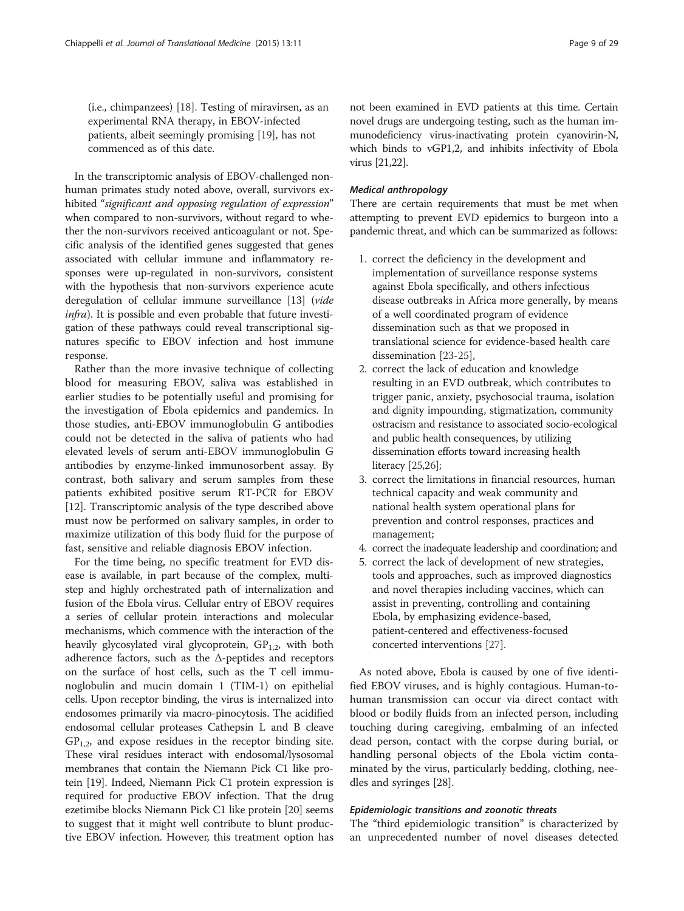(i.e., chimpanzees) [[18](#page-25-0)]. Testing of miravirsen, as an experimental RNA therapy, in EBOV-infected patients, albeit seemingly promising [\[19\]](#page-25-0), has not commenced as of this date.

In the transcriptomic analysis of EBOV-challenged nonhuman primates study noted above, overall, survivors exhibited "significant and opposing regulation of expression" when compared to non-survivors, without regard to whether the non-survivors received anticoagulant or not. Specific analysis of the identified genes suggested that genes associated with cellular immune and inflammatory responses were up-regulated in non-survivors, consistent with the hypothesis that non-survivors experience acute deregulation of cellular immune surveillance [\[13\]](#page-25-0) (vide infra). It is possible and even probable that future investigation of these pathways could reveal transcriptional signatures specific to EBOV infection and host immune response.

Rather than the more invasive technique of collecting blood for measuring EBOV, saliva was established in earlier studies to be potentially useful and promising for the investigation of Ebola epidemics and pandemics. In those studies, anti-EBOV immunoglobulin G antibodies could not be detected in the saliva of patients who had elevated levels of serum anti-EBOV immunoglobulin G antibodies by enzyme-linked immunosorbent assay. By contrast, both salivary and serum samples from these patients exhibited positive serum RT-PCR for EBOV [[12\]](#page-25-0). Transcriptomic analysis of the type described above must now be performed on salivary samples, in order to maximize utilization of this body fluid for the purpose of fast, sensitive and reliable diagnosis EBOV infection.

For the time being, no specific treatment for EVD disease is available, in part because of the complex, multistep and highly orchestrated path of internalization and fusion of the Ebola virus. Cellular entry of EBOV requires a series of cellular protein interactions and molecular mechanisms, which commence with the interaction of the heavily glycosylated viral glycoprotein,  $GP_{1,2}$ , with both adherence factors, such as the  $\Delta$ -peptides and receptors on the surface of host cells, such as the T cell immunoglobulin and mucin domain 1 (TIM-1) on epithelial cells. Upon receptor binding, the virus is internalized into endosomes primarily via macro-pinocytosis. The acidified endosomal cellular proteases Cathepsin L and B cleave  $GP_{1,2}$ , and expose residues in the receptor binding site. These viral residues interact with endosomal/lysosomal membranes that contain the Niemann Pick C1 like protein [[19](#page-25-0)]. Indeed, Niemann Pick C1 protein expression is required for productive EBOV infection. That the drug ezetimibe blocks Niemann Pick C1 like protein [\[20\]](#page-25-0) seems to suggest that it might well contribute to blunt productive EBOV infection. However, this treatment option has

not been examined in EVD patients at this time. Certain novel drugs are undergoing testing, such as the human immunodeficiency virus-inactivating protein cyanovirin-N, which binds to vGP1,2, and inhibits infectivity of Ebola virus [\[21,22\]](#page-25-0).

#### Medical anthropology

There are certain requirements that must be met when attempting to prevent EVD epidemics to burgeon into a pandemic threat, and which can be summarized as follows:

- 1. correct the deficiency in the development and implementation of surveillance response systems against Ebola specifically, and others infectious disease outbreaks in Africa more generally, by means of a well coordinated program of evidence dissemination such as that we proposed in translational science for evidence-based health care dissemination [[23](#page-25-0)-[25\]](#page-25-0),
- 2. correct the lack of education and knowledge resulting in an EVD outbreak, which contributes to trigger panic, anxiety, psychosocial trauma, isolation and dignity impounding, stigmatization, community ostracism and resistance to associated socio-ecological and public health consequences, by utilizing dissemination efforts toward increasing health literacy [[25,26](#page-25-0)];
- 3. correct the limitations in financial resources, human technical capacity and weak community and national health system operational plans for prevention and control responses, practices and management;
- 4. correct the inadequate leadership and coordination; and
- 5. correct the lack of development of new strategies, tools and approaches, such as improved diagnostics and novel therapies including vaccines, which can assist in preventing, controlling and containing Ebola, by emphasizing evidence-based, patient-centered and effectiveness-focused concerted interventions [[27\]](#page-25-0).

As noted above, Ebola is caused by one of five identified EBOV viruses, and is highly contagious. Human-tohuman transmission can occur via direct contact with blood or bodily fluids from an infected person, including touching during caregiving, embalming of an infected dead person, contact with the corpse during burial, or handling personal objects of the Ebola victim contaminated by the virus, particularly bedding, clothing, needles and syringes [\[28](#page-25-0)].

#### Epidemiologic transitions and zoonotic threats

The "third epidemiologic transition" is characterized by an unprecedented number of novel diseases detected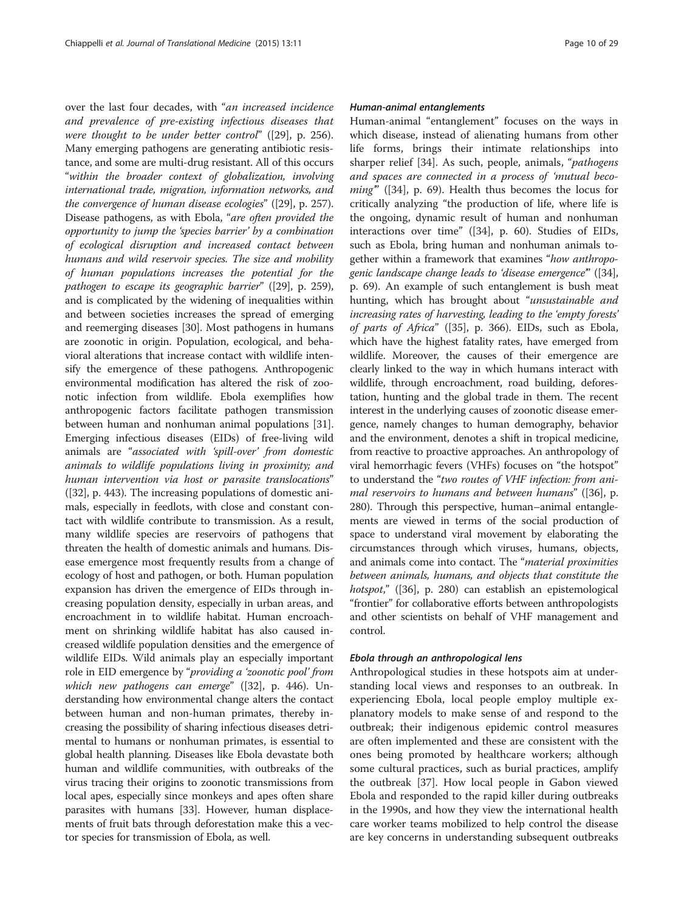over the last four decades, with "an increased incidence and prevalence of pre-existing infectious diseases that were thought to be under better control" ([\[29\]](#page-25-0), p. 256). Many emerging pathogens are generating antibiotic resistance, and some are multi-drug resistant. All of this occurs "within the broader context of globalization, involving international trade, migration, information networks, and the convergence of human disease ecologies" ([\[29](#page-25-0)], p. 257). Disease pathogens, as with Ebola, "are often provided the opportunity to jump the 'species barrier' by a combination of ecological disruption and increased contact between humans and wild reservoir species. The size and mobility of human populations increases the potential for the pathogen to escape its geographic barrier" ([\[29\]](#page-25-0), p. 259), and is complicated by the widening of inequalities within and between societies increases the spread of emerging and reemerging diseases [\[30\]](#page-25-0). Most pathogens in humans are zoonotic in origin. Population, ecological, and behavioral alterations that increase contact with wildlife intensify the emergence of these pathogens. Anthropogenic environmental modification has altered the risk of zoonotic infection from wildlife. Ebola exemplifies how anthropogenic factors facilitate pathogen transmission between human and nonhuman animal populations [[31](#page-25-0)]. Emerging infectious diseases (EIDs) of free-living wild animals are "associated with 'spill-over' from domestic animals to wildlife populations living in proximity; and human intervention via host or parasite translocations" ([\[32\]](#page-25-0), p. 443). The increasing populations of domestic animals, especially in feedlots, with close and constant contact with wildlife contribute to transmission. As a result, many wildlife species are reservoirs of pathogens that threaten the health of domestic animals and humans. Disease emergence most frequently results from a change of ecology of host and pathogen, or both. Human population expansion has driven the emergence of EIDs through increasing population density, especially in urban areas, and encroachment in to wildlife habitat. Human encroachment on shrinking wildlife habitat has also caused increased wildlife population densities and the emergence of wildlife EIDs. Wild animals play an especially important role in EID emergence by "providing a 'zoonotic pool' from which new pathogens can emerge" ([[32](#page-25-0)], p. 446). Understanding how environmental change alters the contact between human and non-human primates, thereby increasing the possibility of sharing infectious diseases detrimental to humans or nonhuman primates, is essential to global health planning. Diseases like Ebola devastate both human and wildlife communities, with outbreaks of the virus tracing their origins to zoonotic transmissions from local apes, especially since monkeys and apes often share parasites with humans [\[33](#page-25-0)]. However, human displacements of fruit bats through deforestation make this a vector species for transmission of Ebola, as well.

#### Human-animal entanglements

Human-animal "entanglement" focuses on the ways in which disease, instead of alienating humans from other life forms, brings their intimate relationships into sharper relief [\[34](#page-25-0)]. As such, people, animals, "pathogens and spaces are connected in a process of 'mutual beco $ming'''$  ([[34\]](#page-25-0), p. 69). Health thus becomes the locus for critically analyzing "the production of life, where life is the ongoing, dynamic result of human and nonhuman interactions over time" ([[34\]](#page-25-0), p. 60). Studies of EIDs, such as Ebola, bring human and nonhuman animals together within a framework that examines "how anthropogenic landscape change leads to 'disease emergence'" ([[34](#page-25-0)], p. 69). An example of such entanglement is bush meat hunting, which has brought about "unsustainable and increasing rates of harvesting, leading to the 'empty forests' of parts of Africa" ([\[35](#page-25-0)], p. 366). EIDs, such as Ebola, which have the highest fatality rates, have emerged from wildlife. Moreover, the causes of their emergence are clearly linked to the way in which humans interact with wildlife, through encroachment, road building, deforestation, hunting and the global trade in them. The recent interest in the underlying causes of zoonotic disease emergence, namely changes to human demography, behavior and the environment, denotes a shift in tropical medicine, from reactive to proactive approaches. An anthropology of viral hemorrhagic fevers (VHFs) focuses on "the hotspot" to understand the "two routes of VHF infection: from animal reservoirs to humans and between humans" ([[36](#page-25-0)], p. 280). Through this perspective, human–animal entanglements are viewed in terms of the social production of space to understand viral movement by elaborating the circumstances through which viruses, humans, objects, and animals come into contact. The "material proximities between animals, humans, and objects that constitute the hotspot," ([\[36\]](#page-25-0), p. 280) can establish an epistemological "frontier" for collaborative efforts between anthropologists and other scientists on behalf of VHF management and control.

#### Ebola through an anthropological lens

Anthropological studies in these hotspots aim at understanding local views and responses to an outbreak. In experiencing Ebola, local people employ multiple explanatory models to make sense of and respond to the outbreak; their indigenous epidemic control measures are often implemented and these are consistent with the ones being promoted by healthcare workers; although some cultural practices, such as burial practices, amplify the outbreak [\[37](#page-25-0)]. How local people in Gabon viewed Ebola and responded to the rapid killer during outbreaks in the 1990s, and how they view the international health care worker teams mobilized to help control the disease are key concerns in understanding subsequent outbreaks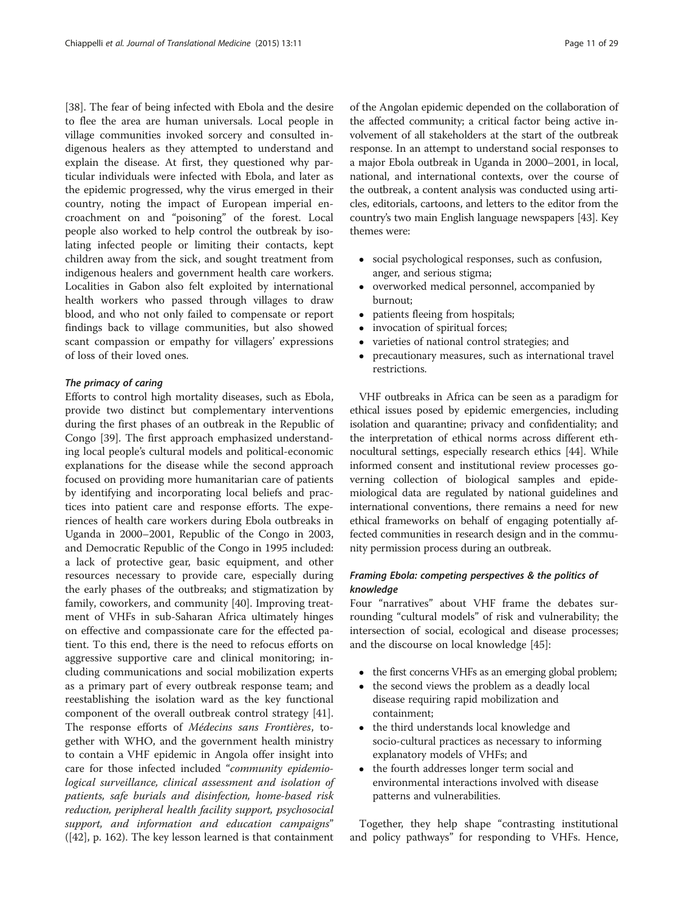[[38\]](#page-25-0). The fear of being infected with Ebola and the desire to flee the area are human universals. Local people in village communities invoked sorcery and consulted indigenous healers as they attempted to understand and explain the disease. At first, they questioned why particular individuals were infected with Ebola, and later as the epidemic progressed, why the virus emerged in their country, noting the impact of European imperial encroachment on and "poisoning" of the forest. Local people also worked to help control the outbreak by isolating infected people or limiting their contacts, kept children away from the sick, and sought treatment from indigenous healers and government health care workers. Localities in Gabon also felt exploited by international health workers who passed through villages to draw blood, and who not only failed to compensate or report findings back to village communities, but also showed scant compassion or empathy for villagers' expressions of loss of their loved ones.

#### The primacy of caring

Efforts to control high mortality diseases, such as Ebola, provide two distinct but complementary interventions during the first phases of an outbreak in the Republic of Congo [\[39](#page-25-0)]. The first approach emphasized understanding local people's cultural models and political-economic explanations for the disease while the second approach focused on providing more humanitarian care of patients by identifying and incorporating local beliefs and practices into patient care and response efforts. The experiences of health care workers during Ebola outbreaks in Uganda in 2000–2001, Republic of the Congo in 2003, and Democratic Republic of the Congo in 1995 included: a lack of protective gear, basic equipment, and other resources necessary to provide care, especially during the early phases of the outbreaks; and stigmatization by family, coworkers, and community [[40\]](#page-25-0). Improving treatment of VHFs in sub-Saharan Africa ultimately hinges on effective and compassionate care for the effected patient. To this end, there is the need to refocus efforts on aggressive supportive care and clinical monitoring; including communications and social mobilization experts as a primary part of every outbreak response team; and reestablishing the isolation ward as the key functional component of the overall outbreak control strategy [\[41](#page-25-0)]. The response efforts of Médecins sans Frontières, together with WHO, and the government health ministry to contain a VHF epidemic in Angola offer insight into care for those infected included "community epidemiological surveillance, clinical assessment and isolation of patients, safe burials and disinfection, home-based risk reduction, peripheral health facility support, psychosocial support, and information and education campaigns" ([\[42\]](#page-25-0), p. 162). The key lesson learned is that containment

of the Angolan epidemic depended on the collaboration of the affected community; a critical factor being active involvement of all stakeholders at the start of the outbreak response. In an attempt to understand social responses to a major Ebola outbreak in Uganda in 2000–2001, in local, national, and international contexts, over the course of the outbreak, a content analysis was conducted using articles, editorials, cartoons, and letters to the editor from the country's two main English language newspapers [[43\]](#page-25-0). Key themes were:

- social psychological responses, such as confusion, anger, and serious stigma;
- overworked medical personnel, accompanied by burnout;
- patients fleeing from hospitals;
- invocation of spiritual forces;
- varieties of national control strategies; and
- precautionary measures, such as international travel restrictions.

VHF outbreaks in Africa can be seen as a paradigm for ethical issues posed by epidemic emergencies, including isolation and quarantine; privacy and confidentiality; and the interpretation of ethical norms across different ethnocultural settings, especially research ethics [\[44](#page-25-0)]. While informed consent and institutional review processes governing collection of biological samples and epidemiological data are regulated by national guidelines and international conventions, there remains a need for new ethical frameworks on behalf of engaging potentially affected communities in research design and in the community permission process during an outbreak.

#### Framing Ebola: competing perspectives & the politics of knowledge

Four "narratives" about VHF frame the debates surrounding "cultural models" of risk and vulnerability; the intersection of social, ecological and disease processes; and the discourse on local knowledge [[45\]](#page-25-0):

- the first concerns VHFs as an emerging global problem;<br>• the second views the problem as a deadly local
- the second views the problem as a deadly local disease requiring rapid mobilization and containment;
- the third understands local knowledge and socio-cultural practices as necessary to informing explanatory models of VHFs; and
- the fourth addresses longer term social and environmental interactions involved with disease patterns and vulnerabilities.

Together, they help shape "contrasting institutional and policy pathways" for responding to VHFs. Hence,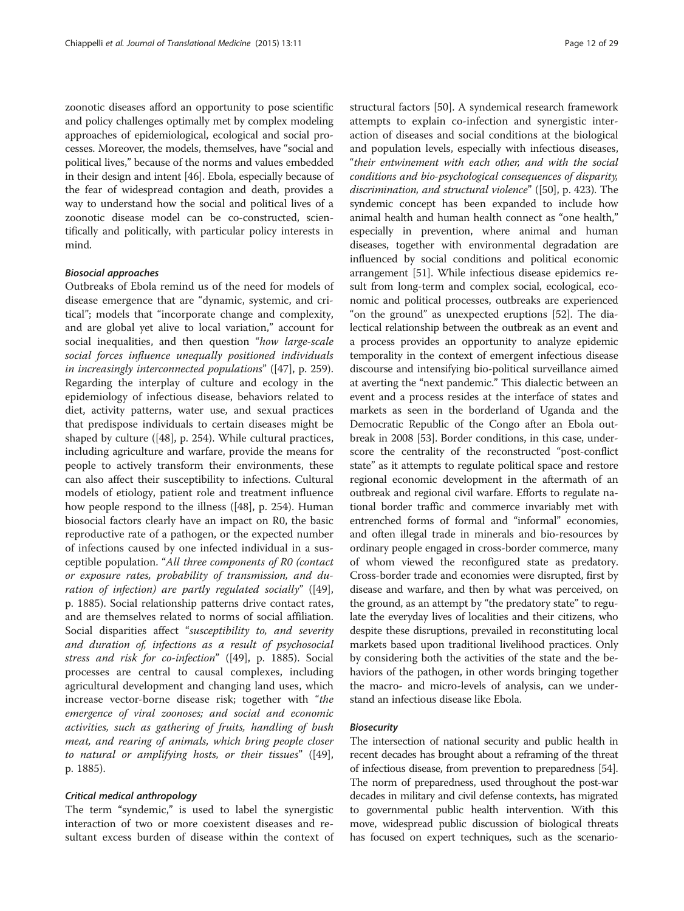zoonotic diseases afford an opportunity to pose scientific and policy challenges optimally met by complex modeling approaches of epidemiological, ecological and social processes. Moreover, the models, themselves, have "social and political lives," because of the norms and values embedded in their design and intent [[46](#page-25-0)]. Ebola, especially because of the fear of widespread contagion and death, provides a way to understand how the social and political lives of a zoonotic disease model can be co-constructed, scientifically and politically, with particular policy interests in mind.

#### Biosocial approaches

Outbreaks of Ebola remind us of the need for models of disease emergence that are "dynamic, systemic, and critical"; models that "incorporate change and complexity, and are global yet alive to local variation," account for social inequalities, and then question "how large-scale social forces influence unequally positioned individuals in increasingly interconnected populations" ([[47\]](#page-25-0), p. 259). Regarding the interplay of culture and ecology in the epidemiology of infectious disease, behaviors related to diet, activity patterns, water use, and sexual practices that predispose individuals to certain diseases might be shaped by culture ([[48](#page-25-0)], p. 254). While cultural practices, including agriculture and warfare, provide the means for people to actively transform their environments, these can also affect their susceptibility to infections. Cultural models of etiology, patient role and treatment influence how people respond to the illness ([[48\]](#page-25-0), p. 254). Human biosocial factors clearly have an impact on R0, the basic reproductive rate of a pathogen, or the expected number of infections caused by one infected individual in a susceptible population. "All three components of R0 (contact or exposure rates, probability of transmission, and duration of infection) are partly regulated socially" ([\[49](#page-25-0)], p. 1885). Social relationship patterns drive contact rates, and are themselves related to norms of social affiliation. Social disparities affect "susceptibility to, and severity and duration of, infections as a result of psychosocial stress and risk for co-infection" ([[49\]](#page-25-0), p. 1885). Social processes are central to causal complexes, including agricultural development and changing land uses, which increase vector-borne disease risk; together with "the emergence of viral zoonoses; and social and economic activities, such as gathering of fruits, handling of bush meat, and rearing of animals, which bring people closer to natural or amplifying hosts, or their tissues" ([\[49](#page-25-0)], p. 1885).

#### Critical medical anthropology

The term "syndemic," is used to label the synergistic interaction of two or more coexistent diseases and resultant excess burden of disease within the context of

structural factors [[50\]](#page-25-0). A syndemical research framework attempts to explain co-infection and synergistic interaction of diseases and social conditions at the biological and population levels, especially with infectious diseases, "their entwinement with each other, and with the social conditions and bio-psychological consequences of disparity, discrimination, and structural violence" ([\[50\]](#page-25-0), p. 423). The syndemic concept has been expanded to include how animal health and human health connect as "one health," especially in prevention, where animal and human diseases, together with environmental degradation are influenced by social conditions and political economic arrangement [\[51](#page-25-0)]. While infectious disease epidemics result from long-term and complex social, ecological, economic and political processes, outbreaks are experienced "on the ground" as unexpected eruptions [\[52\]](#page-25-0). The dialectical relationship between the outbreak as an event and a process provides an opportunity to analyze epidemic temporality in the context of emergent infectious disease discourse and intensifying bio-political surveillance aimed at averting the "next pandemic." This dialectic between an event and a process resides at the interface of states and markets as seen in the borderland of Uganda and the Democratic Republic of the Congo after an Ebola outbreak in 2008 [\[53\]](#page-25-0). Border conditions, in this case, underscore the centrality of the reconstructed "post-conflict state" as it attempts to regulate political space and restore regional economic development in the aftermath of an outbreak and regional civil warfare. Efforts to regulate national border traffic and commerce invariably met with entrenched forms of formal and "informal" economies, and often illegal trade in minerals and bio-resources by ordinary people engaged in cross-border commerce, many of whom viewed the reconfigured state as predatory. Cross-border trade and economies were disrupted, first by disease and warfare, and then by what was perceived, on the ground, as an attempt by "the predatory state" to regulate the everyday lives of localities and their citizens, who despite these disruptions, prevailed in reconstituting local markets based upon traditional livelihood practices. Only by considering both the activities of the state and the behaviors of the pathogen, in other words bringing together the macro- and micro-levels of analysis, can we understand an infectious disease like Ebola.

#### **Biosecurity**

The intersection of national security and public health in recent decades has brought about a reframing of the threat of infectious disease, from prevention to preparedness [\[54](#page-25-0)]. The norm of preparedness, used throughout the post-war decades in military and civil defense contexts, has migrated to governmental public health intervention. With this move, widespread public discussion of biological threats has focused on expert techniques, such as the scenario-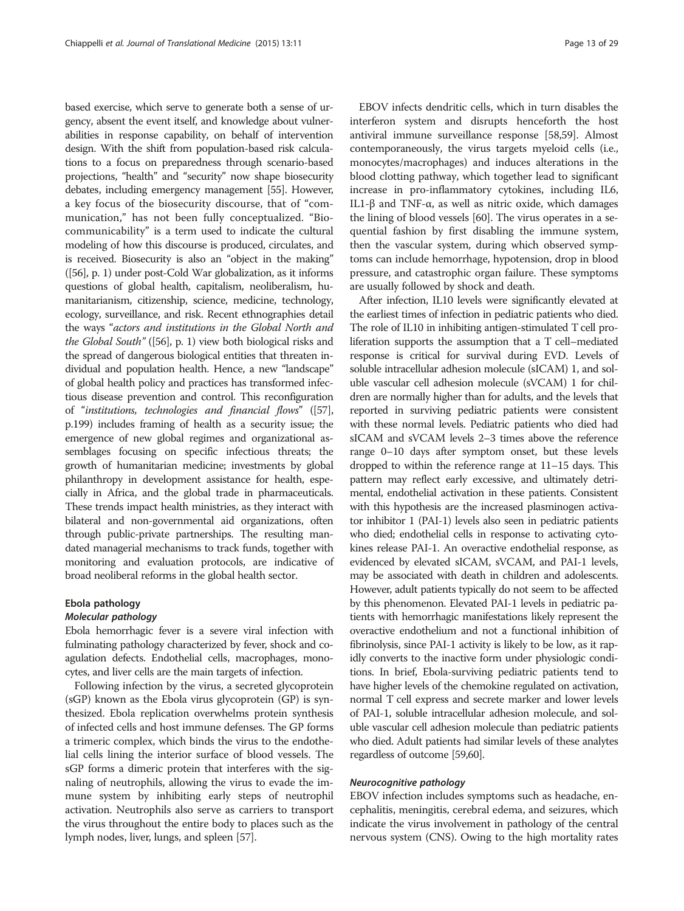based exercise, which serve to generate both a sense of urgency, absent the event itself, and knowledge about vulnerabilities in response capability, on behalf of intervention design. With the shift from population-based risk calculations to a focus on preparedness through scenario-based projections, "health" and "security" now shape biosecurity debates, including emergency management [[55](#page-25-0)]. However, a key focus of the biosecurity discourse, that of "communication," has not been fully conceptualized. "Biocommunicability" is a term used to indicate the cultural modeling of how this discourse is produced, circulates, and is received. Biosecurity is also an "object in the making" ([[56](#page-25-0)], p. 1) under post-Cold War globalization, as it informs questions of global health, capitalism, neoliberalism, humanitarianism, citizenship, science, medicine, technology, ecology, surveillance, and risk. Recent ethnographies detail the ways "actors and institutions in the Global North and the Global South" ([\[56\]](#page-25-0), p. 1) view both biological risks and the spread of dangerous biological entities that threaten individual and population health. Hence, a new "landscape" of global health policy and practices has transformed infectious disease prevention and control. This reconfiguration of "institutions, technologies and financial flows" ([\[57](#page-25-0)], p.199) includes framing of health as a security issue; the emergence of new global regimes and organizational assemblages focusing on specific infectious threats; the growth of humanitarian medicine; investments by global philanthropy in development assistance for health, especially in Africa, and the global trade in pharmaceuticals. These trends impact health ministries, as they interact with bilateral and non-governmental aid organizations, often through public-private partnerships. The resulting mandated managerial mechanisms to track funds, together with monitoring and evaluation protocols, are indicative of broad neoliberal reforms in the global health sector.

#### Ebola pathology Molecular pathology

Ebola hemorrhagic fever is a severe viral infection with fulminating pathology characterized by fever, shock and coagulation defects. Endothelial cells, macrophages, monocytes, and liver cells are the main targets of infection.

Following infection by the virus, a secreted glycoprotein (sGP) known as the Ebola virus glycoprotein (GP) is synthesized. Ebola replication overwhelms protein synthesis of infected cells and host immune defenses. The GP forms a trimeric complex, which binds the virus to the endothelial cells lining the interior surface of blood vessels. The sGP forms a dimeric protein that interferes with the signaling of neutrophils, allowing the virus to evade the immune system by inhibiting early steps of neutrophil activation. Neutrophils also serve as carriers to transport the virus throughout the entire body to places such as the lymph nodes, liver, lungs, and spleen [[57](#page-25-0)].

EBOV infects dendritic cells, which in turn disables the interferon system and disrupts henceforth the host antiviral immune surveillance response [\[58,59\]](#page-25-0). Almost contemporaneously, the virus targets myeloid cells (i.e., monocytes/macrophages) and induces alterations in the blood clotting pathway, which together lead to significant increase in pro-inflammatory cytokines, including IL6, IL1-β and TNF-α, as well as nitric oxide, which damages the lining of blood vessels [\[60](#page-25-0)]. The virus operates in a sequential fashion by first disabling the immune system, then the vascular system, during which observed symptoms can include hemorrhage, hypotension, drop in blood pressure, and catastrophic organ failure. These symptoms are usually followed by shock and death.

After infection, IL10 levels were significantly elevated at the earliest times of infection in pediatric patients who died. The role of IL10 in inhibiting antigen-stimulated T cell proliferation supports the assumption that a T cell–mediated response is critical for survival during EVD. Levels of soluble intracellular adhesion molecule (sICAM) 1, and soluble vascular cell adhesion molecule (sVCAM) 1 for children are normally higher than for adults, and the levels that reported in surviving pediatric patients were consistent with these normal levels. Pediatric patients who died had sICAM and sVCAM levels 2–3 times above the reference range 0–10 days after symptom onset, but these levels dropped to within the reference range at 11–15 days. This pattern may reflect early excessive, and ultimately detrimental, endothelial activation in these patients. Consistent with this hypothesis are the increased plasminogen activator inhibitor 1 (PAI-1) levels also seen in pediatric patients who died; endothelial cells in response to activating cytokines release PAI-1. An overactive endothelial response, as evidenced by elevated sICAM, sVCAM, and PAI-1 levels, may be associated with death in children and adolescents. However, adult patients typically do not seem to be affected by this phenomenon. Elevated PAI-1 levels in pediatric patients with hemorrhagic manifestations likely represent the overactive endothelium and not a functional inhibition of fibrinolysis, since PAI-1 activity is likely to be low, as it rapidly converts to the inactive form under physiologic conditions. In brief, Ebola-surviving pediatric patients tend to have higher levels of the chemokine regulated on activation, normal T cell express and secrete marker and lower levels of PAI-1, soluble intracellular adhesion molecule, and soluble vascular cell adhesion molecule than pediatric patients who died. Adult patients had similar levels of these analytes regardless of outcome [\[59,60](#page-25-0)].

#### Neurocognitive pathology

EBOV infection includes symptoms such as headache, encephalitis, meningitis, cerebral edema, and seizures, which indicate the virus involvement in pathology of the central nervous system (CNS). Owing to the high mortality rates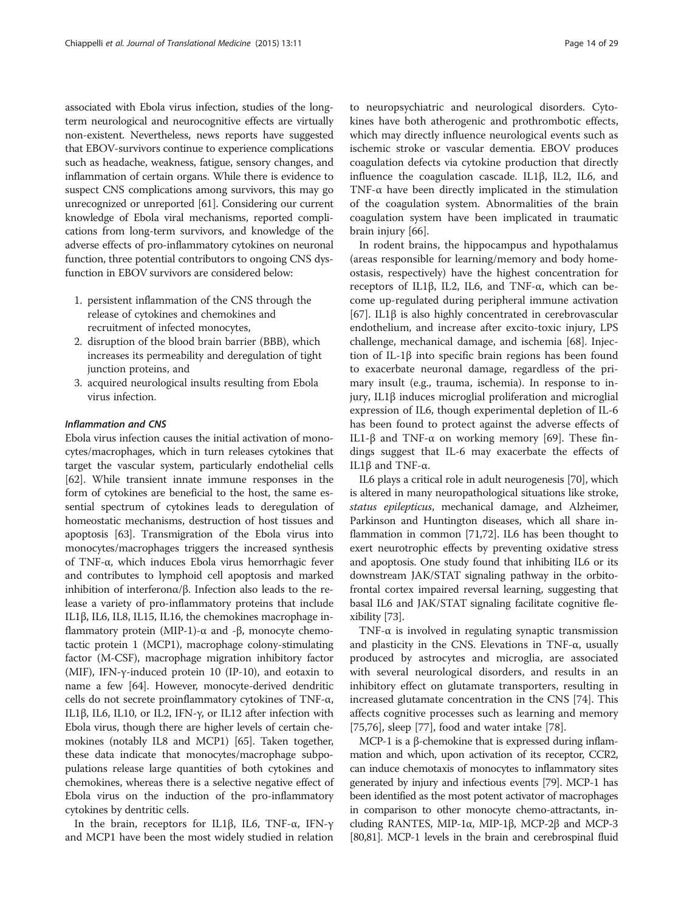associated with Ebola virus infection, studies of the longterm neurological and neurocognitive effects are virtually non-existent. Nevertheless, news reports have suggested that EBOV-survivors continue to experience complications such as headache, weakness, fatigue, sensory changes, and inflammation of certain organs. While there is evidence to suspect CNS complications among survivors, this may go unrecognized or unreported [\[61](#page-25-0)]. Considering our current knowledge of Ebola viral mechanisms, reported complications from long-term survivors, and knowledge of the adverse effects of pro-inflammatory cytokines on neuronal function, three potential contributors to ongoing CNS dysfunction in EBOV survivors are considered below:

- 1. persistent inflammation of the CNS through the release of cytokines and chemokines and recruitment of infected monocytes,
- 2. disruption of the blood brain barrier (BBB), which increases its permeability and deregulation of tight junction proteins, and
- 3. acquired neurological insults resulting from Ebola virus infection.

#### Inflammation and CNS

Ebola virus infection causes the initial activation of monocytes/macrophages, which in turn releases cytokines that target the vascular system, particularly endothelial cells [[62](#page-25-0)]. While transient innate immune responses in the form of cytokines are beneficial to the host, the same essential spectrum of cytokines leads to deregulation of homeostatic mechanisms, destruction of host tissues and apoptosis [[63](#page-26-0)]. Transmigration of the Ebola virus into monocytes/macrophages triggers the increased synthesis of TNF-α, which induces Ebola virus hemorrhagic fever and contributes to lymphoid cell apoptosis and marked inhibition of interferonα/β. Infection also leads to the release a variety of pro-inflammatory proteins that include IL1β, IL6, IL8, IL15, IL16, the chemokines macrophage inflammatory protein (MIP-1)-α and -β, monocyte chemotactic protein 1 (MCP1), macrophage colony-stimulating factor (M-CSF), macrophage migration inhibitory factor (MIF), IFN-γ-induced protein 10 (IP-10), and eotaxin to name a few [\[64\]](#page-26-0). However, monocyte-derived dendritic cells do not secrete proinflammatory cytokines of TNF-α, IL1β, IL6, IL10, or IL2, IFN-γ, or IL12 after infection with Ebola virus, though there are higher levels of certain chemokines (notably IL8 and MCP1) [\[65\]](#page-26-0). Taken together, these data indicate that monocytes/macrophage subpopulations release large quantities of both cytokines and chemokines, whereas there is a selective negative effect of Ebola virus on the induction of the pro-inflammatory cytokines by dentritic cells.

In the brain, receptors for IL1β, IL6, TNF-α, IFN-γ and MCP1 have been the most widely studied in relation

to neuropsychiatric and neurological disorders. Cytokines have both atherogenic and prothrombotic effects, which may directly influence neurological events such as ischemic stroke or vascular dementia. EBOV produces coagulation defects via cytokine production that directly influence the coagulation cascade. IL1β, IL2, IL6, and TNF-α have been directly implicated in the stimulation of the coagulation system. Abnormalities of the brain coagulation system have been implicated in traumatic brain injury [[66\]](#page-26-0).

In rodent brains, the hippocampus and hypothalamus (areas responsible for learning/memory and body homeostasis, respectively) have the highest concentration for receptors of IL1β, IL2, IL6, and TNF-α, which can become up-regulated during peripheral immune activation [[67\]](#page-26-0). IL1β is also highly concentrated in cerebrovascular endothelium, and increase after excito-toxic injury, LPS challenge, mechanical damage, and ischemia [\[68](#page-26-0)]. Injection of IL-1β into specific brain regions has been found to exacerbate neuronal damage, regardless of the primary insult (e.g., trauma, ischemia). In response to injury, IL1β induces microglial proliferation and microglial expression of IL6, though experimental depletion of IL-6 has been found to protect against the adverse effects of IL1-β and TNF-α on working memory [\[69](#page-26-0)]. These findings suggest that IL-6 may exacerbate the effects of IL1β and TNF-α.

IL6 plays a critical role in adult neurogenesis [\[70\]](#page-26-0), which is altered in many neuropathological situations like stroke, status epilepticus, mechanical damage, and Alzheimer, Parkinson and Huntington diseases, which all share inflammation in common [\[71,72\]](#page-26-0). IL6 has been thought to exert neurotrophic effects by preventing oxidative stress and apoptosis. One study found that inhibiting IL6 or its downstream JAK/STAT signaling pathway in the orbitofrontal cortex impaired reversal learning, suggesting that basal IL6 and JAK/STAT signaling facilitate cognitive flexibility [\[73](#page-26-0)].

TNF-α is involved in regulating synaptic transmission and plasticity in the CNS. Elevations in TNF- $\alpha$ , usually produced by astrocytes and microglia, are associated with several neurological disorders, and results in an inhibitory effect on glutamate transporters, resulting in increased glutamate concentration in the CNS [\[74](#page-26-0)]. This affects cognitive processes such as learning and memory [[75,76\]](#page-26-0), sleep [\[77](#page-26-0)], food and water intake [\[78\]](#page-26-0).

MCP-1 is a  $β$ -chemokine that is expressed during inflammation and which, upon activation of its receptor, CCR2, can induce chemotaxis of monocytes to inflammatory sites generated by injury and infectious events [\[79\]](#page-26-0). MCP-1 has been identified as the most potent activator of macrophages in comparison to other monocyte chemo-attractants, including RANTES, MIP-1α, MIP-1β, MCP-2β and MCP-3 [[80,81\]](#page-26-0). MCP-1 levels in the brain and cerebrospinal fluid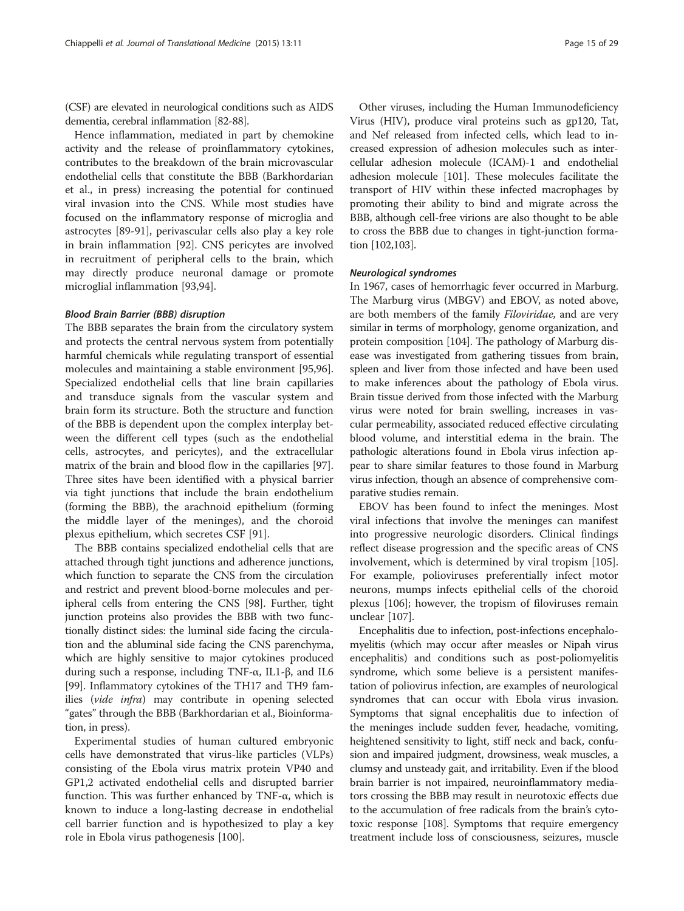(CSF) are elevated in neurological conditions such as AIDS dementia, cerebral inflammation [[82-88\]](#page-26-0).

Hence inflammation, mediated in part by chemokine activity and the release of proinflammatory cytokines, contributes to the breakdown of the brain microvascular endothelial cells that constitute the BBB (Barkhordarian et al., in press) increasing the potential for continued viral invasion into the CNS. While most studies have focused on the inflammatory response of microglia and astrocytes [[89-91](#page-26-0)], perivascular cells also play a key role in brain inflammation [[92](#page-26-0)]. CNS pericytes are involved in recruitment of peripheral cells to the brain, which may directly produce neuronal damage or promote microglial inflammation [\[93,94](#page-26-0)].

#### Blood Brain Barrier (BBB) disruption

The BBB separates the brain from the circulatory system and protects the central nervous system from potentially harmful chemicals while regulating transport of essential molecules and maintaining a stable environment [\[95,96](#page-26-0)]. Specialized endothelial cells that line brain capillaries and transduce signals from the vascular system and brain form its structure. Both the structure and function of the BBB is dependent upon the complex interplay between the different cell types (such as the endothelial cells, astrocytes, and pericytes), and the extracellular matrix of the brain and blood flow in the capillaries [\[97](#page-26-0)]. Three sites have been identified with a physical barrier via tight junctions that include the brain endothelium (forming the BBB), the arachnoid epithelium (forming the middle layer of the meninges), and the choroid plexus epithelium, which secretes CSF [[91\]](#page-26-0).

The BBB contains specialized endothelial cells that are attached through tight junctions and adherence junctions, which function to separate the CNS from the circulation and restrict and prevent blood-borne molecules and peripheral cells from entering the CNS [[98](#page-26-0)]. Further, tight junction proteins also provides the BBB with two functionally distinct sides: the luminal side facing the circulation and the abluminal side facing the CNS parenchyma, which are highly sensitive to major cytokines produced during such a response, including TNF-α, IL1-β, and IL6 [[99](#page-26-0)]. Inflammatory cytokines of the TH17 and TH9 families (vide infra) may contribute in opening selected "gates" through the BBB (Barkhordarian et al., Bioinformation, in press).

Experimental studies of human cultured embryonic cells have demonstrated that virus-like particles (VLPs) consisting of the Ebola virus matrix protein VP40 and GP1,2 activated endothelial cells and disrupted barrier function. This was further enhanced by TNF-α, which is known to induce a long-lasting decrease in endothelial cell barrier function and is hypothesized to play a key role in Ebola virus pathogenesis [[100\]](#page-26-0).

Other viruses, including the Human Immunodeficiency Virus (HIV), produce viral proteins such as gp120, Tat, and Nef released from infected cells, which lead to increased expression of adhesion molecules such as intercellular adhesion molecule (ICAM)-1 and endothelial adhesion molecule [\[101\]](#page-26-0). These molecules facilitate the transport of HIV within these infected macrophages by promoting their ability to bind and migrate across the BBB, although cell-free virions are also thought to be able to cross the BBB due to changes in tight-junction formation [\[102,103](#page-26-0)].

#### Neurological syndromes

In 1967, cases of hemorrhagic fever occurred in Marburg. The Marburg virus (MBGV) and EBOV, as noted above, are both members of the family Filoviridae, and are very similar in terms of morphology, genome organization, and protein composition [\[104](#page-26-0)]. The pathology of Marburg disease was investigated from gathering tissues from brain, spleen and liver from those infected and have been used to make inferences about the pathology of Ebola virus. Brain tissue derived from those infected with the Marburg virus were noted for brain swelling, increases in vascular permeability, associated reduced effective circulating blood volume, and interstitial edema in the brain. The pathologic alterations found in Ebola virus infection appear to share similar features to those found in Marburg virus infection, though an absence of comprehensive comparative studies remain.

EBOV has been found to infect the meninges. Most viral infections that involve the meninges can manifest into progressive neurologic disorders. Clinical findings reflect disease progression and the specific areas of CNS involvement, which is determined by viral tropism [[105](#page-26-0)]. For example, polioviruses preferentially infect motor neurons, mumps infects epithelial cells of the choroid plexus [[106](#page-26-0)]; however, the tropism of filoviruses remain unclear [[107\]](#page-26-0).

Encephalitis due to infection, post-infections encephalomyelitis (which may occur after measles or Nipah virus encephalitis) and conditions such as post-poliomyelitis syndrome, which some believe is a persistent manifestation of poliovirus infection, are examples of neurological syndromes that can occur with Ebola virus invasion. Symptoms that signal encephalitis due to infection of the meninges include sudden fever, headache, vomiting, heightened sensitivity to light, stiff neck and back, confusion and impaired judgment, drowsiness, weak muscles, a clumsy and unsteady gait, and irritability. Even if the blood brain barrier is not impaired, neuroinflammatory mediators crossing the BBB may result in neurotoxic effects due to the accumulation of free radicals from the brain's cytotoxic response [\[108\]](#page-26-0). Symptoms that require emergency treatment include loss of consciousness, seizures, muscle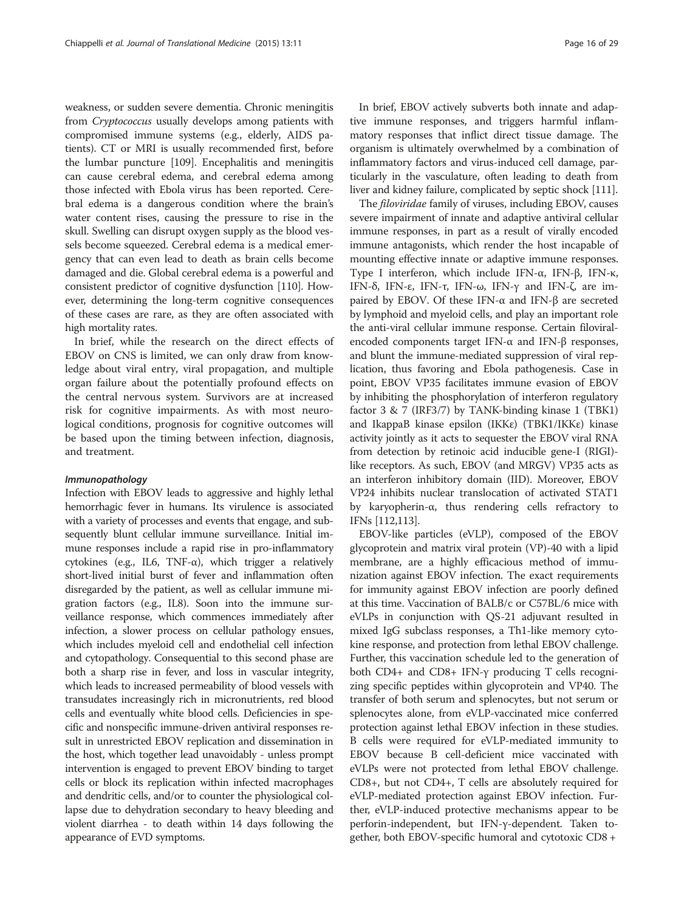weakness, or sudden severe dementia. Chronic meningitis from Cryptococcus usually develops among patients with compromised immune systems (e.g., elderly, AIDS patients). CT or MRI is usually recommended first, before the lumbar puncture [[109](#page-26-0)]. Encephalitis and meningitis can cause cerebral edema, and cerebral edema among those infected with Ebola virus has been reported. Cerebral edema is a dangerous condition where the brain's water content rises, causing the pressure to rise in the skull. Swelling can disrupt oxygen supply as the blood vessels become squeezed. Cerebral edema is a medical emergency that can even lead to death as brain cells become damaged and die. Global cerebral edema is a powerful and consistent predictor of cognitive dysfunction [[110](#page-26-0)]. However, determining the long-term cognitive consequences of these cases are rare, as they are often associated with high mortality rates.

In brief, while the research on the direct effects of EBOV on CNS is limited, we can only draw from knowledge about viral entry, viral propagation, and multiple organ failure about the potentially profound effects on the central nervous system. Survivors are at increased risk for cognitive impairments. As with most neurological conditions, prognosis for cognitive outcomes will be based upon the timing between infection, diagnosis, and treatment.

#### Immunopathology

Infection with EBOV leads to aggressive and highly lethal hemorrhagic fever in humans. Its virulence is associated with a variety of processes and events that engage, and subsequently blunt cellular immune surveillance. Initial immune responses include a rapid rise in pro-inflammatory cytokines (e.g., IL6, TNF- $\alpha$ ), which trigger a relatively short-lived initial burst of fever and inflammation often disregarded by the patient, as well as cellular immune migration factors (e.g., IL8). Soon into the immune surveillance response, which commences immediately after infection, a slower process on cellular pathology ensues, which includes myeloid cell and endothelial cell infection and cytopathology. Consequential to this second phase are both a sharp rise in fever, and loss in vascular integrity, which leads to increased permeability of blood vessels with transudates increasingly rich in micronutrients, red blood cells and eventually white blood cells. Deficiencies in specific and nonspecific immune-driven antiviral responses result in unrestricted EBOV replication and dissemination in the host, which together lead unavoidably - unless prompt intervention is engaged to prevent EBOV binding to target cells or block its replication within infected macrophages and dendritic cells, and/or to counter the physiological collapse due to dehydration secondary to heavy bleeding and violent diarrhea - to death within 14 days following the appearance of EVD symptoms.

In brief, EBOV actively subverts both innate and adaptive immune responses, and triggers harmful inflammatory responses that inflict direct tissue damage. The organism is ultimately overwhelmed by a combination of inflammatory factors and virus-induced cell damage, particularly in the vasculature, often leading to death from liver and kidney failure, complicated by septic shock [[111](#page-26-0)].

The filoviridae family of viruses, including EBOV, causes severe impairment of innate and adaptive antiviral cellular immune responses, in part as a result of virally encoded immune antagonists, which render the host incapable of mounting effective innate or adaptive immune responses. Type I interferon, which include IFN-α, IFN-β, IFN-κ, IFN-δ, IFN-ε, IFN-τ, IFN-ω, IFN-γ and IFN-ζ, are impaired by EBOV. Of these IFN-α and IFN-β are secreted by lymphoid and myeloid cells, and play an important role the anti-viral cellular immune response. Certain filoviralencoded components target IFN-α and IFN-β responses, and blunt the immune-mediated suppression of viral replication, thus favoring and Ebola pathogenesis. Case in point, EBOV VP35 facilitates immune evasion of EBOV by inhibiting the phosphorylation of interferon regulatory factor 3 & 7 (IRF3/7) by TANK-binding kinase 1 (TBK1) and IkappaB kinase epsilon (IKKε) (TBK1/IKKε) kinase activity jointly as it acts to sequester the EBOV viral RNA from detection by retinoic acid inducible gene-I (RIGI) like receptors. As such, EBOV (and MRGV) VP35 acts as an interferon inhibitory domain (IID). Moreover, EBOV VP24 inhibits nuclear translocation of activated STAT1 by karyopherin-α, thus rendering cells refractory to IFNs [[112,113\]](#page-26-0).

EBOV-like particles (eVLP), composed of the EBOV glycoprotein and matrix viral protein (VP)-40 with a lipid membrane, are a highly efficacious method of immunization against EBOV infection. The exact requirements for immunity against EBOV infection are poorly defined at this time. Vaccination of BALB/c or C57BL/6 mice with eVLPs in conjunction with QS-21 adjuvant resulted in mixed IgG subclass responses, a Th1-like memory cytokine response, and protection from lethal EBOV challenge. Further, this vaccination schedule led to the generation of both CD4+ and CD8+ IFN-γ producing T cells recognizing specific peptides within glycoprotein and VP40. The transfer of both serum and splenocytes, but not serum or splenocytes alone, from eVLP-vaccinated mice conferred protection against lethal EBOV infection in these studies. B cells were required for eVLP-mediated immunity to EBOV because B cell-deficient mice vaccinated with eVLPs were not protected from lethal EBOV challenge. CD8+, but not CD4+, T cells are absolutely required for eVLP-mediated protection against EBOV infection. Further, eVLP-induced protective mechanisms appear to be perforin-independent, but IFN-γ-dependent. Taken together, both EBOV-specific humoral and cytotoxic CD8 +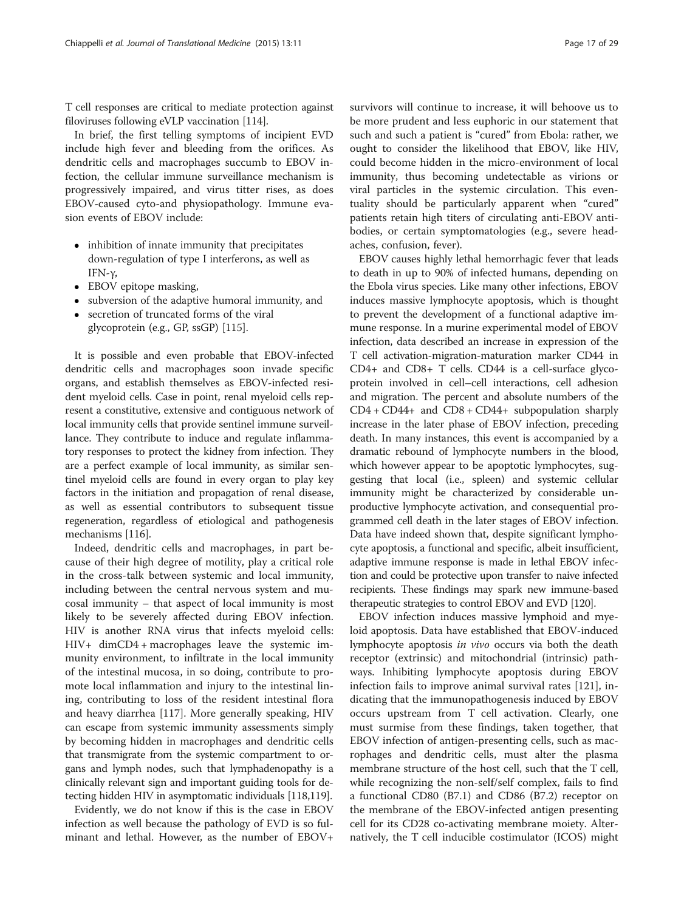T cell responses are critical to mediate protection against filoviruses following eVLP vaccination [\[114\]](#page-26-0).

In brief, the first telling symptoms of incipient EVD include high fever and bleeding from the orifices. As dendritic cells and macrophages succumb to EBOV infection, the cellular immune surveillance mechanism is progressively impaired, and virus titter rises, as does EBOV-caused cyto-and physiopathology. Immune evasion events of EBOV include:

- inhibition of innate immunity that precipitates down-regulation of type I interferons, as well as IFN-γ,
- EBOV epitope masking,
- subversion of the adaptive humoral immunity, and
- secretion of truncated forms of the viral
- glycoprotein (e.g., GP, ssGP) [[115](#page-26-0)].

It is possible and even probable that EBOV-infected dendritic cells and macrophages soon invade specific organs, and establish themselves as EBOV-infected resident myeloid cells. Case in point, renal myeloid cells represent a constitutive, extensive and contiguous network of local immunity cells that provide sentinel immune surveillance. They contribute to induce and regulate inflammatory responses to protect the kidney from infection. They are a perfect example of local immunity, as similar sentinel myeloid cells are found in every organ to play key factors in the initiation and propagation of renal disease, as well as essential contributors to subsequent tissue regeneration, regardless of etiological and pathogenesis mechanisms [\[116](#page-26-0)].

Indeed, dendritic cells and macrophages, in part because of their high degree of motility, play a critical role in the cross-talk between systemic and local immunity, including between the central nervous system and mucosal immunity – that aspect of local immunity is most likely to be severely affected during EBOV infection. HIV is another RNA virus that infects myeloid cells: HIV+ dimCD4 + macrophages leave the systemic immunity environment, to infiltrate in the local immunity of the intestinal mucosa, in so doing, contribute to promote local inflammation and injury to the intestinal lining, contributing to loss of the resident intestinal flora and heavy diarrhea [\[117\]](#page-26-0). More generally speaking, HIV can escape from systemic immunity assessments simply by becoming hidden in macrophages and dendritic cells that transmigrate from the systemic compartment to organs and lymph nodes, such that lymphadenopathy is a clinically relevant sign and important guiding tools for detecting hidden HIV in asymptomatic individuals [\[118,119](#page-27-0)].

Evidently, we do not know if this is the case in EBOV infection as well because the pathology of EVD is so fulminant and lethal. However, as the number of EBOV+

survivors will continue to increase, it will behoove us to be more prudent and less euphoric in our statement that such and such a patient is "cured" from Ebola: rather, we ought to consider the likelihood that EBOV, like HIV, could become hidden in the micro-environment of local immunity, thus becoming undetectable as virions or viral particles in the systemic circulation. This eventuality should be particularly apparent when "cured" patients retain high titers of circulating anti-EBOV antibodies, or certain symptomatologies (e.g., severe headaches, confusion, fever).

EBOV causes highly lethal hemorrhagic fever that leads to death in up to 90% of infected humans, depending on the Ebola virus species. Like many other infections, EBOV induces massive lymphocyte apoptosis, which is thought to prevent the development of a functional adaptive immune response. In a murine experimental model of EBOV infection, data described an increase in expression of the T cell activation-migration-maturation marker CD44 in CD4+ and CD8+ T cells. CD44 is a cell-surface glycoprotein involved in cell–cell interactions, cell adhesion and migration. The percent and absolute numbers of the CD4 + CD44+ and CD8 + CD44+ subpopulation sharply increase in the later phase of EBOV infection, preceding death. In many instances, this event is accompanied by a dramatic rebound of lymphocyte numbers in the blood, which however appear to be apoptotic lymphocytes, suggesting that local (i.e., spleen) and systemic cellular immunity might be characterized by considerable unproductive lymphocyte activation, and consequential programmed cell death in the later stages of EBOV infection. Data have indeed shown that, despite significant lymphocyte apoptosis, a functional and specific, albeit insufficient, adaptive immune response is made in lethal EBOV infection and could be protective upon transfer to naive infected recipients. These findings may spark new immune-based therapeutic strategies to control EBOV and EVD [\[120](#page-27-0)].

EBOV infection induces massive lymphoid and myeloid apoptosis. Data have established that EBOV-induced lymphocyte apoptosis in vivo occurs via both the death receptor (extrinsic) and mitochondrial (intrinsic) pathways. Inhibiting lymphocyte apoptosis during EBOV infection fails to improve animal survival rates [[121](#page-27-0)], indicating that the immunopathogenesis induced by EBOV occurs upstream from T cell activation. Clearly, one must surmise from these findings, taken together, that EBOV infection of antigen-presenting cells, such as macrophages and dendritic cells, must alter the plasma membrane structure of the host cell, such that the T cell, while recognizing the non-self/self complex, fails to find a functional CD80 (B7.1) and CD86 (B7.2) receptor on the membrane of the EBOV-infected antigen presenting cell for its CD28 co-activating membrane moiety. Alternatively, the T cell inducible costimulator (ICOS) might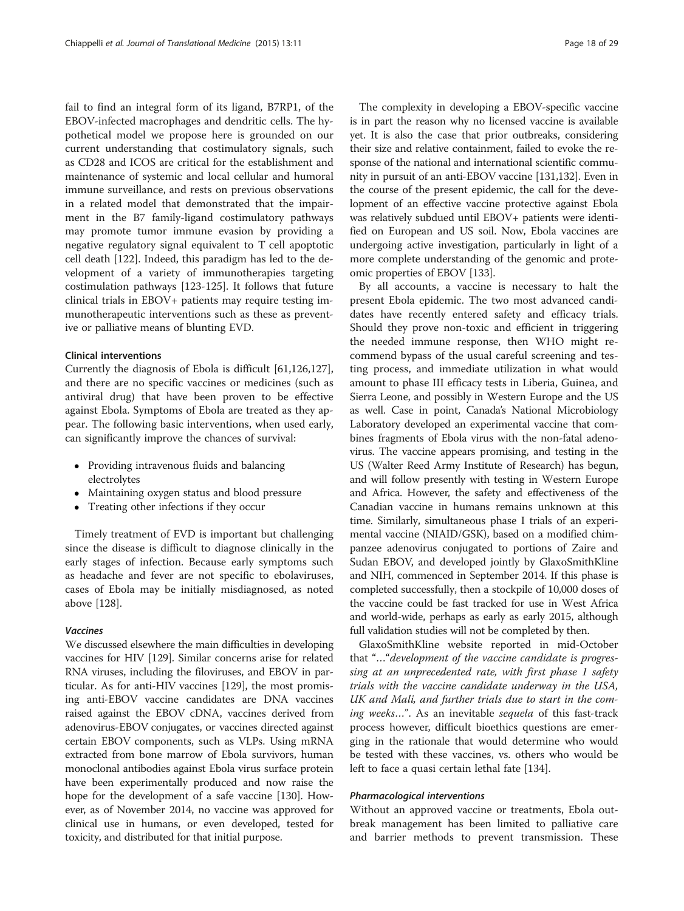fail to find an integral form of its ligand, B7RP1, of the EBOV-infected macrophages and dendritic cells. The hypothetical model we propose here is grounded on our current understanding that costimulatory signals, such as CD28 and ICOS are critical for the establishment and maintenance of systemic and local cellular and humoral immune surveillance, and rests on previous observations in a related model that demonstrated that the impairment in the B7 family-ligand costimulatory pathways may promote tumor immune evasion by providing a negative regulatory signal equivalent to T cell apoptotic cell death [\[122](#page-27-0)]. Indeed, this paradigm has led to the development of a variety of immunotherapies targeting costimulation pathways [[123-125\]](#page-27-0). It follows that future clinical trials in EBOV+ patients may require testing immunotherapeutic interventions such as these as preventive or palliative means of blunting EVD.

#### Clinical interventions

Currently the diagnosis of Ebola is difficult [[61](#page-25-0),[126,127](#page-27-0)], and there are no specific vaccines or medicines (such as antiviral drug) that have been proven to be effective against Ebola. Symptoms of Ebola are treated as they appear. The following basic interventions, when used early, can significantly improve the chances of survival:

- Providing intravenous fluids and balancing electrolytes
- Maintaining oxygen status and blood pressure
- Treating other infections if they occur

Timely treatment of EVD is important but challenging since the disease is difficult to diagnose clinically in the early stages of infection. Because early symptoms such as headache and fever are not specific to ebolaviruses, cases of Ebola may be initially misdiagnosed, as noted above [\[128](#page-27-0)].

#### Vaccines

We discussed elsewhere the main difficulties in developing vaccines for HIV [\[129\]](#page-27-0). Similar concerns arise for related RNA viruses, including the filoviruses, and EBOV in particular. As for anti-HIV vaccines [\[129](#page-27-0)], the most promising anti-EBOV vaccine candidates are DNA vaccines raised against the EBOV cDNA, vaccines derived from adenovirus-EBOV conjugates, or vaccines directed against certain EBOV components, such as VLPs. Using mRNA extracted from bone marrow of Ebola survivors, human monoclonal antibodies against Ebola virus surface protein have been experimentally produced and now raise the hope for the development of a safe vaccine [\[130\]](#page-27-0). However, as of November 2014, no vaccine was approved for clinical use in humans, or even developed, tested for toxicity, and distributed for that initial purpose.

The complexity in developing a EBOV-specific vaccine is in part the reason why no licensed vaccine is available yet. It is also the case that prior outbreaks, considering their size and relative containment, failed to evoke the response of the national and international scientific community in pursuit of an anti-EBOV vaccine [[131,132\]](#page-27-0). Even in the course of the present epidemic, the call for the development of an effective vaccine protective against Ebola was relatively subdued until EBOV+ patients were identified on European and US soil. Now, Ebola vaccines are undergoing active investigation, particularly in light of a more complete understanding of the genomic and proteomic properties of EBOV [[133](#page-27-0)].

By all accounts, a vaccine is necessary to halt the present Ebola epidemic. The two most advanced candidates have recently entered safety and efficacy trials. Should they prove non-toxic and efficient in triggering the needed immune response, then WHO might recommend bypass of the usual careful screening and testing process, and immediate utilization in what would amount to phase III efficacy tests in Liberia, Guinea, and Sierra Leone, and possibly in Western Europe and the US as well. Case in point, Canada's National Microbiology Laboratory developed an experimental vaccine that combines fragments of Ebola virus with the non-fatal adenovirus. The vaccine appears promising, and testing in the US (Walter Reed Army Institute of Research) has begun, and will follow presently with testing in Western Europe and Africa. However, the safety and effectiveness of the Canadian vaccine in humans remains unknown at this time. Similarly, simultaneous phase I trials of an experimental vaccine (NIAID/GSK), based on a modified chimpanzee adenovirus conjugated to portions of Zaire and Sudan EBOV, and developed jointly by GlaxoSmithKline and NIH, commenced in September 2014. If this phase is completed successfully, then a stockpile of 10,000 doses of the vaccine could be fast tracked for use in West Africa and world-wide, perhaps as early as early 2015, although full validation studies will not be completed by then.

GlaxoSmithKline website reported in mid-October that "…"development of the vaccine candidate is progressing at an unprecedented rate, with first phase 1 safety trials with the vaccine candidate underway in the USA, UK and Mali, and further trials due to start in the coming weeks…". As an inevitable sequela of this fast-track process however, difficult bioethics questions are emerging in the rationale that would determine who would be tested with these vaccines, vs. others who would be left to face a quasi certain lethal fate [[134](#page-27-0)].

#### Pharmacological interventions

Without an approved vaccine or treatments, Ebola outbreak management has been limited to palliative care and barrier methods to prevent transmission. These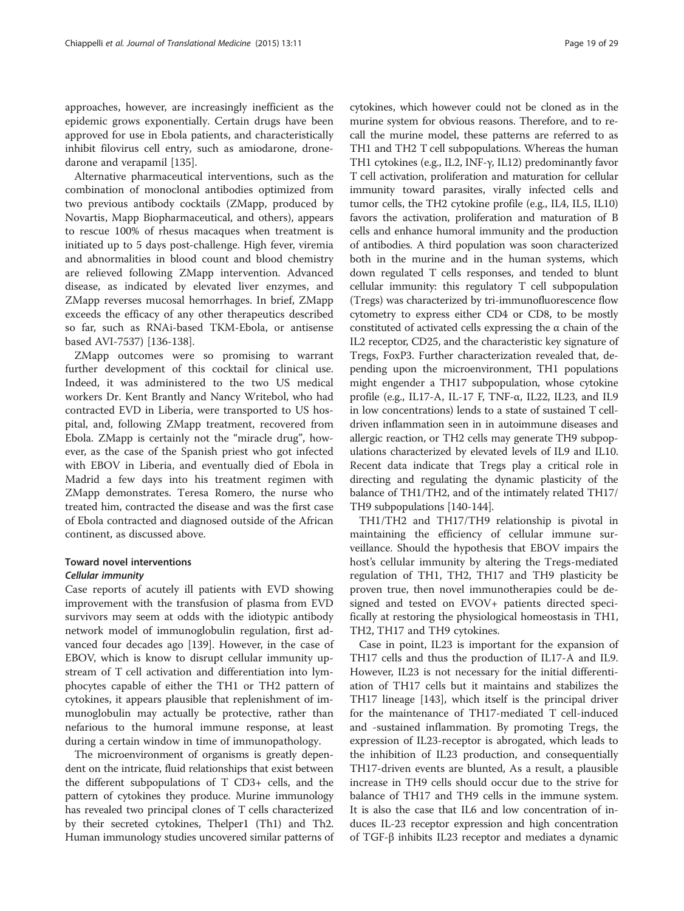approaches, however, are increasingly inefficient as the epidemic grows exponentially. Certain drugs have been approved for use in Ebola patients, and characteristically inhibit filovirus cell entry, such as amiodarone, dronedarone and verapamil [[135\]](#page-27-0).

Alternative pharmaceutical interventions, such as the combination of monoclonal antibodies optimized from two previous antibody cocktails (ZMapp, produced by Novartis, Mapp Biopharmaceutical, and others), appears to rescue 100% of rhesus macaques when treatment is initiated up to 5 days post-challenge. High fever, viremia and abnormalities in blood count and blood chemistry are relieved following ZMapp intervention. Advanced disease, as indicated by elevated liver enzymes, and ZMapp reverses mucosal hemorrhages. In brief, ZMapp exceeds the efficacy of any other therapeutics described so far, such as RNAi-based TKM-Ebola, or antisense based AVI-7537) [\[136](#page-27-0)-[138](#page-27-0)].

ZMapp outcomes were so promising to warrant further development of this cocktail for clinical use. Indeed, it was administered to the two US medical workers Dr. Kent Brantly and Nancy Writebol, who had contracted EVD in Liberia, were transported to US hospital, and, following ZMapp treatment, recovered from Ebola. ZMapp is certainly not the "miracle drug", however, as the case of the Spanish priest who got infected with EBOV in Liberia, and eventually died of Ebola in Madrid a few days into his treatment regimen with ZMapp demonstrates. Teresa Romero, the nurse who treated him, contracted the disease and was the first case of Ebola contracted and diagnosed outside of the African continent, as discussed above.

#### Toward novel interventions Cellular immunity

Case reports of acutely ill patients with EVD showing improvement with the transfusion of plasma from EVD survivors may seem at odds with the idiotypic antibody network model of immunoglobulin regulation, first advanced four decades ago [[139\]](#page-27-0). However, in the case of EBOV, which is know to disrupt cellular immunity upstream of T cell activation and differentiation into lymphocytes capable of either the TH1 or TH2 pattern of cytokines, it appears plausible that replenishment of immunoglobulin may actually be protective, rather than nefarious to the humoral immune response, at least during a certain window in time of immunopathology.

The microenvironment of organisms is greatly dependent on the intricate, fluid relationships that exist between the different subpopulations of T CD3+ cells, and the pattern of cytokines they produce. Murine immunology has revealed two principal clones of T cells characterized by their secreted cytokines, Thelper1 (Th1) and Th2. Human immunology studies uncovered similar patterns of

cytokines, which however could not be cloned as in the murine system for obvious reasons. Therefore, and to recall the murine model, these patterns are referred to as TH1 and TH2 T cell subpopulations. Whereas the human TH1 cytokines (e.g., IL2, INF-γ, IL12) predominantly favor T cell activation, proliferation and maturation for cellular immunity toward parasites, virally infected cells and tumor cells, the TH2 cytokine profile (e.g., IL4, IL5, IL10) favors the activation, proliferation and maturation of B cells and enhance humoral immunity and the production of antibodies. A third population was soon characterized both in the murine and in the human systems, which down regulated T cells responses, and tended to blunt cellular immunity: this regulatory T cell subpopulation (Tregs) was characterized by tri-immunofluorescence flow cytometry to express either CD4 or CD8, to be mostly constituted of activated cells expressing the  $\alpha$  chain of the IL2 receptor, CD25, and the characteristic key signature of Tregs, FoxP3. Further characterization revealed that, depending upon the microenvironment, TH1 populations might engender a TH17 subpopulation, whose cytokine profile (e.g., IL17-A, IL-17 F, TNF- $\alpha$ , IL22, IL23, and IL9 in low concentrations) lends to a state of sustained T celldriven inflammation seen in in autoimmune diseases and allergic reaction, or TH2 cells may generate TH9 subpopulations characterized by elevated levels of IL9 and IL10. Recent data indicate that Tregs play a critical role in directing and regulating the dynamic plasticity of the balance of TH1/TH2, and of the intimately related TH17/ TH9 subpopulations [[140](#page-27-0)-[144](#page-27-0)].

TH1/TH2 and TH17/TH9 relationship is pivotal in maintaining the efficiency of cellular immune surveillance. Should the hypothesis that EBOV impairs the host's cellular immunity by altering the Tregs-mediated regulation of TH1, TH2, TH17 and TH9 plasticity be proven true, then novel immunotherapies could be designed and tested on EVOV+ patients directed specifically at restoring the physiological homeostasis in TH1, TH2, TH17 and TH9 cytokines.

Case in point, IL23 is important for the expansion of TH17 cells and thus the production of IL17-A and IL9. However, IL23 is not necessary for the initial differentiation of TH17 cells but it maintains and stabilizes the TH17 lineage [\[143\]](#page-27-0), which itself is the principal driver for the maintenance of TH17-mediated T cell-induced and -sustained inflammation. By promoting Tregs, the expression of IL23-receptor is abrogated, which leads to the inhibition of IL23 production, and consequentially TH17-driven events are blunted, As a result, a plausible increase in TH9 cells should occur due to the strive for balance of TH17 and TH9 cells in the immune system. It is also the case that IL6 and low concentration of induces IL-23 receptor expression and high concentration of TGF-β inhibits IL23 receptor and mediates a dynamic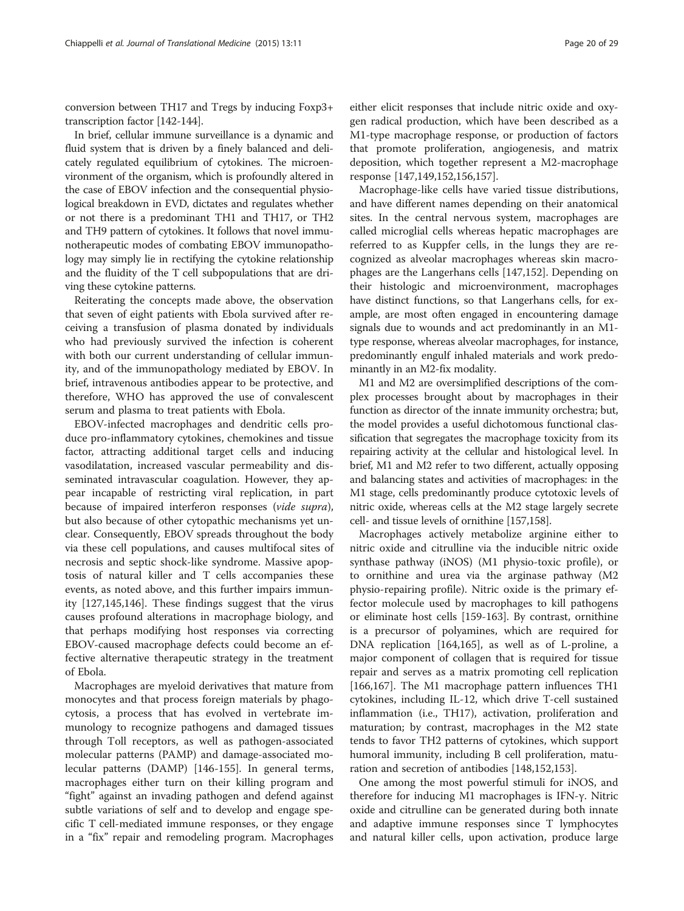conversion between TH17 and Tregs by inducing Foxp3+ transcription factor [[142-144](#page-27-0)].

In brief, cellular immune surveillance is a dynamic and fluid system that is driven by a finely balanced and delicately regulated equilibrium of cytokines. The microenvironment of the organism, which is profoundly altered in the case of EBOV infection and the consequential physiological breakdown in EVD, dictates and regulates whether or not there is a predominant TH1 and TH17, or TH2 and TH9 pattern of cytokines. It follows that novel immunotherapeutic modes of combating EBOV immunopathology may simply lie in rectifying the cytokine relationship and the fluidity of the T cell subpopulations that are driving these cytokine patterns.

Reiterating the concepts made above, the observation that seven of eight patients with Ebola survived after receiving a transfusion of plasma donated by individuals who had previously survived the infection is coherent with both our current understanding of cellular immunity, and of the immunopathology mediated by EBOV. In brief, intravenous antibodies appear to be protective, and therefore, WHO has approved the use of convalescent serum and plasma to treat patients with Ebola.

EBOV-infected macrophages and dendritic cells produce pro-inflammatory cytokines, chemokines and tissue factor, attracting additional target cells and inducing vasodilatation, increased vascular permeability and disseminated intravascular coagulation. However, they appear incapable of restricting viral replication, in part because of impaired interferon responses (vide supra), but also because of other cytopathic mechanisms yet unclear. Consequently, EBOV spreads throughout the body via these cell populations, and causes multifocal sites of necrosis and septic shock-like syndrome. Massive apoptosis of natural killer and T cells accompanies these events, as noted above, and this further impairs immunity [\[127,145,146\]](#page-27-0). These findings suggest that the virus causes profound alterations in macrophage biology, and that perhaps modifying host responses via correcting EBOV-caused macrophage defects could become an effective alternative therapeutic strategy in the treatment of Ebola.

Macrophages are myeloid derivatives that mature from monocytes and that process foreign materials by phagocytosis, a process that has evolved in vertebrate immunology to recognize pathogens and damaged tissues through Toll receptors, as well as pathogen-associated molecular patterns (PAMP) and damage-associated molecular patterns (DAMP) [\[146-155](#page-27-0)]. In general terms, macrophages either turn on their killing program and "fight" against an invading pathogen and defend against subtle variations of self and to develop and engage specific T cell-mediated immune responses, or they engage in a "fix" repair and remodeling program. Macrophages

either elicit responses that include nitric oxide and oxygen radical production, which have been described as a M1-type macrophage response, or production of factors that promote proliferation, angiogenesis, and matrix deposition, which together represent a M2-macrophage response [[147](#page-27-0),[149,152,156,157\]](#page-27-0).

Macrophage-like cells have varied tissue distributions, and have different names depending on their anatomical sites. In the central nervous system, macrophages are called microglial cells whereas hepatic macrophages are referred to as Kuppfer cells, in the lungs they are recognized as alveolar macrophages whereas skin macrophages are the Langerhans cells [[147](#page-27-0),[152](#page-27-0)]. Depending on their histologic and microenvironment, macrophages have distinct functions, so that Langerhans cells, for example, are most often engaged in encountering damage signals due to wounds and act predominantly in an M1 type response, whereas alveolar macrophages, for instance, predominantly engulf inhaled materials and work predominantly in an M2-fix modality.

M1 and M2 are oversimplified descriptions of the complex processes brought about by macrophages in their function as director of the innate immunity orchestra; but, the model provides a useful dichotomous functional classification that segregates the macrophage toxicity from its repairing activity at the cellular and histological level. In brief, M1 and M2 refer to two different, actually opposing and balancing states and activities of macrophages: in the M1 stage, cells predominantly produce cytotoxic levels of nitric oxide, whereas cells at the M2 stage largely secrete cell- and tissue levels of ornithine [\[157,158](#page-27-0)].

Macrophages actively metabolize arginine either to nitric oxide and citrulline via the inducible nitric oxide synthase pathway (iNOS) (M1 physio-toxic profile), or to ornithine and urea via the arginase pathway (M2 physio-repairing profile). Nitric oxide is the primary effector molecule used by macrophages to kill pathogens or eliminate host cells [\[159-163](#page-27-0)]. By contrast, ornithine is a precursor of polyamines, which are required for DNA replication [[164](#page-27-0),[165](#page-27-0)], as well as of L-proline, a major component of collagen that is required for tissue repair and serves as a matrix promoting cell replication [[166,167](#page-27-0)]. The M1 macrophage pattern influences TH1 cytokines, including IL-12, which drive T-cell sustained inflammation (i.e., TH17), activation, proliferation and maturation; by contrast, macrophages in the M2 state tends to favor TH2 patterns of cytokines, which support humoral immunity, including B cell proliferation, maturation and secretion of antibodies [[148](#page-27-0),[152,153](#page-27-0)].

One among the most powerful stimuli for iNOS, and therefore for inducing M1 macrophages is IFN-γ. Nitric oxide and citrulline can be generated during both innate and adaptive immune responses since T lymphocytes and natural killer cells, upon activation, produce large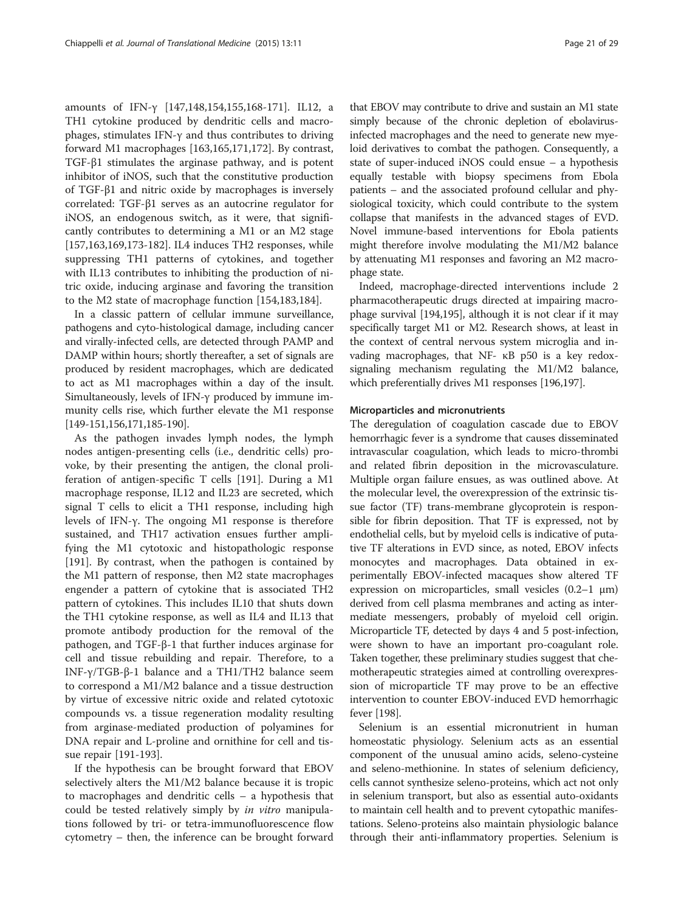amounts of IFN-γ [[147](#page-27-0),[148](#page-27-0),[154,155,168-](#page-27-0)[171](#page-28-0)]. IL12, a TH1 cytokine produced by dendritic cells and macrophages, stimulates IFN-γ and thus contributes to driving forward M1 macrophages [\[163,165,](#page-27-0)[171,172\]](#page-28-0). By contrast, TGF-β1 stimulates the arginase pathway, and is potent inhibitor of iNOS, such that the constitutive production of TGF-β1 and nitric oxide by macrophages is inversely correlated: TGF-β1 serves as an autocrine regulator for iNOS, an endogenous switch, as it were, that significantly contributes to determining a M1 or an M2 stage [[157,163](#page-27-0),[169](#page-27-0)[,173](#page-28-0)-[182](#page-28-0)]. IL4 induces TH2 responses, while suppressing TH1 patterns of cytokines, and together with IL13 contributes to inhibiting the production of nitric oxide, inducing arginase and favoring the transition to the M2 state of macrophage function [[154](#page-27-0)[,183,184](#page-28-0)].

In a classic pattern of cellular immune surveillance, pathogens and cyto-histological damage, including cancer and virally-infected cells, are detected through PAMP and DAMP within hours; shortly thereafter, a set of signals are produced by resident macrophages, which are dedicated to act as M1 macrophages within a day of the insult. Simultaneously, levels of IFN-γ produced by immune immunity cells rise, which further elevate the M1 response [[149](#page-27-0)-[151,156,](#page-27-0)[171,185-190\]](#page-28-0).

As the pathogen invades lymph nodes, the lymph nodes antigen-presenting cells (i.e., dendritic cells) provoke, by their presenting the antigen, the clonal proliferation of antigen-specific T cells [\[191](#page-28-0)]. During a M1 macrophage response, IL12 and IL23 are secreted, which signal T cells to elicit a TH1 response, including high levels of IFN-γ. The ongoing M1 response is therefore sustained, and TH17 activation ensues further amplifying the M1 cytotoxic and histopathologic response [[191\]](#page-28-0). By contrast, when the pathogen is contained by the M1 pattern of response, then M2 state macrophages engender a pattern of cytokine that is associated TH2 pattern of cytokines. This includes IL10 that shuts down the TH1 cytokine response, as well as IL4 and IL13 that promote antibody production for the removal of the pathogen, and TGF-β-1 that further induces arginase for cell and tissue rebuilding and repair. Therefore, to a INF-γ/TGB-β-1 balance and a TH1/TH2 balance seem to correspond a M1/M2 balance and a tissue destruction by virtue of excessive nitric oxide and related cytotoxic compounds vs. a tissue regeneration modality resulting from arginase-mediated production of polyamines for DNA repair and L-proline and ornithine for cell and tissue repair [\[191-193](#page-28-0)].

If the hypothesis can be brought forward that EBOV selectively alters the M1/M2 balance because it is tropic to macrophages and dendritic cells – a hypothesis that could be tested relatively simply by in vitro manipulations followed by tri- or tetra-immunofluorescence flow cytometry – then, the inference can be brought forward

that EBOV may contribute to drive and sustain an M1 state simply because of the chronic depletion of ebolavirusinfected macrophages and the need to generate new myeloid derivatives to combat the pathogen. Consequently, a state of super-induced iNOS could ensue – a hypothesis equally testable with biopsy specimens from Ebola patients – and the associated profound cellular and physiological toxicity, which could contribute to the system collapse that manifests in the advanced stages of EVD. Novel immune-based interventions for Ebola patients

by attenuating M1 responses and favoring an M2 macrophage state. Indeed, macrophage-directed interventions include 2 pharmacotherapeutic drugs directed at impairing macrophage survival [[194,195\]](#page-28-0), although it is not clear if it may specifically target M1 or M2. Research shows, at least in the context of central nervous system microglia and invading macrophages, that NF- κB p50 is a key redoxsignaling mechanism regulating the M1/M2 balance,

which preferentially drives M1 responses [[196,197\]](#page-28-0).

might therefore involve modulating the M1/M2 balance

#### Microparticles and micronutrients

The deregulation of coagulation cascade due to EBOV hemorrhagic fever is a syndrome that causes disseminated intravascular coagulation, which leads to micro-thrombi and related fibrin deposition in the microvasculature. Multiple organ failure ensues, as was outlined above. At the molecular level, the overexpression of the extrinsic tissue factor (TF) trans-membrane glycoprotein is responsible for fibrin deposition. That TF is expressed, not by endothelial cells, but by myeloid cells is indicative of putative TF alterations in EVD since, as noted, EBOV infects monocytes and macrophages. Data obtained in experimentally EBOV-infected macaques show altered TF expression on microparticles, small vesicles  $(0.2-1 \mu m)$ derived from cell plasma membranes and acting as intermediate messengers, probably of myeloid cell origin. Microparticle TF, detected by days 4 and 5 post-infection, were shown to have an important pro-coagulant role. Taken together, these preliminary studies suggest that chemotherapeutic strategies aimed at controlling overexpression of microparticle TF may prove to be an effective intervention to counter EBOV-induced EVD hemorrhagic fever [[198](#page-28-0)].

Selenium is an essential micronutrient in human homeostatic physiology. Selenium acts as an essential component of the unusual amino acids, seleno-cysteine and seleno-methionine. In states of selenium deficiency, cells cannot synthesize seleno-proteins, which act not only in selenium transport, but also as essential auto-oxidants to maintain cell health and to prevent cytopathic manifestations. Seleno-proteins also maintain physiologic balance through their anti-inflammatory properties. Selenium is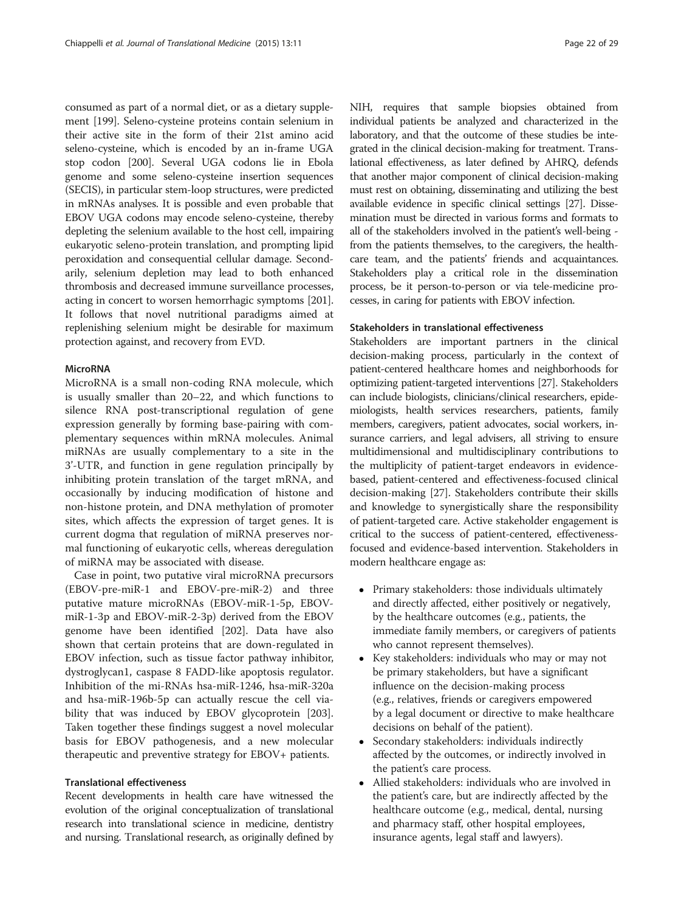consumed as part of a normal diet, or as a dietary supplement [\[199\]](#page-28-0). Seleno-cysteine proteins contain selenium in their active site in the form of their 21st amino acid seleno-cysteine, which is encoded by an in-frame UGA stop codon [[200](#page-28-0)]. Several UGA codons lie in Ebola genome and some seleno-cysteine insertion sequences (SECIS), in particular stem-loop structures, were predicted in mRNAs analyses. It is possible and even probable that EBOV UGA codons may encode seleno-cysteine, thereby depleting the selenium available to the host cell, impairing eukaryotic seleno-protein translation, and prompting lipid peroxidation and consequential cellular damage. Secondarily, selenium depletion may lead to both enhanced thrombosis and decreased immune surveillance processes, acting in concert to worsen hemorrhagic symptoms [[201](#page-28-0)]. It follows that novel nutritional paradigms aimed at replenishing selenium might be desirable for maximum protection against, and recovery from EVD.

#### MicroRNA

MicroRNA is a small non-coding RNA molecule, which is usually smaller than 20–22, and which functions to silence RNA post-transcriptional regulation of gene expression generally by forming base-pairing with complementary sequences within mRNA molecules. Animal miRNAs are usually complementary to a site in the 3'-UTR, and function in gene regulation principally by inhibiting protein translation of the target mRNA, and occasionally by inducing modification of histone and non-histone protein, and DNA methylation of promoter sites, which affects the expression of target genes. It is current dogma that regulation of miRNA preserves normal functioning of eukaryotic cells, whereas deregulation of miRNA may be associated with disease.

Case in point, two putative viral microRNA precursors (EBOV-pre-miR-1 and EBOV-pre-miR-2) and three putative mature microRNAs (EBOV-miR-1-5p, EBOVmiR-1-3p and EBOV-miR-2-3p) derived from the EBOV genome have been identified [\[202\]](#page-28-0). Data have also shown that certain proteins that are down-regulated in EBOV infection, such as tissue factor pathway inhibitor, dystroglycan1, caspase 8 FADD-like apoptosis regulator. Inhibition of the mi-RNAs hsa-miR-1246, hsa-miR-320a and hsa-miR-196b-5p can actually rescue the cell viability that was induced by EBOV glycoprotein [\[203](#page-28-0)]. Taken together these findings suggest a novel molecular basis for EBOV pathogenesis, and a new molecular therapeutic and preventive strategy for EBOV+ patients.

#### Translational effectiveness

Recent developments in health care have witnessed the evolution of the original conceptualization of translational research into translational science in medicine, dentistry and nursing. Translational research, as originally defined by NIH, requires that sample biopsies obtained from individual patients be analyzed and characterized in the laboratory, and that the outcome of these studies be integrated in the clinical decision-making for treatment. Translational effectiveness, as later defined by AHRQ, defends that another major component of clinical decision-making must rest on obtaining, disseminating and utilizing the best available evidence in specific clinical settings [\[27\]](#page-25-0). Dissemination must be directed in various forms and formats to all of the stakeholders involved in the patient's well-being from the patients themselves, to the caregivers, the healthcare team, and the patients' friends and acquaintances. Stakeholders play a critical role in the dissemination process, be it person-to-person or via tele-medicine processes, in caring for patients with EBOV infection.

#### Stakeholders in translational effectiveness

Stakeholders are important partners in the clinical decision-making process, particularly in the context of patient-centered healthcare homes and neighborhoods for optimizing patient-targeted interventions [\[27\]](#page-25-0). Stakeholders can include biologists, clinicians/clinical researchers, epidemiologists, health services researchers, patients, family members, caregivers, patient advocates, social workers, insurance carriers, and legal advisers, all striving to ensure multidimensional and multidisciplinary contributions to the multiplicity of patient-target endeavors in evidencebased, patient-centered and effectiveness-focused clinical decision-making [[27](#page-25-0)]. Stakeholders contribute their skills and knowledge to synergistically share the responsibility of patient-targeted care. Active stakeholder engagement is critical to the success of patient-centered, effectivenessfocused and evidence-based intervention. Stakeholders in modern healthcare engage as:

- Primary stakeholders: those individuals ultimately and directly affected, either positively or negatively, by the healthcare outcomes (e.g., patients, the immediate family members, or caregivers of patients who cannot represent themselves).
- Key stakeholders: individuals who may or may not be primary stakeholders, but have a significant influence on the decision-making process (e.g., relatives, friends or caregivers empowered by a legal document or directive to make healthcare decisions on behalf of the patient).
- Secondary stakeholders: individuals indirectly affected by the outcomes, or indirectly involved in the patient's care process.
- Allied stakeholders: individuals who are involved in the patient's care, but are indirectly affected by the healthcare outcome (e.g., medical, dental, nursing and pharmacy staff, other hospital employees, insurance agents, legal staff and lawyers).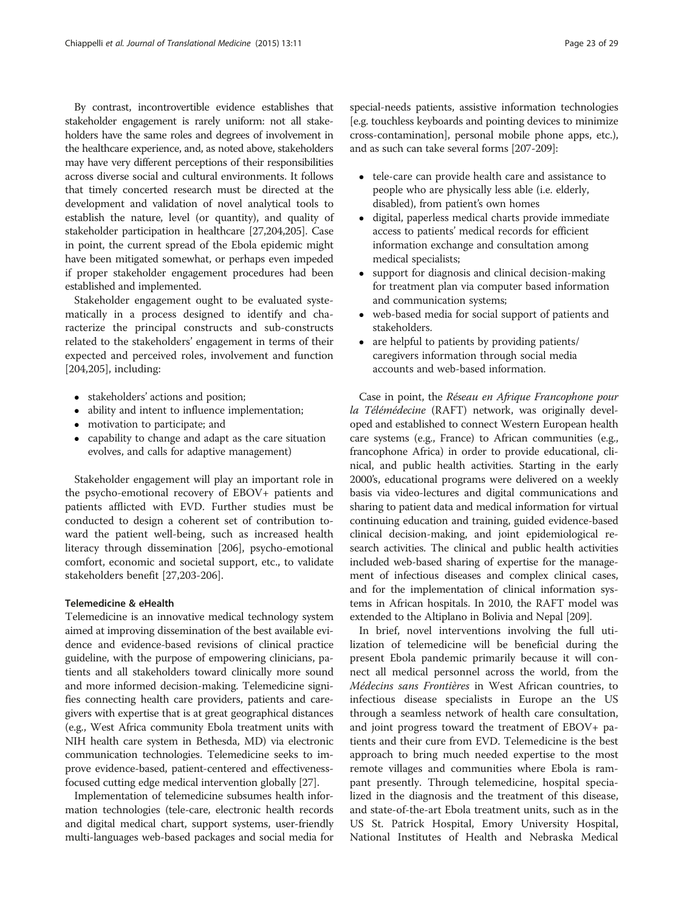By contrast, incontrovertible evidence establishes that stakeholder engagement is rarely uniform: not all stakeholders have the same roles and degrees of involvement in the healthcare experience, and, as noted above, stakeholders may have very different perceptions of their responsibilities across diverse social and cultural environments. It follows that timely concerted research must be directed at the development and validation of novel analytical tools to establish the nature, level (or quantity), and quality of stakeholder participation in healthcare [\[27,](#page-25-0)[204,205\]](#page-28-0). Case in point, the current spread of the Ebola epidemic might have been mitigated somewhat, or perhaps even impeded if proper stakeholder engagement procedures had been established and implemented.

Stakeholder engagement ought to be evaluated systematically in a process designed to identify and characterize the principal constructs and sub-constructs related to the stakeholders' engagement in terms of their expected and perceived roles, involvement and function [[204,205](#page-28-0)], including:

- stakeholders' actions and position;
- ability and intent to influence implementation;
- motivation to participate; and
- capability to change and adapt as the care situation evolves, and calls for adaptive management)

Stakeholder engagement will play an important role in the psycho-emotional recovery of EBOV+ patients and patients afflicted with EVD. Further studies must be conducted to design a coherent set of contribution toward the patient well-being, such as increased health literacy through dissemination [[206\]](#page-28-0), psycho-emotional comfort, economic and societal support, etc., to validate stakeholders benefit [\[27](#page-25-0)[,203](#page-28-0)-[206](#page-28-0)].

#### Telemedicine & eHealth

Telemedicine is an innovative medical technology system aimed at improving dissemination of the best available evidence and evidence-based revisions of clinical practice guideline, with the purpose of empowering clinicians, patients and all stakeholders toward clinically more sound and more informed decision-making. Telemedicine signifies connecting health care providers, patients and caregivers with expertise that is at great geographical distances (e.g., West Africa community Ebola treatment units with NIH health care system in Bethesda, MD) via electronic communication technologies. Telemedicine seeks to improve evidence-based, patient-centered and effectivenessfocused cutting edge medical intervention globally [\[27\]](#page-25-0).

Implementation of telemedicine subsumes health information technologies (tele-care, electronic health records and digital medical chart, support systems, user-friendly multi-languages web-based packages and social media for special-needs patients, assistive information technologies [e.g. touchless keyboards and pointing devices to minimize cross-contamination], personal mobile phone apps, etc.), and as such can take several forms [\[207-209\]](#page-28-0):

- tele-care can provide health care and assistance to people who are physically less able (i.e. elderly, disabled), from patient's own homes
- digital, paperless medical charts provide immediate access to patients' medical records for efficient information exchange and consultation among medical specialists;
- support for diagnosis and clinical decision-making for treatment plan via computer based information and communication systems;
- web-based media for social support of patients and stakeholders.
- are helpful to patients by providing patients/ caregivers information through social media accounts and web-based information.

Case in point, the Réseau en Afrique Francophone pour la Télémédecine (RAFT) network, was originally developed and established to connect Western European health care systems (e.g., France) to African communities (e.g., francophone Africa) in order to provide educational, clinical, and public health activities. Starting in the early 2000's, educational programs were delivered on a weekly basis via video-lectures and digital communications and sharing to patient data and medical information for virtual continuing education and training, guided evidence-based clinical decision-making, and joint epidemiological research activities. The clinical and public health activities included web-based sharing of expertise for the management of infectious diseases and complex clinical cases, and for the implementation of clinical information systems in African hospitals. In 2010, the RAFT model was extended to the Altiplano in Bolivia and Nepal [\[209\]](#page-28-0).

In brief, novel interventions involving the full utilization of telemedicine will be beneficial during the present Ebola pandemic primarily because it will connect all medical personnel across the world, from the Médecins sans Frontières in West African countries, to infectious disease specialists in Europe an the US through a seamless network of health care consultation, and joint progress toward the treatment of EBOV+ patients and their cure from EVD. Telemedicine is the best approach to bring much needed expertise to the most remote villages and communities where Ebola is rampant presently. Through telemedicine, hospital specialized in the diagnosis and the treatment of this disease, and state-of-the-art Ebola treatment units, such as in the US St. Patrick Hospital, Emory University Hospital, National Institutes of Health and Nebraska Medical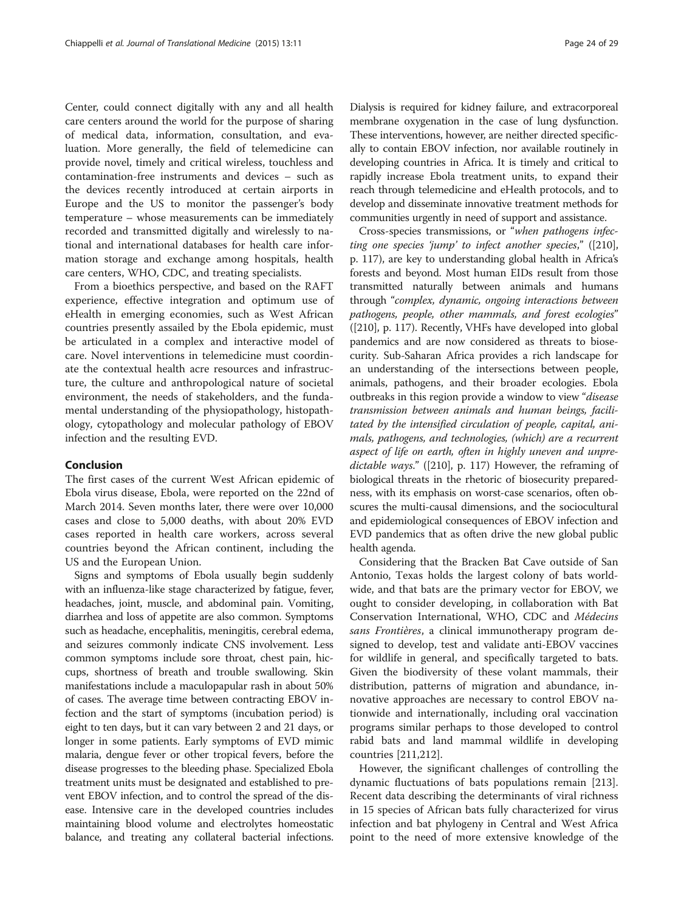Center, could connect digitally with any and all health care centers around the world for the purpose of sharing of medical data, information, consultation, and evaluation. More generally, the field of telemedicine can provide novel, timely and critical wireless, touchless and contamination-free instruments and devices – such as the devices recently introduced at certain airports in Europe and the US to monitor the passenger's body temperature – whose measurements can be immediately recorded and transmitted digitally and wirelessly to national and international databases for health care information storage and exchange among hospitals, health care centers, WHO, CDC, and treating specialists.

From a bioethics perspective, and based on the RAFT experience, effective integration and optimum use of eHealth in emerging economies, such as West African countries presently assailed by the Ebola epidemic, must be articulated in a complex and interactive model of care. Novel interventions in telemedicine must coordinate the contextual health acre resources and infrastructure, the culture and anthropological nature of societal environment, the needs of stakeholders, and the fundamental understanding of the physiopathology, histopathology, cytopathology and molecular pathology of EBOV infection and the resulting EVD.

#### Conclusion

The first cases of the current West African epidemic of Ebola virus disease, Ebola, were reported on the 22nd of March 2014. Seven months later, there were over 10,000 cases and close to 5,000 deaths, with about 20% EVD cases reported in health care workers, across several countries beyond the African continent, including the US and the European Union.

Signs and symptoms of Ebola usually begin suddenly with an influenza-like stage characterized by fatigue, fever, headaches, joint, muscle, and abdominal pain. Vomiting, diarrhea and loss of appetite are also common. Symptoms such as headache, encephalitis, meningitis, cerebral edema, and seizures commonly indicate CNS involvement. Less common symptoms include sore throat, chest pain, hiccups, shortness of breath and trouble swallowing. Skin manifestations include a maculopapular rash in about 50% of cases. The average time between contracting EBOV infection and the start of symptoms (incubation period) is eight to ten days, but it can vary between 2 and 21 days, or longer in some patients. Early symptoms of EVD mimic malaria, dengue fever or other tropical fevers, before the disease progresses to the bleeding phase. Specialized Ebola treatment units must be designated and established to prevent EBOV infection, and to control the spread of the disease. Intensive care in the developed countries includes maintaining blood volume and electrolytes homeostatic balance, and treating any collateral bacterial infections. Dialysis is required for kidney failure, and extracorporeal membrane oxygenation in the case of lung dysfunction. These interventions, however, are neither directed specifically to contain EBOV infection, nor available routinely in developing countries in Africa. It is timely and critical to rapidly increase Ebola treatment units, to expand their reach through telemedicine and eHealth protocols, and to develop and disseminate innovative treatment methods for communities urgently in need of support and assistance.

Cross-species transmissions, or "when pathogens infecting one species 'jump' to infect another species," ([\[210](#page-28-0)], p. 117), are key to understanding global health in Africa's forests and beyond. Most human EIDs result from those transmitted naturally between animals and humans through "complex, dynamic, ongoing interactions between pathogens, people, other mammals, and forest ecologies" ([\[210](#page-28-0)], p. 117). Recently, VHFs have developed into global pandemics and are now considered as threats to biosecurity. Sub-Saharan Africa provides a rich landscape for an understanding of the intersections between people, animals, pathogens, and their broader ecologies. Ebola outbreaks in this region provide a window to view "disease transmission between animals and human beings, facilitated by the intensified circulation of people, capital, animals, pathogens, and technologies, (which) are a recurrent aspect of life on earth, often in highly uneven and unpredictable ways." ([\[210](#page-28-0)], p. 117) However, the reframing of biological threats in the rhetoric of biosecurity preparedness, with its emphasis on worst-case scenarios, often obscures the multi-causal dimensions, and the sociocultural and epidemiological consequences of EBOV infection and EVD pandemics that as often drive the new global public health agenda.

Considering that the Bracken Bat Cave outside of San Antonio, Texas holds the largest colony of bats worldwide, and that bats are the primary vector for EBOV, we ought to consider developing, in collaboration with Bat Conservation International, WHO, CDC and Médecins sans Frontières, a clinical immunotherapy program designed to develop, test and validate anti-EBOV vaccines for wildlife in general, and specifically targeted to bats. Given the biodiversity of these volant mammals, their distribution, patterns of migration and abundance, innovative approaches are necessary to control EBOV nationwide and internationally, including oral vaccination programs similar perhaps to those developed to control rabid bats and land mammal wildlife in developing countries [[211](#page-28-0),[212](#page-28-0)].

However, the significant challenges of controlling the dynamic fluctuations of bats populations remain [[213](#page-28-0)]. Recent data describing the determinants of viral richness in 15 species of African bats fully characterized for virus infection and bat phylogeny in Central and West Africa point to the need of more extensive knowledge of the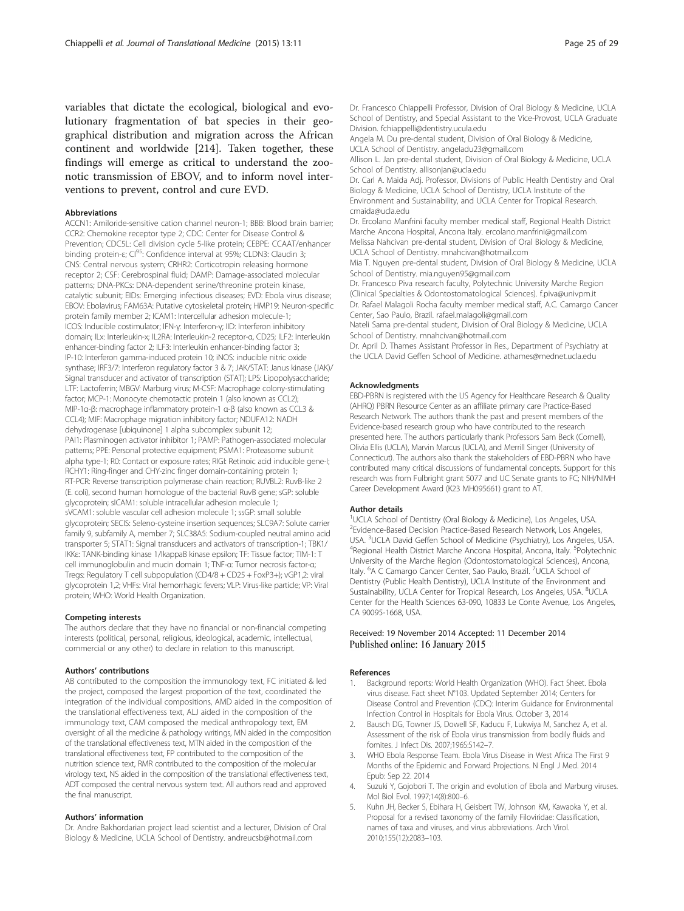<span id="page-24-0"></span>variables that dictate the ecological, biological and evolutionary fragmentation of bat species in their geographical distribution and migration across the African continent and worldwide [[214\]](#page-28-0). Taken together, these findings will emerge as critical to understand the zoonotic transmission of EBOV, and to inform novel interventions to prevent, control and cure EVD.

#### Abbreviations

ACCN1: Amiloride-sensitive cation channel neuron-1; BBB: Blood brain barrier; CCR2: Chemokine receptor type 2; CDC: Center for Disease Control & Prevention; CDC5L: Cell division cycle 5-like protein; CEBPE: CCAAT/enhancer binding protein-ε; Cl<sup>95</sup>: Confidence interval at 95%; CLDN3: Claudin 3; CNS: Central nervous system; CRHR2: Corticotropin releasing hormone receptor 2; CSF: Cerebrospinal fluid; DAMP: Damage-associated molecular patterns; DNA-PKCs: DNA-dependent serine/threonine protein kinase, catalytic subunit; EIDs: Emerging infectious diseases; EVD: Ebola virus disease; EBOV: Ebolavirus; FAM63A: Putative cytoskeletal protein; HMP19: Neuron-specific protein family member 2; ICAM1: Intercellular adhesion molecule-1; ICOS: Inducible costimulator; IFN-γ: Interferon-γ; IID: Interferon inhibitory domain; ILx: Interleukin-x; IL2RA: Interleukin-2 receptor-α, CD25; ILF2: Interleukin enhancer-binding factor 2; ILF3: Interleukin enhancer-binding factor 3; IP-10: Interferon gamma-induced protein 10; iNOS: inducible nitric oxide synthase; IRF3/7: Interferon regulatory factor 3 & 7; JAK/STAT: Janus kinase (JAK)/ Signal transducer and activator of transcription (STAT); LPS: Lipopolysaccharide; LTF: Lactoferrin; MBGV: Marburg virus; M-CSF: Macrophage colony-stimulating factor; MCP-1: Monocyte chemotactic protein 1 (also known as CCL2); MIP-1α-β: macrophage inflammatory protein-1 α-β (also known as CCL3 & CCL4); MIF: Macrophage migration inhibitory factor; NDUFA12: NADH dehydrogenase [ubiquinone] 1 alpha subcomplex subunit 12; PAI1: Plasminogen activator inhibitor 1; PAMP: Pathogen-associated molecular patterns; PPE: Personal protective equipment; PSMA1: Proteasome subunit alpha type-1; R0: Contact or exposure rates; RIGI: Retinoic acid inducible gene-I; RCHY1: Ring-finger and CHY-zinc finger domain-containing protein 1; RT-PCR: Reverse transcription polymerase chain reaction; RUVBL2: RuvB-like 2 (E. coli), second human homologue of the bacterial RuvB gene; sGP: soluble glycoprotein; sICAM1: soluble intracellular adhesion molecule 1; sVCAM1: soluble vascular cell adhesion molecule 1; ssGP: small soluble glycoprotein; SECIS: Seleno-cysteine insertion sequences; SLC9A7: Solute carrier family 9, subfamily A, member 7; SLC38A5: Sodium-coupled neutral amino acid transporter 5; STAT1: Signal transducers and activators of transcription-1; TBK1/ IKKε: TANK-binding kinase 1/IkappaB kinase epsilon; TF: Tissue factor; TIM-1: T cell immunoglobulin and mucin domain 1; TNF-α: Tumor necrosis factor-α; Tregs: Regulatory T cell subpopulation (CD4/8 + CD25 + FoxP3+); vGP1,2: viral glycoprotein 1,2; VHFs: Viral hemorrhagic fevers; VLP: Virus-like particle; VP: Viral protein; WHO: World Health Organization.

#### Competing interests

The authors declare that they have no financial or non-financial competing interests (political, personal, religious, ideological, academic, intellectual, commercial or any other) to declare in relation to this manuscript.

#### Authors' contributions

AB contributed to the composition the immunology text, FC initiated & led the project, composed the largest proportion of the text, coordinated the integration of the individual compositions, AMD aided in the composition of the translational effectiveness text, ALJ aided in the composition of the immunology text, CAM composed the medical anthropology text, EM oversight of all the medicine & pathology writings, MN aided in the composition of the translational effectiveness text, MTN aided in the composition of the translational effectiveness text, FP contributed to the composition of the nutrition science text, RMR contributed to the composition of the molecular virology text, NS aided in the composition of the translational effectiveness text, ADT composed the central nervous system text. All authors read and approved the final manuscript.

#### Authors' information

Dr. Andre Bakhordarian project lead scientist and a lecturer, Division of Oral Biology & Medicine, UCLA School of Dentistry. andreucsb@hotmail.com

Dr. Francesco Chiappelli Professor, Division of Oral Biology & Medicine, UCLA School of Dentistry, and Special Assistant to the Vice-Provost, UCLA Graduate Division. fchiappelli@dentistry.ucula.edu

Angela M. Du pre-dental student, Division of Oral Biology & Medicine, UCLA School of Dentistry. angeladu23@gmail.com

Allison L. Jan pre-dental student, Division of Oral Biology & Medicine, UCLA School of Dentistry. allisonjan@ucla.edu

Dr. Carl A. Maida Adj. Professor, Divisions of Public Health Dentistry and Oral Biology & Medicine, UCLA School of Dentistry, UCLA Institute of the Environment and Sustainability, and UCLA Center for Tropical Research. cmaida@ucla.edu

Dr. Ercolano Manfrini faculty member medical staff, Regional Health District Marche Ancona Hospital, Ancona Italy. ercolano.manfrini@gmail.com Melissa Nahcivan pre-dental student, Division of Oral Biology & Medicine, UCLA School of Dentistry. mnahcivan@hotmail.com

Mia T. Nguyen pre-dental student, Division of Oral Biology & Medicine, UCLA School of Dentistry. mia.nguyen95@gmail.com

Dr. Francesco Piva research faculty, Polytechnic University Marche Region (Clinical Specialties & Odontostomatological Sciences). f.piva@univpm.it Dr. Rafael Malagoli Rocha faculty member medical staff, A.C. Camargo Cancer Center, Sao Paulo, Brazil. rafael.malagoli@gmail.com

Nateli Sama pre-dental student, Division of Oral Biology & Medicine, UCLA School of Dentistry. mnahcivan@hotmail.com

Dr. April D. Thames Assistant Professor in Res., Department of Psychiatry at the UCLA David Geffen School of Medicine. athames@mednet.ucla.edu

#### Acknowledgments

EBD-PBRN is registered with the US Agency for Healthcare Research & Quality (AHRQ) PBRN Resource Center as an affiliate primary care Practice-Based Research Network. The authors thank the past and present members of the Evidence-based research group who have contributed to the research presented here. The authors particularly thank Professors Sam Beck (Cornell), Olivia Ellis (UCLA), Marvin Marcus (UCLA), and Merrill Singer (University of Connecticut). The authors also thank the stakeholders of EBD-PBRN who have contributed many critical discussions of fundamental concepts. Support for this research was from Fulbright grant 5077 and UC Senate grants to FC; NIH/NIMH Career Development Award (K23 MH095661) grant to AT.

#### Author details

<sup>1</sup>UCLA School of Dentistry (Oral Biology & Medicine), Los Angeles, USA. <sup>2</sup> Evidence-Based Decision Practice-Based Research Network, Los Angeles, USA. <sup>3</sup>UCLA David Geffen School of Medicine (Psychiatry), Los Angeles, USA.<br><sup>4</sup>Begional Health District Marche Ancona Hospital Ancona Italy <sup>Sp</sup>olytechni Regional Health District Marche Ancona Hospital, Ancona, Italy. <sup>5</sup>Polytechnic University of the Marche Region (Odontostomatological Sciences), Ancona, Italy. <sup>6</sup>A C Camargo Cancer Center, Sao Paulo, Brazil. <sup>7</sup>UCLA School of Dentistry (Public Health Dentistry), UCLA Institute of the Environment and Sustainability, UCLA Center for Tropical Research, Los Angeles, USA. <sup>8</sup>UCLA Center for the Health Sciences 63-090, 10833 Le Conte Avenue, Los Angeles, CA 90095-1668, USA.

#### Received: 19 November 2014 Accepted: 11 December 2014 Published online: 16 January 2015

#### References

- 1. Background reports: World Health Organization (WHO). Fact Sheet. Ebola virus disease. Fact sheet N°103. Updated September 2014; Centers for Disease Control and Prevention (CDC): Interim Guidance for Environmental Infection Control in Hospitals for Ebola Virus. October 3, 2014
- Bausch DG, Towner JS, Dowell SF, Kaducu F, Lukwiya M, Sanchez A, et al. Assessment of the risk of Ebola virus transmission from bodily fluids and fomites. J Infect Dis. 2007;196S:S142–7.
- 3. WHO Ebola Response Team. Ebola Virus Disease in West Africa The First 9 Months of the Epidemic and Forward Projections. N Engl J Med. 2014 Epub: Sep 22. 2014
- 4. Suzuki Y, Gojobori T. The origin and evolution of Ebola and Marburg viruses. Mol Biol Evol. 1997;14(8):800–6.
- Kuhn JH, Becker S, Ebihara H, Geisbert TW, Johnson KM, Kawaoka Y, et al. Proposal for a revised taxonomy of the family Filoviridae: Classification, names of taxa and viruses, and virus abbreviations. Arch Virol. 2010;155(12):2083–103.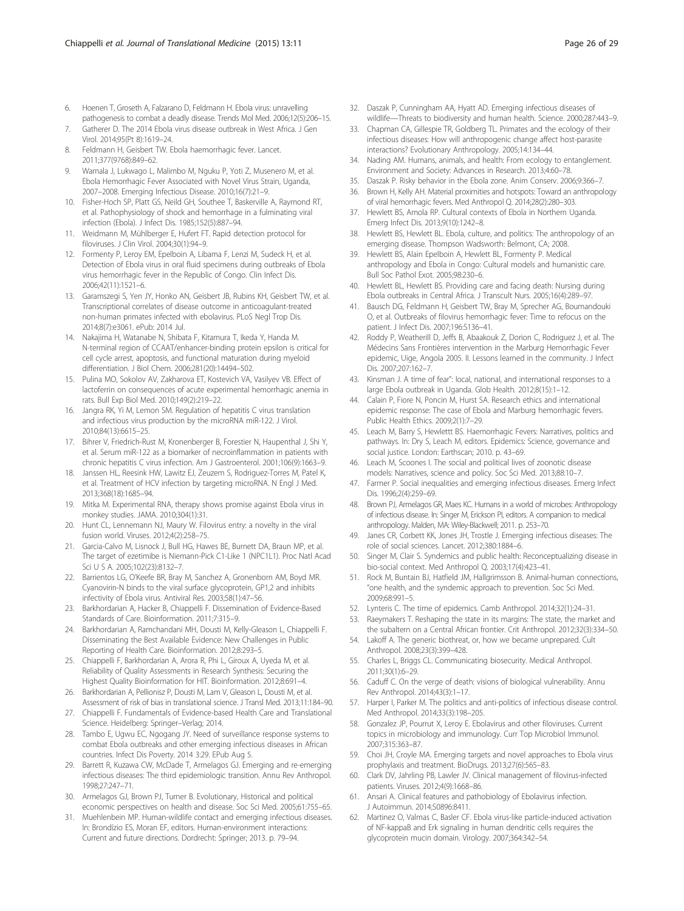- <span id="page-25-0"></span>6. Hoenen T, Groseth A, Falzarano D, Feldmann H. Ebola virus: unravelling pathogenesis to combat a deadly disease. Trends Mol Med. 2006;12(5):206–15.
- 7. Gatherer D. The 2014 Ebola virus disease outbreak in West Africa. J Gen Virol. 2014;95(Pt 8):1619–24.
- 8. Feldmann H, Geisbert TW. Ebola haemorrhagic fever. Lancet. 2011;377(9768):849–62.
- 9. Wamala J, Lukwago L, Malimbo M, Nguku P, Yoti Z, Musenero M, et al. Ebola Hemorrhagic Fever Associated with Novel Virus Strain, Uganda, 2007–2008. Emerging Infectious Disease. 2010;16(7):21–9.
- 10. Fisher-Hoch SP, Platt GS, Neild GH, Southee T, Baskerville A, Raymond RT, et al. Pathophysiology of shock and hemorrhage in a fulminating viral infection (Ebola). J Infect Dis. 1985;152(5):887–94.
- 11. Weidmann M, Mühlberger E, Hufert FT. Rapid detection protocol for filoviruses. J Clin Virol. 2004;30(1):94–9.
- 12. Formenty P, Leroy EM, Epelboin A, Libama F, Lenzi M, Sudeck H, et al. Detection of Ebola virus in oral fluid specimens during outbreaks of Ebola virus hemorrhagic fever in the Republic of Congo. Clin Infect Dis. 2006;42(11):1521–6.
- 13. Garamszegi S, Yen JY, Honko AN, Geisbert JB, Rubins KH, Geisbert TW, et al. Transcriptional correlates of disease outcome in anticoagulant-treated non-human primates infected with ebolavirus. PLoS Negl Trop Dis. 2014;8(7):e3061. ePub: 2014 Jul.
- 14. Nakajima H, Watanabe N, Shibata F, Kitamura T, Ikeda Y, Handa M. N-terminal region of CCAAT/enhancer-binding protein epsilon is critical for cell cycle arrest, apoptosis, and functional maturation during myeloid differentiation. J Biol Chem. 2006;281(20):14494–502.
- 15. Pulina MO, Sokolov AV, Zakharova ET, Kostevich VA, Vasilyev VB. Effect of lactoferrin on consequences of acute experimental hemorrhagic anemia in rats. Bull Exp Biol Med. 2010;149(2):219–22.
- 16. Jangra RK, Yi M, Lemon SM. Regulation of hepatitis C virus translation and infectious virus production by the microRNA miR-122. J Virol. 2010;84(13):6615–25.
- 17. Bihrer V, Friedrich-Rust M, Kronenberger B, Forestier N, Haupenthal J, Shi Y, et al. Serum miR-122 as a biomarker of necroinflammation in patients with chronic hepatitis C virus infection. Am J Gastroenterol. 2001;106(9):1663–9.
- 18. Janssen HL, Reesink HW, Lawitz EJ, Zeuzem S, Rodriguez-Torres M, Patel K, et al. Treatment of HCV infection by targeting microRNA. N Engl J Med. 2013;368(18):1685–94.
- 19. Mitka M. Experimental RNA, therapy shows promise against Ebola virus in monkey studies. JAMA. 2010;304(1):31.
- 20. Hunt CL, Lennemann NJ, Maury W. Filovirus entry: a novelty in the viral fusion world. Viruses. 2012;4(2):258–75.
- 21. Garcia-Calvo M, Lisnock J, Bull HG, Hawes BE, Burnett DA, Braun MP, et al. The target of ezetimibe is Niemann-Pick C1-Like 1 (NPC1L1). Proc Natl Acad Sci U S A. 2005;102(23):8132–7.
- 22. Barrientos LG, O'Keefe BR, Bray M, Sanchez A, Gronenborn AM, Boyd MR. Cyanovirin-N binds to the viral surface glycoprotein, GP1,2 and inhibits infectivity of Ebola virus. Antiviral Res. 2003;58(1):47–56.
- 23. Barkhordarian A, Hacker B, Chiappelli F. Dissemination of Evidence-Based Standards of Care. Bioinformation. 2011;7:315–9.
- 24. Barkhordarian A, Ramchandani MH, Dousti M, Kelly-Gleason L, Chiappelli F. Disseminating the Best Available Evidence: New Challenges in Public Reporting of Health Care. Bioinformation. 2012;8:293–5.
- 25. Chiappelli F, Barkhordarian A, Arora R, Phi L, Giroux A, Uyeda M, et al. Reliability of Quality Assessments in Research Synthesis: Securing the Highest Quality Bioinformation for HIT. Bioinformation. 2012;8:691–4.
- 26. Barkhordarian A, Pellionisz P, Dousti M, Lam V, Gleason L, Dousti M, et al. Assessment of risk of bias in translational science. J Transl Med. 2013;11:184–90.
- 27. Chiappelli F. Fundamentals of Evidence-based Health Care and Translational Science. Heidelberg: Springer–Verlag; 2014.
- 28. Tambo E, Ugwu EC, Ngogang JY. Need of surveillance response systems to combat Ebola outbreaks and other emerging infectious diseases in African countries. Infect Dis Poverty. 2014 3:29. EPub Aug 5.
- 29. Barrett R, Kuzawa CW, McDade T, Armelagos GJ. Emerging and re-emerging infectious diseases: The third epidemiologic transition. Annu Rev Anthropol. 1998;27:247–71.
- 30. Armelagos GJ, Brown PJ, Turner B. Evolutionary, Historical and political economic perspectives on health and disease. Soc Sci Med. 2005;61:755–65.
- 31. Muehlenbein MP. Human-wildlife contact and emerging infectious diseases. In: Brondízio ES, Moran EF, editors. Human-environment interactions: Current and future directions. Dordrecht: Springer; 2013. p. 79–94.
- 32. Daszak P, Cunningham AA, Hyatt AD. Emerging infectious diseases of wildlife—Threats to biodiversity and human health. Science. 2000;287:443–9.
- 33. Chapman CA, Gillespie TR, Goldberg TL. Primates and the ecology of their infectious diseases: How will anthropogenic change affect host-parasite interactions? Evolutionary Anthropology. 2005;14:134–44.
- 34. Nading AM. Humans, animals, and health: From ecology to entanglement. Environment and Society: Advances in Research. 2013;4:60–78.
- 35. Daszak P. Risky behavior in the Ebola zone. Anim Conserv. 2006;9:366–7.
- 36. Brown H, Kelly AH. Material proximities and hotspots: Toward an anthropology of viral hemorrhagic fevers. Med Anthropol Q. 2014;28(2):280–303.
- 37. Hewlett BS, Amola RP. Cultural contexts of Ebola in Northern Uganda. Emerg Infect Dis. 2013;9(10):1242–8.
- Hewlett BS, Hewlett BL. Ebola, culture, and politics: The anthropology of an emerging disease. Thompson Wadsworth: Belmont, CA; 2008.
- 39. Hewlett BS, Alain Epelboin A, Hewlett BL, Formenty P. Medical anthropology and Ebola in Congo: Cultural models and humanistic care. Bull Soc Pathol Exot. 2005;98:230–6.
- 40. Hewlett BL, Hewlett BS. Providing care and facing death: Nursing during Ebola outbreaks in Central Africa. J Transcult Nurs. 2005;16(4):289–97.
- 41. Bausch DG, Feldmann H, Geisbert TW, Bray M, Sprecher AG, Boumandouki O, et al. Outbreaks of filovirus hemorrhagic fever: Time to refocus on the patient. J Infect Dis. 2007;196:S136–41.
- 42. Roddy P, Weatherill D, Jeffs B, Abaakouk Z, Dorion C, Rodriguez J, et al. The Médecins Sans Frontières intervention in the Marburg Hemorrhagic Fever epidemic, Uige, Angola 2005. II. Lessons learned in the community. J Infect Dis. 2007;207:162–7.
- 43. Kinsman J. A time of fear": local, national, and international responses to a large Ebola outbreak in Uganda. Glob Health. 2012;8(15):1–12.
- 44. Calain P, Fiore N, Poncin M, Hurst SA. Research ethics and international epidemic response: The case of Ebola and Marburg hemorrhagic fevers. Public Health Ethics. 2009;2(1):7–29.
- 45. Leach M, Barry S, Hewlettt BS. Haemorrhagic Fevers: Narratives, politics and pathways. In: Dry S, Leach M, editors. Epidemics: Science, governance and social justice. London: Earthscan; 2010. p. 43–69.
- 46. Leach M, Scoones I. The social and political lives of zoonotic disease models: Narratives, science and policy. Soc Sci Med. 2013;88:10–7.
- 47. Farmer P. Social inequalities and emerging infectious diseases. Emerg Infect Dis. 1996;2(4):259–69.
- 48. Brown PJ, Armelagos GR, Maes KC. Humans in a world of microbes: Anthropology of infectious disease. In: Singer M, Erickson PI, editors. A companion to medical anthropology. Malden, MA: Wiley-Blackwell; 2011. p. 253–70.
- 49. Janes CR, Corbett KK, Jones JH, Trostle J. Emerging infectious diseases: The role of social sciences. Lancet. 2012;380:1884–6.
- 50. Singer M, Clair S. Syndemics and public health: Reconceptualizing disease in bio-social context. Med Anthropol Q. 2003;17(4):423–41.
- 51. Rock M, Buntain BJ, Hatfield JM, Hallgrimsson B. Animal-human connections, "one health, and the syndemic approach to prevention. Soc Sci Med. 2009;68:991–5.
- 52. Lynteris C. The time of epidemics. Camb Anthropol. 2014;32(1):24–31.
- Raeymakers T. Reshaping the state in its margins: The state, the market and the subaltern on a Central African frontier. Crit Anthropol. 2012;32(3):334–50.
- 54. Lakoff A. The generic biothreat, or, how we became unprepared. Cult Anthropol. 2008;23(3):399–428.
- 55. Charles L, Briggs CL. Communicating biosecurity. Medical Anthropol. 2011;30(1):6–29.
- 56. Caduff C. On the verge of death: visions of biological vulnerability. Annu Rev Anthropol. 2014;43(3):1–17.
- 57. Harper I, Parker M. The politics and anti-politics of infectious disease control. Med Anthropol. 2014;33(3):198–205.
- 58. Gonzalez JP, Pourrut X, Leroy E. Ebolavirus and other filoviruses. Current topics in microbiology and immunology. Curr Top Microbiol Immunol. 2007;315:363–87.
- 59. Choi JH, Croyle MA. Emerging targets and novel approaches to Ebola virus prophylaxis and treatment. BioDrugs. 2013;27(6):565–83.
- 60. Clark DV, Jahrling PB, Lawler JV. Clinical management of filovirus-infected patients. Viruses. 2012;4(9):1668–86.
- 61. Ansari A. Clinical features and pathobiology of Ebolavirus infection. J Autoimmun. 2014;S0896:8411.
- 62. Martinez O, Valmas C, Basler CF. Ebola virus-like particle-induced activation of NF-kappaB and Erk signaling in human dendritic cells requires the glycoprotein mucin domain. Virology. 2007;364:342–54.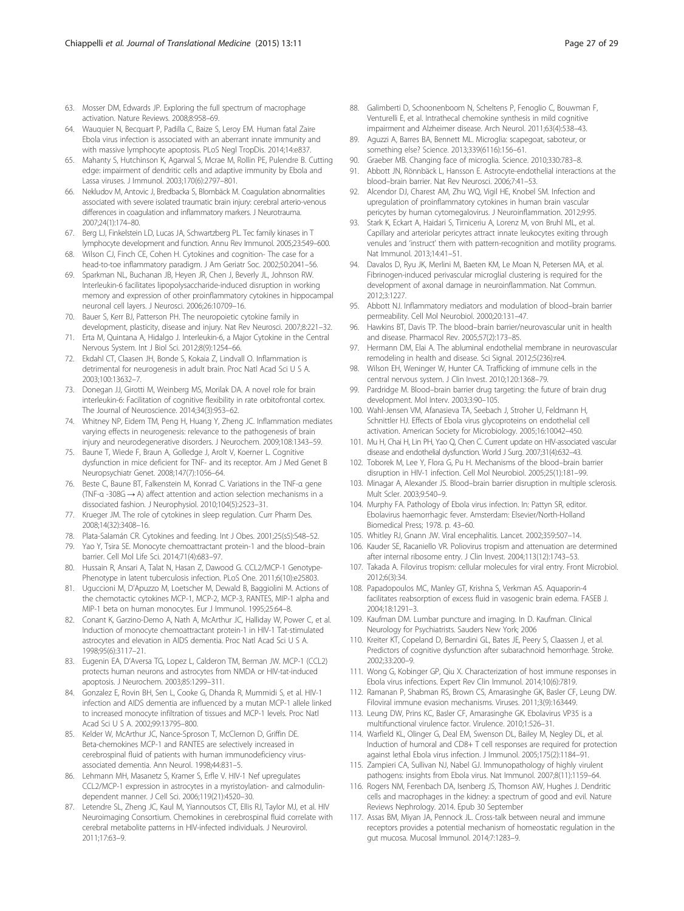- <span id="page-26-0"></span>63. Mosser DM, Edwards JP. Exploring the full spectrum of macrophage activation. Nature Reviews. 2008;8:958–69.
- 64. Wauquier N, Becquart P, Padilla C, Baize S, Leroy EM. Human fatal Zaire Ebola virus infection is associated with an aberrant innate immunity and with massive lymphocyte apoptosis. PLoS Negl TropDis. 2014;14:e837.
- 65. Mahanty S, Hutchinson K, Agarwal S, Mcrae M, Rollin PE, Pulendre B. Cutting edge: impairment of dendritic cells and adaptive immunity by Ebola and Lassa viruses. J Immunol. 2003;170(6):2797–801.
- 66. Nekludov M, Antovic J, Bredbacka S, Blombäck M. Coagulation abnormalities associated with severe isolated traumatic brain injury: cerebral arterio-venous differences in coagulation and inflammatory markers. J Neurotrauma. 2007;24(1):174–80.
- 67. Berg LJ, Finkelstein LD, Lucas JA, Schwartzberg PL. Tec family kinases in T lymphocyte development and function. Annu Rev Immunol. 2005;23:549–600.
- 68. Wilson CJ, Finch CE, Cohen H. Cytokines and cognition- The case for a head-to-toe inflammatory paradigm. J Am Geriatr Soc. 2002;50:2041–56.
- 69. Sparkman NL, Buchanan JB, Heyen JR, Chen J, Beverly JL, Johnson RW. Interleukin-6 facilitates lipopolysaccharide-induced disruption in working memory and expression of other proinflammatory cytokines in hippocampal neuronal cell layers. J Neurosci. 2006;26:10709–16.
- 70. Bauer S, Kerr BJ, Patterson PH. The neuropoietic cytokine family in development, plasticity, disease and injury. Nat Rev Neurosci. 2007;8:221–32.
- 71. Erta M, Quintana A, Hidalgo J. Interleukin-6, a Major Cytokine in the Central Nervous System. Int J Biol Sci. 2012;8(9):1254–66.
- 72. Ekdahl CT, Claasen JH, Bonde S, Kokaia Z, Lindvall O. Inflammation is detrimental for neurogenesis in adult brain. Proc Natl Acad Sci U S A. 2003;100:13632–7.
- 73. Donegan JJ, Girotti M, Weinberg MS, Morilak DA. A novel role for brain interleukin-6: Facilitation of cognitive flexibility in rate orbitofrontal cortex. The Journal of Neuroscience. 2014;34(3):953–62.
- 74. Whitney NP, Eidem TM, Peng H, Huang Y, Zheng JC. Inflammation mediates varying effects in neurogenesis: relevance to the pathogenesis of brain injury and neurodegenerative disorders. J Neurochem. 2009;108:1343–59.
- 75. Baune T, Wiede F, Braun A, Golledge J, Arolt V, Koerner L. Cognitive dysfunction in mice deficient for TNF- and its receptor. Am J Med Genet B Neuropsychiatr Genet. 2008;147(7):1056–64.
- 76. Beste C, Baune BT, Falkenstein M, Konrad C. Variations in the TNF-α gene (TNF-α -308G → A) affect attention and action selection mechanisms in a dissociated fashion. J Neurophysiol. 2010;104(5):2523–31.
- 77. Krueger JM. The role of cytokines in sleep regulation. Curr Pharm Des. 2008;14(32):3408–16.
- 78. Plata-Salamán CR. Cytokines and feeding. Int J Obes. 2001;25(s5):S48–52.
- 79. Yao Y, Tsira SE. Monocyte chemoattractant protein-1 and the blood–brain barrier. Cell Mol Life Sci. 2014;71(4):683–97.
- 80. Hussain R, Ansari A, Talat N, Hasan Z, Dawood G. CCL2/MCP-1 Genotype-Phenotype in latent tuberculosis infection. PLoS One. 2011;6(10):e25803.
- 81. Uguccioni M, D'Apuzzo M, Loetscher M, Dewald B, Baggiolini M. Actions of the chemotactic cytokines MCP-1, MCP-2, MCP-3, RANTES, MIP-1 alpha and MIP-1 beta on human monocytes. Eur J Immunol. 1995;25:64–8.
- 82. Conant K, Garzino-Demo A, Nath A, McArthur JC, Halliday W, Power C, et al. Induction of monocyte chemoattractant protein-1 in HIV-1 Tat-stimulated astrocytes and elevation in AIDS dementia. Proc Natl Acad Sci U S A. 1998;95(6):3117–21.
- 83. Eugenin EA, D'Aversa TG, Lopez L, Calderon TM, Berman JW. MCP-1 (CCL2) protects human neurons and astrocytes from NMDA or HIV-tat-induced apoptosis. J Neurochem. 2003;85:1299–311.
- 84. Gonzalez E, Rovin BH, Sen L, Cooke G, Dhanda R, Mummidi S, et al. HIV-1 infection and AIDS dementia are influenced by a mutan MCP-1 allele linked to increased monocyte infiltration of tissues and MCP-1 levels. Proc Natl Acad Sci U S A. 2002;99:13795–800.
- 85. Kelder W, McArthur JC, Nance-Sproson T, McClernon D, Griffin DE. Beta-chemokines MCP-1 and RANTES are selectively increased in cerebrospinal fluid of patients with human immunodeficiency virusassociated dementia. Ann Neurol. 1998;44:831–5.
- 86. Lehmann MH, Masanetz S, Kramer S, Erfle V. HIV-1 Nef upregulates CCL2/MCP-1 expression in astrocytes in a myristoylation- and calmodulindependent manner. J Cell Sci. 2006;119(21):4520–30.
- 87. Letendre SL, Zheng JC, Kaul M, Yiannoutsos CT, Ellis RJ, Taylor MJ, et al. HIV Neuroimaging Consortium. Chemokines in cerebrospinal fluid correlate with cerebral metabolite patterns in HIV-infected individuals. J Neurovirol. 2011;17:63–9.
- 88. Galimberti D, Schoonenboom N, Scheltens P, Fenoglio C, Bouwman F, Venturelli E, et al. Intrathecal chemokine synthesis in mild cognitive impairment and Alzheimer disease. Arch Neurol. 2011;63(4):538–43.
- 89. Aguzzi A, Barres BA, Bennett ML. Microglia: scapegoat, saboteur, or something else? Science. 2013;339(6116):156–61.
- 90. Graeber MB. Changing face of microglia. Science. 2010;330:783–8.
- 91. Abbott JN, Rönnbäck L, Hansson E. Astrocyte-endothelial interactions at the blood–brain barrier. Nat Rev Neurosci. 2006;7:41–53.
- 92. Alcendor DJ, Charest AM, Zhu WQ, Vigil HE, Knobel SM. Infection and upregulation of proinflammatory cytokines in human brain vascular pericytes by human cytomegalovirus. J Neuroinflammation. 2012;9:95.
- 93. Stark K, Eckart A, Haidari S, Tirniceriu A, Lorenz M, von Bruhl ML, et al. Capillary and arteriolar pericytes attract innate leukocytes exiting through venules and 'instruct' them with pattern-recognition and motility programs. Nat Immunol. 2013;14:41–51.
- 94. Davalos D, Ryu JK, Merlini M, Baeten KM, Le Moan N, Petersen MA, et al. Fibrinogen-induced perivascular microglial clustering is required for the development of axonal damage in neuroinflammation. Nat Commun. 2012;3:1227.
- 95. Abbott NJ. Inflammatory mediators and modulation of blood–brain barrier permeability. Cell Mol Neurobiol. 2000;20:131–47.
- 96. Hawkins BT, Davis TP. The blood–brain barrier/neurovascular unit in health and disease. Pharmacol Rev. 2005;57(2):173–85.
- 97. Hermann DM, Elai A. The abluminal endothelial membrane in neurovascular remodeling in health and disease. Sci Signal. 2012;5(236):re4.
- 98. Wilson EH, Weninger W, Hunter CA. Trafficking of immune cells in the central nervous system. J Clin Invest. 2010;120:1368–79.
- 99. Pardridge M. Blood–brain barrier drug targeting: the future of brain drug development. Mol Interv. 2003;3:90–105.
- 100. Wahl-Jensen VM, Afanasieva TA, Seebach J, Stroher U, Feldmann H, Schnittler HJ. Effects of Ebola virus glycoproteins on endothelial cell activation. American Society for Microbiology. 2005;16:10042–450.
- 101. Mu H, Chai H, Lin PH, Yao Q, Chen C. Current update on HIV-associated vascular disease and endothelial dysfunction. World J Surg. 2007;31(4):632–43.
- 102. Toborek M, Lee Y, Flora G, Pu H. Mechanisms of the blood–brain barrier disruption in HIV-1 infection. Cell Mol Neurobiol. 2005;25(1):181–99.
- 103. Minagar A, Alexander JS. Blood–brain barrier disruption in multiple sclerosis. Mult Scler. 2003;9:540–9.
- 104. Murphy FA. Pathology of Ebola virus infection. In: Pattyn SR, editor. Ebolavirus haemorrhagic fever. Amsterdam: Elsevier/North-Holland Biomedical Press; 1978. p. 43–60.
- 105. Whitley RJ, Gnann JW. Viral encephalitis. Lancet. 2002;359:507–14.
- 106. Kauder SE, Racaniello VR. Poliovirus tropism and attenuation are determined after internal ribosome entry. J Clin Invest. 2004;113(12):1743–53.
- 107. Takada A. Filovirus tropism: cellular molecules for viral entry. Front Microbiol. 2012;6(3):34.
- 108. Papadopoulos MC, Manley GT, Krishna S, Verkman AS. Aquaporin-4 facilitates reabsorption of excess fluid in vasogenic brain edema. FASEB J. 2004;18:1291–3.
- 109. Kaufman DM. Lumbar puncture and imaging. In D. Kaufman. Clinical Neurology for Psychiatrists. Sauders New York; 2006
- 110. Kreiter KT, Copeland D, Bernardini GL, Bates JE, Peery S, Claassen J, et al. Predictors of cognitive dysfunction after subarachnoid hemorrhage. Stroke. 2002;33:200–9.
- 111. Wong G, Kobinger GP, Qiu X. Characterization of host immune responses in Ebola virus infections. Expert Rev Clin Immunol. 2014;10(6):7819.
- 112. Ramanan P, Shabman RS, Brown CS, Amarasinghe GK, Basler CF, Leung DW. Filoviral immune evasion mechanisms. Viruses. 2011;3(9):163449.
- 113. Leung DW, Prins KC, Basler CF, Amarasinghe GK. Ebolavirus VP35 is a multifunctional virulence factor. Virulence. 2010;1:526–31.
- 114. Warfield KL, Olinger G, Deal EM, Swenson DL, Bailey M, Negley DL, et al. Induction of humoral and CD8+ T cell responses are required for protection against lethal Ebola virus infection. J Immunol. 2005;175(2):1184–91.
- 115. Zampieri CA, Sullivan NJ, Nabel GJ. Immunopathology of highly virulent pathogens: insights from Ebola virus. Nat Immunol. 2007;8(11):1159–64.
- 116. Rogers NM, Ferenbach DA, Isenberg JS, Thomson AW, Hughes J. Dendritic cells and macrophages in the kidney: a spectrum of good and evil. Nature Reviews Nephrology. 2014. Epub 30 September
- 117. Assas BM, Miyan JA, Pennock JL. Cross-talk between neural and immune receptors provides a potential mechanism of homeostatic regulation in the gut mucosa. Mucosal Immunol. 2014;7:1283–9.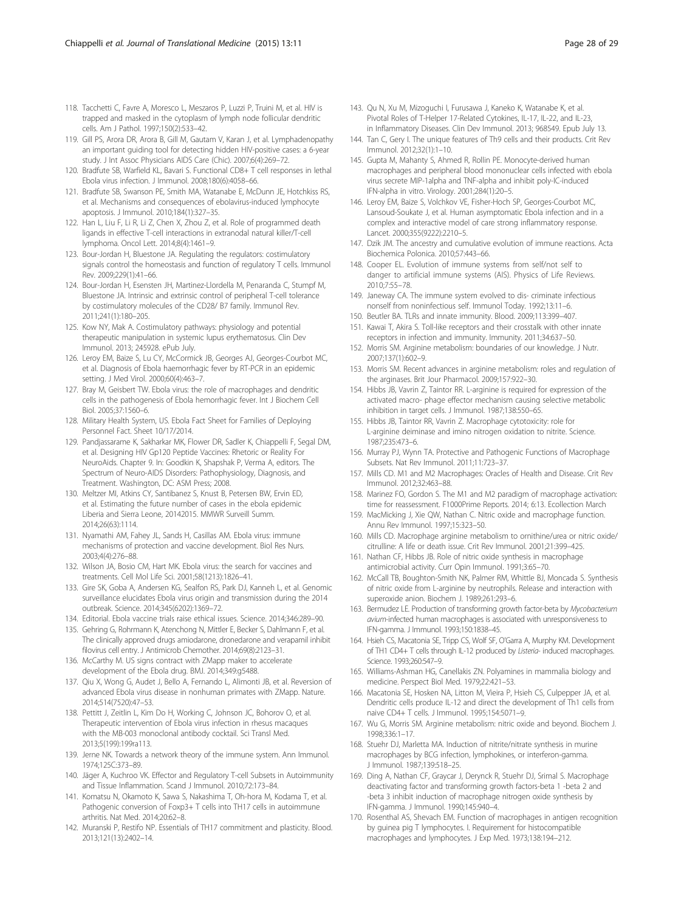- <span id="page-27-0"></span>118. Tacchetti C, Favre A, Moresco L, Meszaros P, Luzzi P, Truini M, et al. HIV is trapped and masked in the cytoplasm of lymph node follicular dendritic cells. Am J Pathol. 1997;150(2):533–42.
- 119. Gill PS, Arora DR, Arora B, Gill M, Gautam V, Karan J, et al. Lymphadenopathy an important guiding tool for detecting hidden HIV-positive cases: a 6-year study. J Int Assoc Physicians AIDS Care (Chic). 2007;6(4):269–72.
- 120. Bradfute SB, Warfield KL, Bavari S. Functional CD8+ T cell responses in lethal Ebola virus infection. J Immunol. 2008;180(6):4058–66.
- 121. Bradfute SB, Swanson PE, Smith MA, Watanabe E, McDunn JE, Hotchkiss RS, et al. Mechanisms and consequences of ebolavirus-induced lymphocyte apoptosis. J Immunol. 2010;184(1):327–35.
- 122. Han L, Liu F, Li R, Li Z, Chen X, Zhou Z, et al. Role of programmed death ligands in effective T-cell interactions in extranodal natural killer/T-cell lymphoma. Oncol Lett. 2014;8(4):1461–9.
- 123. Bour-Jordan H, Bluestone JA. Regulating the regulators: costimulatory signals control the homeostasis and function of regulatory T cells. Immunol Rev. 2009;229(1):41–66.
- 124. Bour-Jordan H, Esensten JH, Martinez-Llordella M, Penaranda C, Stumpf M, Bluestone JA. Intrinsic and extrinsic control of peripheral T-cell tolerance by costimulatory molecules of the CD28/ B7 family. Immunol Rev. 2011;241(1):180–205.
- 125. Kow NY, Mak A. Costimulatory pathways: physiology and potential therapeutic manipulation in systemic lupus erythematosus. Clin Dev Immunol. 2013; 245928. ePub July.
- 126. Leroy EM, Baize S, Lu CY, McCormick JB, Georges AJ, Georges-Courbot MC, et al. Diagnosis of Ebola haemorrhagic fever by RT-PCR in an epidemic setting. J Med Virol. 2000;60(4):463–7.
- 127. Bray M, Geisbert TW. Ebola virus: the role of macrophages and dendritic cells in the pathogenesis of Ebola hemorrhagic fever. Int J Biochem Cell Biol. 2005;37:1560–6.
- 128. Military Health System, US. Ebola Fact Sheet for Families of Deploying Personnel Fact. Sheet 10/17/2014.
- 129. Pandjassarame K, Sakharkar MK, Flower DR, Sadler K, Chiappelli F, Segal DM, et al. Designing HIV Gp120 Peptide Vaccines: Rhetoric or Reality For NeuroAids. Chapter 9. In: Goodkin K, Shapshak P, Verma A, editors. The Spectrum of Neuro-AIDS Disorders: Pathophysiology, Diagnosis, and Treatment. Washington, DC: ASM Press; 2008.
- 130. Meltzer MI, Atkins CY, Santibanez S, Knust B, Petersen BW, Ervin ED, et al. Estimating the future number of cases in the ebola epidemic Liberia and Sierra Leone, 20142015. MMWR Surveill Summ. 2014;26(63):1114.
- 131. Nyamathi AM, Fahey JL, Sands H, Casillas AM. Ebola virus: immune mechanisms of protection and vaccine development. Biol Res Nurs. 2003;4(4):276–88.
- 132. Wilson JA, Bosio CM, Hart MK. Ebola virus: the search for vaccines and treatments. Cell Mol Life Sci. 2001;58(1213):1826–41.
- 133. Gire SK, Goba A, Andersen KG, Sealfon RS, Park DJ, Kanneh L, et al. Genomic surveillance elucidates Ebola virus origin and transmission during the 2014 outbreak. Science. 2014;345(6202):1369–72.
- 134. Editorial. Ebola vaccine trials raise ethical issues. Science. 2014;346:289–90.
- 135. Gehring G, Rohrmann K, Atenchong N, Mittler E, Becker S, Dahlmann F, et al. The clinically approved drugs amiodarone, dronedarone and verapamil inhibit filovirus cell entry. J Antimicrob Chemother. 2014;69(8):2123–31.
- 136. McCarthy M. US signs contract with ZMapp maker to accelerate development of the Ebola drug. BMJ. 2014;349:g5488.
- 137. Qiu X, Wong G, Audet J, Bello A, Fernando L, Alimonti JB, et al. Reversion of advanced Ebola virus disease in nonhuman primates with ZMapp. Nature. 2014;514(7520):47–53.
- 138. Pettitt J, Zeitlin L, Kim Do H, Working C, Johnson JC, Bohorov O, et al. Therapeutic intervention of Ebola virus infection in rhesus macaques with the MB-003 monoclonal antibody cocktail. Sci Transl Med. 2013;5(199):199ra113.
- 139. Jerne NK. Towards a network theory of the immune system. Ann Immunol. 1974;125C:373–89.
- 140. Jäger A, Kuchroo VK. Effector and Regulatory T-cell Subsets in Autoimmunity and Tissue Inflammation. Scand J Immunol. 2010;72:173–84.
- 141. Komatsu N, Okamoto K, Sawa S, Nakashima T, Oh-hora M, Kodama T, et al. Pathogenic conversion of Foxp3+ T cells into TH17 cells in autoimmune arthritis. Nat Med. 2014;20:62–8.
- 142. Muranski P, Restifo NP. Essentials of TH17 commitment and plasticity. Blood. 2013;121(13):2402–14.
- 143. Qu N, Xu M, Mizoguchi I, Furusawa J, Kaneko K, Watanabe K, et al. Pivotal Roles of T-Helper 17-Related Cytokines, IL-17, IL-22, and IL-23, in Inflammatory Diseases. Clin Dev Immunol. 2013; 968549. Epub July 13.
- 144. Tan C, Gery I. The unique features of Th9 cells and their products. Crit Rev Immunol. 2012;32(1):1–10.
- 145. Gupta M, Mahanty S, Ahmed R, Rollin PE. Monocyte-derived human macrophages and peripheral blood mononuclear cells infected with ebola virus secrete MIP-1alpha and TNF-alpha and inhibit poly-IC-induced IFN-alpha in vitro. Virology. 2001;284(1):20–5.
- 146. Leroy EM, Baize S, Volchkov VE, Fisher-Hoch SP, Georges-Courbot MC, Lansoud-Soukate J, et al. Human asymptomatic Ebola infection and in a complex and interactive model of care strong inflammatory response. Lancet. 2000;355(9222):2210–5.
- 147. Dzik JM. The ancestry and cumulative evolution of immune reactions. Acta Biochemica Polonica. 2010;57:443–66.
- 148. Cooper EL. Evolution of immune systems from self/not self to danger to artificial immune systems (AIS). Physics of Life Reviews. 2010;7:55–78.
- 149. Janeway CA. The immune system evolved to dis- criminate infectious nonself from noninfectious self. Immunol Today. 1992;13:11–6.
- 150. Beutler BA. TLRs and innate immunity. Blood. 2009;113:399–407. 151. Kawai T, Akira S. Toll-like receptors and their crosstalk with other innate
- receptors in infection and immunity. Immunity. 2011;34:637–50.
- 152. Morris SM. Arginine metabolism: boundaries of our knowledge. J Nutr. 2007;137(1):602–9.
- 153. Morris SM. Recent advances in arginine metabolism: roles and regulation of the arginases. Brit Jour Pharmacol. 2009;157:922–30.
- 154. Hibbs JB, Vavrin Z, Taintor RR. L-arginine is required for expression of the activated macro- phage effector mechanism causing selective metabolic inhibition in target cells. J Immunol. 1987;138:550–65.
- 155. Hibbs JB, Taintor RR, Vavrin Z. Macrophage cytotoxicity: role for L-arginine deiminase and imino nitrogen oxidation to nitrite. Science. 1987;235:473–6.
- 156. Murray PJ, Wynn TA. Protective and Pathogenic Functions of Macrophage Subsets. Nat Rev Immunol. 2011;11:723–37.
- 157. Mills CD. M1 and M2 Macrophages: Oracles of Health and Disease. Crit Rev Immunol. 2012;32:463–88.
- 158. Marinez FO, Gordon S. The M1 and M2 paradigm of macrophage activation: time for reassessment. F1000Prime Reports. 2014; 6:13. Ecollection March
- 159. MacMicking J, Xie QW, Nathan C. Nitric oxide and macrophage function. Annu Rev Immunol. 1997;15:323–50.
- 160. Mills CD. Macrophage arginine metabolism to ornithine/urea or nitric oxide/ citrulline: A life or death issue. Crit Rev Immunol. 2001;21:399–425.
- 161. Nathan CF, Hibbs JB. Role of nitric oxide synthesis in macrophage antimicrobial activity. Curr Opin Immunol. 1991;3:65–70.
- 162. McCall TB, Boughton-Smith NK, Palmer RM, Whittle BJ, Moncada S. Synthesis of nitric oxide from L-arginine by neutrophils. Release and interaction with superoxide anion. Biochem J. 1989;261:293–6.
- 163. Bermudez LE. Production of transforming growth factor-beta by Mycobacterium avium-infected human macrophages is associated with unresponsiveness to IFN-gamma. J Immunol. 1993;150:1838–45.
- 164. Hsieh CS, Macatonia SE, Tripp CS, Wolf SF, O'Garra A, Murphy KM. Development of TH1 CD4+ T cells through IL-12 produced by Listeria- induced macrophages. Science. 1993;260:547–9.
- 165. Williams-Ashman HG, Canellakis ZN. Polyamines in mammalia biology and medicine. Perspect Biol Med. 1979;22:421–53.
- 166. Macatonia SE, Hosken NA, Litton M, Vieira P, Hsieh CS, Culpepper JA, et al. Dendritic cells produce IL-12 and direct the development of Th1 cells from naive CD4+ T cells. J Immunol. 1995;154:5071–9.
- 167. Wu G, Morris SM. Arginine metabolism: nitric oxide and beyond. Biochem J. 1998;336:1–17.
- 168. Stuehr DJ, Marletta MA. Induction of nitrite/nitrate synthesis in murine macrophages by BCG infection, lymphokines, or interferon-gamma. J Immunol. 1987;139:518–25.
- 169. Ding A, Nathan CF, Graycar J, Derynck R, Stuehr DJ, Srimal S. Macrophage deactivating factor and transforming growth factors-beta 1 -beta 2 and -beta 3 inhibit induction of macrophage nitrogen oxide synthesis by IFN-gamma. J Immunol. 1990;145:940–4.
- 170. Rosenthal AS, Shevach EM. Function of macrophages in antigen recognition by guinea pig T lymphocytes. I. Requirement for histocompatible macrophages and lymphocytes. J Exp Med. 1973;138:194–212.